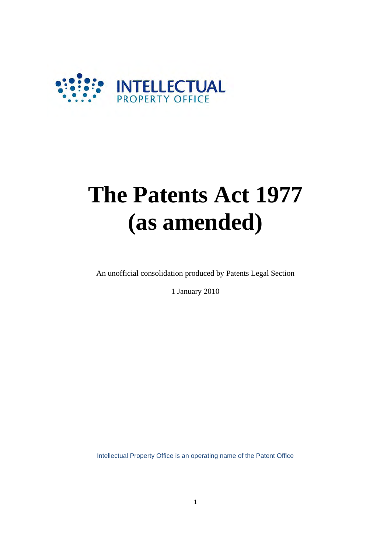

# **The Patents Act 1977 (as amended)**

An unofficial consolidation produced by Patents Legal Section

1 January 2010

Intellectual Property Office is an operating name of the Patent Office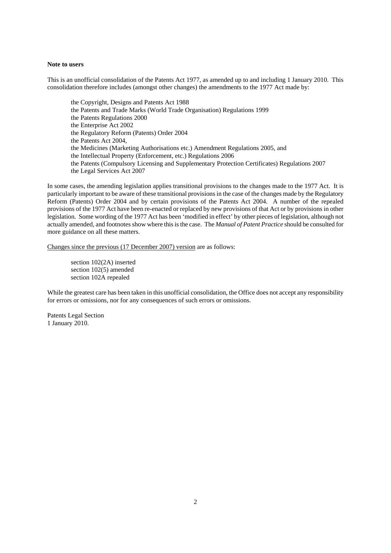#### **Note to users**

This is an unofficial consolidation of the Patents Act 1977, as amended up to and including 1 January 2010. This consolidation therefore includes (amongst other changes) the amendments to the 1977 Act made by:

the Copyright, Designs and Patents Act 1988 the Patents and Trade Marks (World Trade Organisation) Regulations 1999 the Patents Regulations 2000 the Enterprise Act 2002 the Regulatory Reform (Patents) Order 2004 the Patents Act 2004, the Medicines (Marketing Authorisations etc.) Amendment Regulations 2005, and the Intellectual Property (Enforcement, etc.) Regulations 2006 the Patents (Compulsory Licensing and Supplementary Protection Certificates) Regulations 2007 the Legal Services Act 2007

In some cases, the amending legislation applies transitional provisions to the changes made to the 1977 Act. It is particularly important to be aware of these transitional provisions in the case of the changes made by the Regulatory Reform (Patents) Order 2004 and by certain provisions of the Patents Act 2004. A number of the repealed provisions of the 1977 Act have been re-enacted or replaced by new provisions of that Act or by provisions in other legislation. Some wording of the 1977 Act has been 'modified in effect' by other pieces of legislation, although not actually amended, and footnotes show where this is the case. The *Manual of Patent Practice* should be consulted for more guidance on all these matters.

Changes since the previous (17 December 2007) version are as follows:

section 102(2A) inserted section 102(5) amended section 102A repealed

While the greatest care has been taken in this unofficial consolidation, the Office does not accept any responsibility for errors or omissions, nor for any consequences of such errors or omissions.

Patents Legal Section 1 January 2010.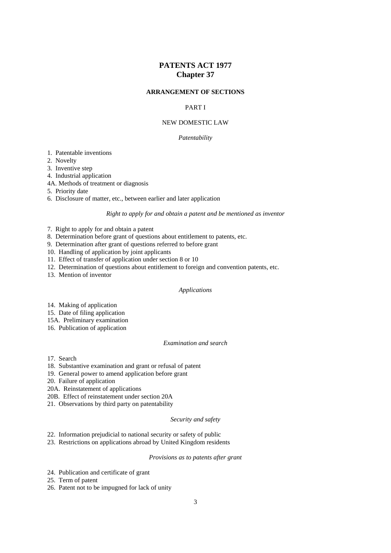# **PATENTS ACT 1977 Chapter 37**

## **ARRANGEMENT OF SECTIONS**

## PART I

## NEW DOMESTIC LAW

#### *Patentability*

- 1. Patentable inventions
- 2. Novelty
- 3. Inventive step
- 4. Industrial application
- 4A. Methods of treatment or diagnosis
- 5. Priority date
- 6. Disclosure of matter, etc., between earlier and later application

*Right to apply for and obtain a patent and be mentioned as inventor* 

- 7. Right to apply for and obtain a patent
- 8. Determination before grant of questions about entitlement to patents, etc.
- 9. Determination after grant of questions referred to before grant
- 10. Handling of application by joint applicants
- 11. Effect of transfer of application under section 8 or 10
- 12. Determination of questions about entitlement to foreign and convention patents, etc.
- 13. Mention of inventor

#### *Applications*

- 14. Making of application
- 15. Date of filing application
- 15A. Preliminary examination
- 16. Publication of application

#### *Examination and search*

- 17. Search
- 18. Substantive examination and grant or refusal of patent
- 19. General power to amend application before grant
- 20. Failure of application
- 20A. Reinstatement of applications
- 20B. Effect of reinstatement under section 20A
- 21. Observations by third party on patentability

## *Security and safety*

22. Information prejudicial to national security or safety of public

23. Restrictions on applications abroad by United Kingdom residents

## *Provisions as to patents after grant*

- 24. Publication and certificate of grant
- 25. Term of patent
- 26. Patent not to be impugned for lack of unity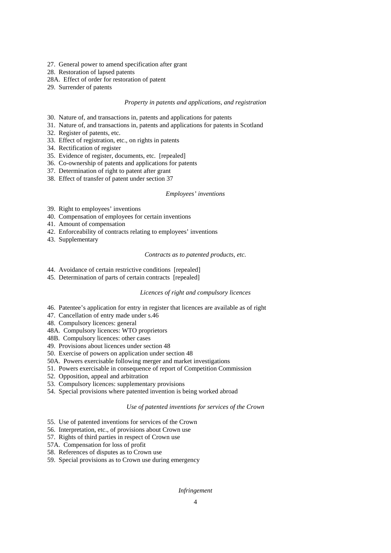27. General power to amend specification after grant

28. Restoration of lapsed patents

28A. Effect of order for restoration of patent

29. Surrender of patents

#### *Property in patents and applications, and registration*

- 30. Nature of, and transactions in, patents and applications for patents
- 31. Nature of, and transactions in, patents and applications for patents in Scotland
- 32. Register of patents, etc.
- 33. Effect of registration, etc., on rights in patents
- 34. Rectification of register
- 35. Evidence of register, documents, etc. [repealed]
- 36. Co-ownership of patents and applications for patents
- 37. Determination of right to patent after grant
- 38. Effect of transfer of patent under section 37

#### *Employees' inventions*

- 39. Right to employees' inventions
- 40. Compensation of employees for certain inventions
- 41. Amount of compensation
- 42. Enforceability of contracts relating to employees' inventions
- 43. Supplementary

## *Contracts as to patented products, etc.*

- 44. Avoidance of certain restrictive conditions [repealed]
- 45. Determination of parts of certain contracts [repealed]

#### *Licences of right and compulsory licences*

- 46. Patentee's application for entry in register that licences are available as of right
- 47. Cancellation of entry made under s.46
- 48. Compulsory licences: general
- 48A. Compulsory licences: WTO proprietors
- 48B. Compulsory licences: other cases
- 49. Provisions about licences under section 48
- 50. Exercise of powers on application under section 48
- 50A. Powers exercisable following merger and market investigations
- 51. Powers exercisable in consequence of report of Competition Commission
- 52. Opposition, appeal and arbitration
- 53. Compulsory licences: supplementary provisions
- 54. Special provisions where patented invention is being worked abroad

## *Use of patented inventions for services of the Crown*

- 55. Use of patented inventions for services of the Crown
- 56. Interpretation, etc., of provisions about Crown use
- 57. Rights of third parties in respect of Crown use
- 57A. Compensation for loss of profit
- 58. References of disputes as to Crown use
- 59. Special provisions as to Crown use during emergency

## *Infringement*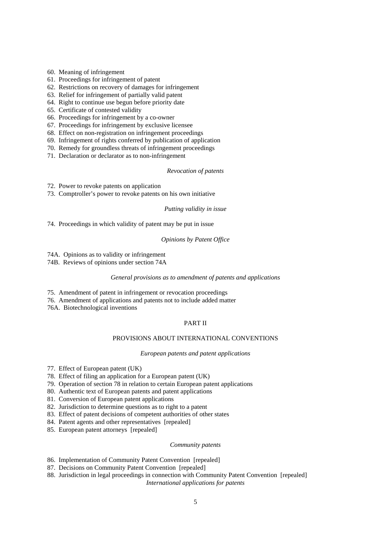- 60. Meaning of infringement
- 61. Proceedings for infringement of patent
- 62. Restrictions on recovery of damages for infringement
- 63. Relief for infringement of partially valid patent
- 64. Right to continue use begun before priority date
- 65. Certificate of contested validity
- 66. Proceedings for infringement by a co-owner
- 67. Proceedings for infringement by exclusive licensee
- 68. Effect on non-registration on infringement proceedings
- 69. Infringement of rights conferred by publication of application
- 70. Remedy for groundless threats of infringement proceedings
- 71. Declaration or declarator as to non-infringement

#### *Revocation of patents*

72. Power to revoke patents on application

73. Comptroller's power to revoke patents on his own initiative

## *Putting validity in issue*

74. Proceedings in which validity of patent may be put in issue

#### *Opinions by Patent Office*

74A. Opinions as to validity or infringement

74B. Reviews of opinions under section 74A

## *General provisions as to amendment of patents and applications*

75. Amendment of patent in infringement or revocation proceedings

76. Amendment of applications and patents not to include added matter

76A. Biotechnological inventions

## PART II

## PROVISIONS ABOUT INTERNATIONAL CONVENTIONS

*European patents and patent applications* 

- 77. Effect of European patent (UK)
- 78. Effect of filing an application for a European patent (UK)
- 79. Operation of section 78 in relation to certain European patent applications
- 80. Authentic text of European patents and patent applications
- 81. Conversion of European patent applications
- 82. Jurisdiction to determine questions as to right to a patent
- 83. Effect of patent decisions of competent authorities of other states
- 84. Patent agents and other representatives [repealed]
- 85. European patent attorneys [repealed]

## *Community patents*

86. Implementation of Community Patent Convention [repealed]

87. Decisions on Community Patent Convention [repealed]

88. Jurisdiction in legal proceedings in connection with Community Patent Convention [repealed] *International applications for patents*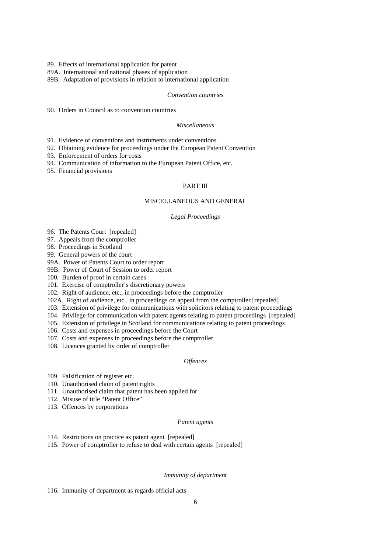89. Effects of international application for patent

89A. International and national phases of application

89B. Adaptation of provisions in relation to international application

#### *Convention countries*

90. Orders in Council as to convention countries

## *Miscellaneous*

91. Evidence of conventions and instruments under conventions

92. Obtaining evidence for proceedings under the European Patent Convention

93. Enforcement of orders for costs

94. Communication of information to the European Patent Office, etc.

95. Financial provisions

## PART III

## MISCELLANEOUS AND GENERAL

#### *Legal Proceedings*

96. The Patents Court [repealed]

97. Appeals from the comptroller

98. Proceedings in Scotland

99. General powers of the court

99A. Power of Patents Court to order report

99B. Power of Court of Session to order report

100. Burden of proof in certain cases

101. Exercise of comptroller's discretionary powers

102. Right of audience, etc., in proceedings before the comptroller

102A. Right of audience, etc., in proceedings on appeal from the comptroller [repealed]

103. Extension of privilege for communications with solicitors relating to patent proceedings

104. Privilege for communication with patent agents relating to patent proceedings [repealed]

105. Extension of privilege in Scotland for communications relating to patent proceedings

106. Costs and expenses in proceedings before the Court

107. Costs and expenses in proceedings before the comptroller

108. Licences granted by order of comptroller

#### *Offences*

- 109. Falsification of register etc.
- 110. Unauthorised claim of patent rights
- 111. Unauthorised claim that patent has been applied for
- 112. Misuse of title "Patent Office"

113. Offences by corporations

#### *Patent agents*

114. Restrictions on practice as patent agent [repealed]

115. Power of comptroller to refuse to deal with certain agents [repealed]

#### *Immunity of department*

#### 116. Immunity of department as regards official acts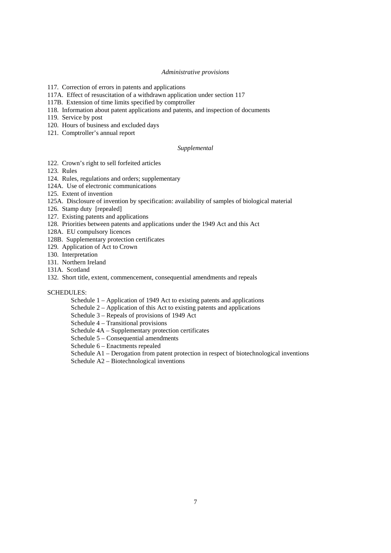#### *Administrative provisions*

117. Correction of errors in patents and applications

- 117A. Effect of resuscitation of a withdrawn application under section 117
- 117B. Extension of time limits specified by comptroller
- 118. Information about patent applications and patents, and inspection of documents
- 119. Service by post
- 120. Hours of business and excluded days
- 121. Comptroller's annual report

## *Supplemental*

- 122. Crown's right to sell forfeited articles
- 123. Rules
- 124. Rules, regulations and orders; supplementary
- 124A. Use of electronic communications
- 125. Extent of invention
- 125A. Disclosure of invention by specification: availability of samples of biological material
- 126. Stamp duty [repealed]
- 127. Existing patents and applications
- 128. Priorities between patents and applications under the 1949 Act and this Act
- 128A. EU compulsory licences
- 128B. Supplementary protection certificates
- 129. Application of Act to Crown
- 130. Interpretation
- 131. Northern Ireland
- 131A. Scotland
- 132. Short title, extent, commencement, consequential amendments and repeals

#### SCHEDULES:

- Schedule 1 Application of 1949 Act to existing patents and applications
- Schedule 2 Application of this Act to existing patents and applications
- Schedule 3 Repeals of provisions of 1949 Act
- Schedule 4 Transitional provisions
- Schedule 4A Supplementary protection certificates
- Schedule 5 Consequential amendments
- Schedule 6 Enactments repealed
- Schedule A1 Derogation from patent protection in respect of biotechnological inventions
- Schedule A2 Biotechnological inventions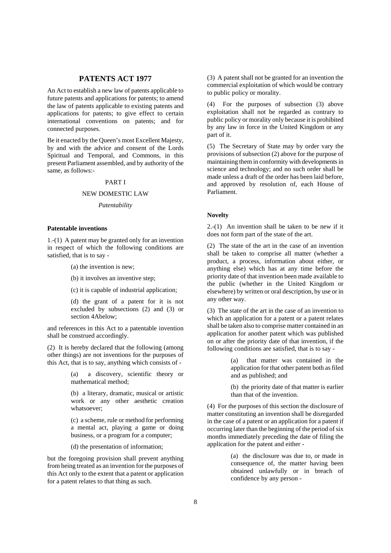## **PATENTS ACT 1977**

An Act to establish a new law of patents applicable to future patents and applications for patents; to amend the law of patents applicable to existing patents and applications for patents; to give effect to certain international conventions on patents; and for connected purposes.

Be it enacted by the Queen's most Excellent Majesty, by and with the advice and consent of the Lords Spiritual and Temporal, and Commons, in this present Parliament assembled, and by authority of the same, as follows:-

## PART I

## NEW DOMESTIC LAW

## *Patentability*

## **Patentable inventions**

1.-(1) A patent may be granted only for an invention in respect of which the following conditions are satisfied, that is to say -

(a) the invention is new;

(b) it involves an inventive step;

(c) it is capable of industrial application;

(d) the grant of a patent for it is not excluded by subsections (2) and (3) or section 4Abelow;

and references in this Act to a patentable invention shall be construed accordingly.

(2) It is hereby declared that the following (among other things) are not inventions for the purposes of this Act, that is to say, anything which consists of -

> (a) a discovery, scientific theory or mathematical method;

> (b) a literary, dramatic, musical or artistic work or any other aesthetic creation whatsoever;

> (c) a scheme, rule or method for performing a mental act, playing a game or doing business, or a program for a computer;

(d) the presentation of information;

but the foregoing provision shall prevent anything from being treated as an invention for the purposes of this Act only to the extent that a patent or application for a patent relates to that thing as such.

(3) A patent shall not be granted for an invention the commercial exploitation of which would be contrary to public policy or morality.

(4) For the purposes of subsection (3) above exploitation shall not be regarded as contrary to public policy or morality only because it is prohibited by any law in force in the United Kingdom or any part of it.

(5) The Secretary of State may by order vary the provisions of subsection (2) above for the purpose of maintaining them in conformity with developments in science and technology; and no such order shall be made unless a draft of the order has been laid before, and approved by resolution of, each House of Parliament.

#### **Novelty**

2.-(1) An invention shall be taken to be new if it does not form part of the state of the art.

(2) The state of the art in the case of an invention shall be taken to comprise all matter (whether a product, a process, information about either, or anything else) which has at any time before the priority date of that invention been made available to the public (whether in the United Kingdom or elsewhere) by written or oral description, by use or in any other way.

(3) The state of the art in the case of an invention to which an application for a patent or a patent relates shall be taken also to comprise matter contained in an application for another patent which was published on or after the priority date of that invention, if the following conditions are satisfied, that is to say -

> (a) that matter was contained in the application for that other patent both as filed and as published; and

> (b) the priority date of that matter is earlier than that of the invention.

(4) For the purposes of this section the disclosure of matter constituting an invention shall be disregarded in the case of a patent or an application for a patent if occurring later than the beginning of the period of six months immediately preceding the date of filing the application for the patent and either -

> (a) the disclosure was due to, or made in consequence of, the matter having been obtained unlawfully or in breach of confidence by any person -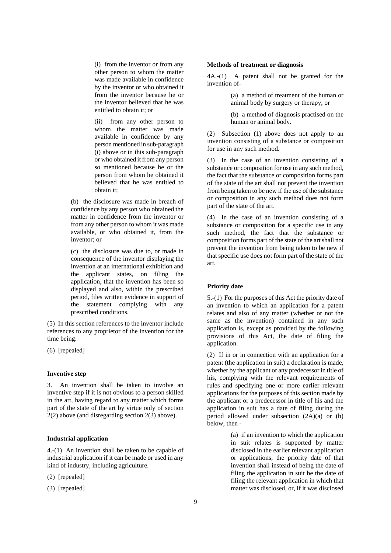(i) from the inventor or from any other person to whom the matter was made available in confidence by the inventor or who obtained it from the inventor because he or the inventor believed that he was entitled to obtain it; or

(ii) from any other person to whom the matter was made available in confidence by any person mentioned in sub-paragraph (i) above or in this sub-paragraph or who obtained it from any person so mentioned because he or the person from whom he obtained it believed that he was entitled to obtain it;

(b) the disclosure was made in breach of confidence by any person who obtained the matter in confidence from the inventor or from any other person to whom it was made available, or who obtained it, from the inventor; or

(c) the disclosure was due to, or made in consequence of the inventor displaying the invention at an international exhibition and the applicant states, on filing the application, that the invention has been so displayed and also, within the prescribed period, files written evidence in support of the statement complying with any prescribed conditions.

(5) In this section references to the inventor include references to any proprietor of the invention for the time being.

(6) [repealed]

#### **Inventive step**

3. An invention shall be taken to involve an inventive step if it is not obvious to a person skilled in the art, having regard to any matter which forms part of the state of the art by virtue only of section 2(2) above (and disregarding section 2(3) above).

#### **Industrial application**

4.-(1) An invention shall be taken to be capable of industrial application if it can be made or used in any kind of industry, including agriculture.

(2) [repealed]

(3) [repealed]

## **Methods of treatment or diagnosis**

4A.-(1) A patent shall not be granted for the invention of-

> (a) a method of treatment of the human or animal body by surgery or therapy, or

(b) a method of diagnosis practised on the human or animal body.

(2) Subsection (1) above does not apply to an invention consisting of a substance or composition for use in any such method.

(3) In the case of an invention consisting of a substance or composition for use in any such method, the fact that the substance or composition forms part of the state of the art shall not prevent the invention from being taken to be new if the use of the substance or composition in any such method does not form part of the state of the art.

(4) In the case of an invention consisting of a substance or composition for a specific use in any such method, the fact that the substance or composition forms part of the state of the art shall not prevent the invention from being taken to be new if that specific use does not form part of the state of the art.

## **Priority date**

5.-(1) For the purposes of this Act the priority date of an invention to which an application for a patent relates and also of any matter (whether or not the same as the invention) contained in any such application is, except as provided by the following provisions of this Act, the date of filing the application.

(2) If in or in connection with an application for a patent (the application in suit) a declaration is made, whether by the applicant or any predecessor in title of his, complying with the relevant requirements of rules and specifying one or more earlier relevant applications for the purposes of this section made by the applicant or a predecessor in title of his and the application in suit has a date of filing during the period allowed under subsection  $(2A)(a)$  or  $(b)$ below, then -

> (a) if an invention to which the application in suit relates is supported by matter disclosed in the earlier relevant application or applications, the priority date of that invention shall instead of being the date of filing the application in suit be the date of filing the relevant application in which that matter was disclosed, or, if it was disclosed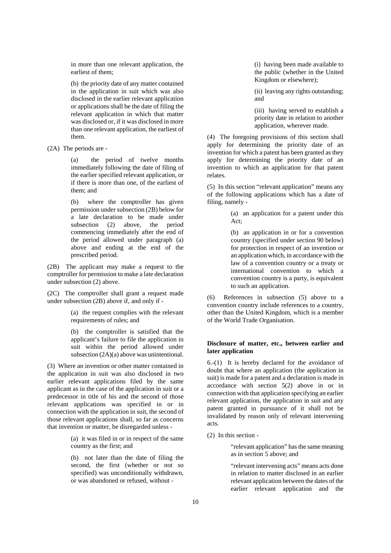in more than one relevant application, the earliest of them;

(b) the priority date of any matter contained in the application in suit which was also disclosed in the earlier relevant application or applications shall be the date of filing the relevant application in which that matter was disclosed or, if it was disclosed in more than one relevant application, the earliest of them.

(2A) The periods are -

(a) the period of twelve months immediately following the date of filing of the earlier specified relevant application, or if there is more than one, of the earliest of them; and

(b) where the comptroller has given permission under subsection (2B) below for a late declaration to be made under subsection (2) above, the period commencing immediately after the end of the period allowed under paragraph (a) above and ending at the end of the prescribed period.

(2B) The applicant may make a request to the comptroller for permission to make a late declaration under subsection (2) above.

(2C) The comptroller shall grant a request made under subsection (2B) above if, and only if -

> (a) the request complies with the relevant requirements of rules; and

> (b) the comptroller is satisfied that the applicant's failure to file the application in suit within the period allowed under subsection  $(2A)(a)$  above was unintentional.

(3) Where an invention or other matter contained in the application in suit was also disclosed in two earlier relevant applications filed by the same applicant as in the case of the application in suit or a predecessor in title of his and the second of those relevant applications was specified in or in connection with the application in suit, the second of those relevant applications shall, so far as concerns that invention or matter, be disregarded unless -

> (a) it was filed in or in respect of the same country as the first; and

> (b) not later than the date of filing the second, the first (whether or not so specified) was unconditionally withdrawn, or was abandoned or refused, without -

(i) having been made available to the public (whether in the United Kingdom or elsewhere);

(ii) leaving any rights outstanding; and

(iii) having served to establish a priority date in relation to another application, wherever made.

(4) The foregoing provisions of this section shall apply for determining the priority date of an invention for which a patent has been granted as they apply for determining the priority date of an invention to which an application for that patent relates.

(5) In this section "relevant application" means any of the following applications which has a date of filing, namely -

> (a) an application for a patent under this Act;

> (b) an application in or for a convention country (specified under section 90 below) for protection in respect of an invention or an application which, in accordance with the law of a convention country or a treaty or international convention to which a convention country is a party, is equivalent to such an application.

(6) References in subsection (5) above to a convention country include references to a country, other than the United Kingdom, which is a member of the World Trade Organisation.

## **Disclosure of matter, etc., between earlier and later application**

6.-(1) It is hereby declared for the avoidance of doubt that where an application (the application in suit) is made for a patent and a declaration is made in accordance with section 5(2) above in or in connection with that application specifying an earlier relevant application, the application in suit and any patent granted in pursuance of it shall not be invalidated by reason only of relevant intervening acts.

(2) In this section -

"relevant application" has the same meaning as in section 5 above; and

"relevant intervening acts" means acts done in relation to matter disclosed in an earlier relevant application between the dates of the earlier relevant application and the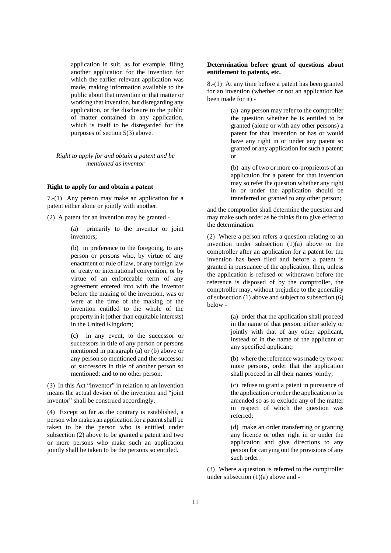application in suit, as for example, filing another application for the invention for which the earlier relevant application was made, making information available to the public about that invention or that matter or working that invention, but disregarding any application, or the disclosure to the public of matter contained in any application, which is itself to be disregarded for the purposes of section 5(3) above.

*Right to apply for and obtain a patent and be mentioned as inventor* 

#### **Right to apply for and obtain a patent**

7.-(1) Any person may make an application for a patent either alone or jointly with another.

(2) A patent for an invention may be granted -

(a) primarily to the inventor or joint inventors;

(b) in preference to the foregoing, to any person or persons who, by virtue of any enactment or rule of law, or any foreign law or treaty or international convention, or by virtue of an enforceable term of any agreement entered into with the inventor before the making of the invention, was or were at the time of the making of the invention entitled to the whole of the property in it (other than equitable interests) in the United Kingdom;

(c) in any event, to the successor or successors in title of any person or persons mentioned in paragraph (a) or (b) above or any person so mentioned and the successor or successors in title of another person so mentioned; and to no other person.

(3) In this Act "inventor" in relation to an invention means the actual deviser of the invention and "joint inventor" shall be construed accordingly.

(4) Except so far as the contrary is established, a person who makes an application for a patent shall be taken to be the person who is entitled under subsection (2) above to be granted a patent and two or more persons who make such an application jointly shall be taken to be the persons so entitled.

## **Determination before grant of questions about entitlement to patents, etc.**

8.-(1) At any time before a patent has been granted for an invention (whether or not an application has been made for it) -

> (a) any person may refer to the comptroller the question whether he is entitled to be granted (alone or with any other persons) a patent for that invention or has or would have any right in or under any patent so granted or any application for such a patent; or

> (b) any of two or more co-proprietors of an application for a patent for that invention may so refer the question whether any right in or under the application should be transferred or granted to any other person;

and the comptroller shall determine the question and may make such order as he thinks fit to give effect to the determination.

(2) Where a person refers a question relating to an invention under subsection  $(1)(a)$  above to the comptroller after an application for a patent for the invention has been filed and before a patent is granted in pursuance of the application, then, unless the application is refused or withdrawn before the reference is disposed of by the comptroller, the comptroller may, without prejudice to the generality of subsection (1) above and subject to subsection (6) below -

> (a) order that the application shall proceed in the name of that person, either solely or jointly with that of any other applicant, instead of in the name of the applicant or any specified applicant;

> (b) where the reference was made by two or more persons, order that the application shall proceed in all their names jointly;

> (c) refuse to grant a patent in pursuance of the application or order the application to be amended so as to exclude any of the matter in respect of which the question was referred;

> (d) make an order transferring or granting any licence or other right in or under the application and give directions to any person for carrying out the provisions of any such order.

(3) Where a question is referred to the comptroller under subsection (1)(a) above and -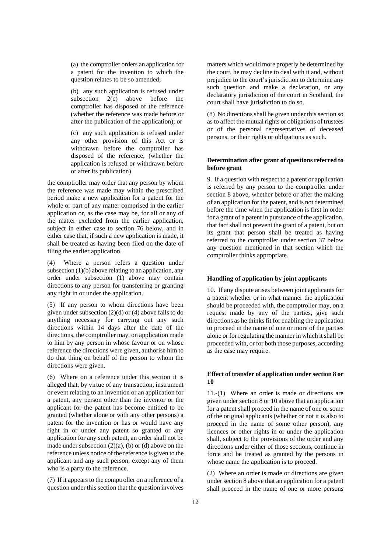(a) the comptroller orders an application for a patent for the invention to which the question relates to be so amended;

(b) any such application is refused under subsection 2(c) above before the comptroller has disposed of the reference (whether the reference was made before or after the publication of the application); or

(c) any such application is refused under any other provision of this Act or is withdrawn before the comptroller has disposed of the reference, (whether the application is refused or withdrawn before or after its publication)

the comptroller may order that any person by whom the reference was made may within the prescribed period make a new application for a patent for the whole or part of any matter comprised in the earlier application or, as the case may be, for all or any of the matter excluded from the earlier application, subject in either case to section 76 below, and in either case that, if such a new application is made, it shall be treated as having been filed on the date of filing the earlier application.

(4) Where a person refers a question under subsection  $(1)(b)$  above relating to an application, any order under subsection (1) above may contain directions to any person for transferring or granting any right in or under the application.

(5) If any person to whom directions have been given under subsection (2)(d) or (4) above fails to do anything necessary for carrying out any such directions within 14 days after the date of the directions, the comptroller may, on application made to him by any person in whose favour or on whose reference the directions were given, authorise him to do that thing on behalf of the person to whom the directions were given.

(6) Where on a reference under this section it is alleged that, by virtue of any transaction, instrument or event relating to an invention or an application for a patent, any person other than the inventor or the applicant for the patent has become entitled to be granted (whether alone or with any other persons) a patent for the invention or has or would have any right in or under any patent so granted or any application for any such patent, an order shall not be made under subsection  $(2)(a)$ ,  $(b)$  or  $(d)$  above on the reference unless notice of the reference is given to the applicant and any such person, except any of them who is a party to the reference.

(7) If it appears to the comptroller on a reference of a question under this section that the question involves

matters which would more properly be determined by the court, he may decline to deal with it and, without prejudice to the court's jurisdiction to determine any such question and make a declaration, or any declaratory jurisdiction of the court in Scotland, the court shall have jurisdiction to do so.

(8) No directions shall be given under this section so as to affect the mutual rights or obligations of trustees or of the personal representatives of deceased persons, or their rights or obligations as such.

## **Determination after grant of questions referred to before grant**

9. If a question with respect to a patent or application is referred by any person to the comptroller under section 8 above, whether before or after the making of an application for the patent, and is not determined before the time when the application is first in order for a grant of a patent in pursuance of the application, that fact shall not prevent the grant of a patent, but on its grant that person shall be treated as having referred to the comptroller under section 37 below any question mentioned in that section which the comptroller thinks appropriate.

## **Handling of application by joint applicants**

10. If any dispute arises between joint applicants for a patent whether or in what manner the application should be proceeded with, the comptroller may, on a request made by any of the parties, give such directions as he thinks fit for enabling the application to proceed in the name of one or more of the parties alone or for regulating the manner in which it shall be proceeded with, or for both those purposes, according as the case may require.

## **Effect of transfer of application under section 8 or 10**

11.-(1) Where an order is made or directions are given under section 8 or 10 above that an application for a patent shall proceed in the name of one or some of the original applicants (whether or not it is also to proceed in the name of some other person), any licences or other rights in or under the application shall, subject to the provisions of the order and any directions under either of those sections, continue in force and be treated as granted by the persons in whose name the application is to proceed.

(2) Where an order is made or directions are given under section 8 above that an application for a patent shall proceed in the name of one or more persons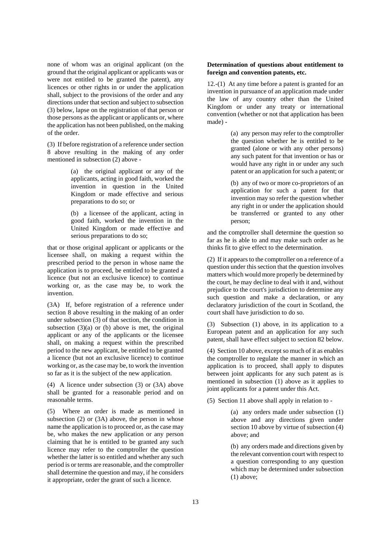none of whom was an original applicant (on the ground that the original applicant or applicants was or were not entitled to be granted the patent), any licences or other rights in or under the application shall, subject to the provisions of the order and any directions under that section and subject to subsection (3) below, lapse on the registration of that person or those persons as the applicant or applicants or, where the application has not been published, on the making of the order.

(3) If before registration of a reference under section 8 above resulting in the making of any order mentioned in subsection (2) above -

> (a) the original applicant or any of the applicants, acting in good faith, worked the invention in question in the United Kingdom or made effective and serious preparations to do so; or

> (b) a licensee of the applicant, acting in good faith, worked the invention in the United Kingdom or made effective and serious preparations to do so;

that or those original applicant or applicants or the licensee shall, on making a request within the prescribed period to the person in whose name the application is to proceed, be entitled to be granted a licence (but not an exclusive licence) to continue working or, as the case may be, to work the invention.

(3A) If, before registration of a reference under section 8 above resulting in the making of an order under subsection (3) of that section, the condition in subsection  $(3)(a)$  or (b) above is met, the original applicant or any of the applicants or the licensee shall, on making a request within the prescribed period to the new applicant, be entitled to be granted a licence (but not an exclusive licence) to continue working or, as the case may be, to work the invention so far as it is the subject of the new application.

(4) A licence under subsection (3) or (3A) above shall be granted for a reasonable period and on reasonable terms.

(5) Where an order is made as mentioned in subsection  $(2)$  or  $(3A)$  above, the person in whose name the application is to proceed or, as the case may be, who makes the new application or any person claiming that he is entitled to be granted any such licence may refer to the comptroller the question whether the latter is so entitled and whether any such period is or terms are reasonable, and the comptroller shall determine the question and may, if he considers it appropriate, order the grant of such a licence.

## **Determination of questions about entitlement to foreign and convention patents, etc.**

12.-(1) At any time before a patent is granted for an invention in pursuance of an application made under the law of any country other than the United Kingdom or under any treaty or international convention (whether or not that application has been made) -

> (a) any person may refer to the comptroller the question whether he is entitled to be granted (alone or with any other persons) any such patent for that invention or has or would have any right in or under any such patent or an application for such a patent; or

> (b) any of two or more co-proprietors of an application for such a patent for that invention may so refer the question whether any right in or under the application should be transferred or granted to any other person;

and the comptroller shall determine the question so far as he is able to and may make such order as he thinks fit to give effect to the determination.

(2) If it appears to the comptroller on a reference of a question under this section that the question involves matters which would more properly be determined by the court, he may decline to deal with it and, without prejudice to the court's jurisdiction to determine any such question and make a declaration, or any declaratory jurisdiction of the court in Scotland, the court shall have jurisdiction to do so.

(3) Subsection (1) above, in its application to a European patent and an application for any such patent, shall have effect subject to section 82 below.

(4) Section 10 above, except so much of it as enables the comptroller to regulate the manner in which an application is to proceed, shall apply to disputes between joint applicants for any such patent as is mentioned in subsection (1) above as it applies to joint applicants for a patent under this Act.

(5) Section 11 above shall apply in relation to -

(a) any orders made under subsection (1) above and any directions given under section 10 above by virtue of subsection (4) above; and

(b) any orders made and directions given by the relevant convention court with respect to a question corresponding to any question which may be determined under subsection (1) above;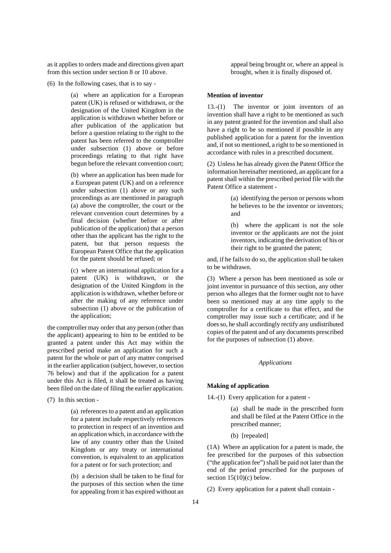as it applies to orders made and directions given apart from this section under section 8 or 10 above.

(6) In the following cases, that is to say -

(a) where an application for a European patent (UK) is refused or withdrawn, or the designation of the United Kingdom in the application is withdrawn whether before or after publication of the application but before a question relating to the right to the patent has been referred to the comptroller under subsection (1) above or before proceedings relating to that right have begun before the relevant convention court;

(b) where an application has been made for a European patent (UK) and on a reference under subsection (1) above or any such proceedings as are mentioned in paragraph (a) above the comptroller, the court or the relevant convention court determines by a final decision (whether before or after publication of the application) that a person other than the applicant has the right to the patent, but that person requests the European Patent Office that the application for the patent should be refused; or

(c) where an international application for a patent (UK) is withdrawn, or the designation of the United Kingdom in the application is withdrawn, whether before or after the making of any reference under subsection (1) above or the publication of the application;

the comptroller may order that any person (other than the applicant) appearing to him to be entitled to be granted a patent under this Act may within the prescribed period make an application for such a patent for the whole or part of any matter comprised in the earlier application (subject, however, to section 76 below) and that if the application for a patent under this Act is filed, it shall be treated as having been filed on the date of filing the earlier application.

(7) In this section -

(a) references to a patent and an application for a patent include respectively references to protection in respect of an invention and an application which, in accordance with the law of any country other than the United Kingdom or any treaty or international convention, is equivalent to an application for a patent or for such protection; and

(b) a decision shall be taken to be final for the purposes of this section when the time for appealing from it has expired without an

appeal being brought or, where an appeal is brought, when it is finally disposed of.

#### **Mention of inventor**

13.-(1) The inventor or joint inventors of an invention shall have a right to be mentioned as such in any patent granted for the invention and shall also have a right to be so mentioned if possible in any published application for a patent for the invention and, if not so mentioned, a right to be so mentioned in accordance with rules in a prescribed document.

(2) Unless he has already given the Patent Office the information hereinafter mentioned, an applicant for a patent shall within the prescribed period file with the Patent Office a statement -

> (a) identifying the person or persons whom he believes to be the inventor or inventors; and

> (b) where the applicant is not the sole inventor or the applicants are not the joint inventors, indicating the derivation of his or their right to be granted the patent;

and, if he fails to do so, the application shall be taken to be withdrawn.

(3) Where a person has been mentioned as sole or joint inventor in pursuance of this section, any other person who alleges that the former ought not to have been so mentioned may at any time apply to the comptroller for a certificate to that effect, and the comptroller may issue such a certificate; and if he does so, he shall accordingly rectify any undistributed copies of the patent and of any documents prescribed for the purposes of subsection (1) above.

#### *Applications*

## **Making of application**

14.-(1) Every application for a patent -

(a) shall be made in the prescribed form and shall be filed at the Patent Office in the prescribed manner;

(b) [repealed]

(1A) Where an application for a patent is made, the fee prescribed for the purposes of this subsection ("the application fee") shall be paid not later than the end of the period prescribed for the purposes of section 15(10)(c) below.

(2) Every application for a patent shall contain -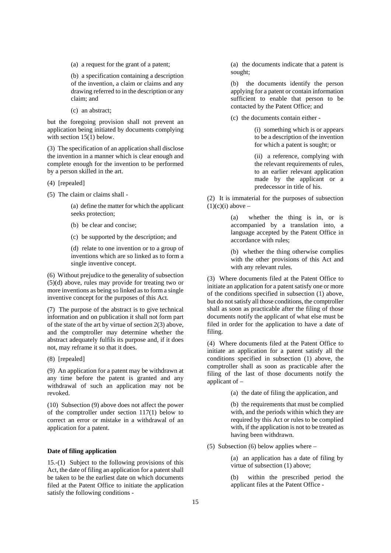(a) a request for the grant of a patent;

(b) a specification containing a description of the invention, a claim or claims and any drawing referred to in the description or any claim; and

(c) an abstract;

but the foregoing provision shall not prevent an application being initiated by documents complying with section  $15(1)$  below.

(3) The specification of an application shall disclose the invention in a manner which is clear enough and complete enough for the invention to be performed by a person skilled in the art.

- (4) [repealed]
- (5) The claim or claims shall -

(a) define the matter for which the applicant seeks protection;

- (b) be clear and concise;
- (c) be supported by the description; and

(d) relate to one invention or to a group of inventions which are so linked as to form a single inventive concept.

(6) Without prejudice to the generality of subsection (5)(d) above, rules may provide for treating two or more inventions as being so linked as to form a single inventive concept for the purposes of this Act.

(7) The purpose of the abstract is to give technical information and on publication it shall not form part of the state of the art by virtue of section 2(3) above, and the comptroller may determine whether the abstract adequately fulfils its purpose and, if it does not, may reframe it so that it does.

(8) [repealed]

(9) An application for a patent may be withdrawn at any time before the patent is granted and any withdrawal of such an application may not be revoked.

(10) Subsection (9) above does not affect the power of the comptroller under section 117(1) below to correct an error or mistake in a withdrawal of an application for a patent.

## **Date of filing application**

15.-(1) Subject to the following provisions of this Act, the date of filing an application for a patent shall be taken to be the earliest date on which documents filed at the Patent Office to initiate the application satisfy the following conditions -

(a) the documents indicate that a patent is sought;

(b) the documents identify the person applying for a patent or contain information sufficient to enable that person to be contacted by the Patent Office; and

(c) the documents contain either -

(i) something which is or appears to be a description of the invention for which a patent is sought; or

(ii) a reference, complying with the relevant requirements of rules, to an earlier relevant application made by the applicant or a predecessor in title of his.

(2) It is immaterial for the purposes of subsection  $(1)(c)(i)$  above –

> (a) whether the thing is in, or is accompanied by a translation into, a language accepted by the Patent Office in accordance with rules;

> (b) whether the thing otherwise complies with the other provisions of this Act and with any relevant rules.

(3) Where documents filed at the Patent Office to initiate an application for a patent satisfy one or more of the conditions specified in subsection (1) above, but do not satisfy all those conditions, the comptroller shall as soon as practicable after the filing of those documents notify the applicant of what else must be filed in order for the application to have a date of filing.

(4) Where documents filed at the Patent Office to initiate an application for a patent satisfy all the conditions specified in subsection (1) above, the comptroller shall as soon as practicable after the filing of the last of those documents notify the applicant of –

(a) the date of filing the application, and

(b) the requirements that must be complied with, and the periods within which they are required by this Act or rules to be complied with, if the application is not to be treated as having been withdrawn.

(5) Subsection (6) below applies where –

(a) an application has a date of filing by virtue of subsection (1) above;

(b) within the prescribed period the applicant files at the Patent Office -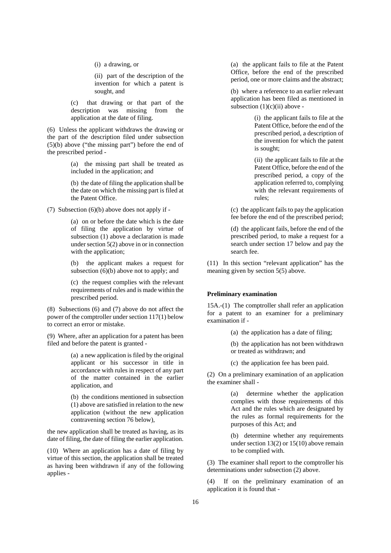(i) a drawing, or

(ii) part of the description of the invention for which a patent is sought, and

(c) that drawing or that part of the description was missing from the application at the date of filing.

(6) Unless the applicant withdraws the drawing or the part of the description filed under subsection (5)(b) above ("the missing part") before the end of the prescribed period -

> (a) the missing part shall be treated as included in the application; and

> (b) the date of filing the application shall be the date on which the missing part is filed at the Patent Office.

(7) Subsection (6)(b) above does not apply if -

(a) on or before the date which is the date of filing the application by virtue of subsection (1) above a declaration is made under section 5(2) above in or in connection with the application;

(b) the applicant makes a request for subsection (6)(b) above not to apply; and

(c) the request complies with the relevant requirements of rules and is made within the prescribed period.

(8) Subsections (6) and (7) above do not affect the power of the comptroller under section 117(1) below to correct an error or mistake.

(9) Where, after an application for a patent has been filed and before the patent is granted -

> (a) a new application is filed by the original applicant or his successor in title in accordance with rules in respect of any part of the matter contained in the earlier application, and

> (b) the conditions mentioned in subsection (1) above are satisfied in relation to the new application (without the new application contravening section 76 below),

the new application shall be treated as having, as its date of filing, the date of filing the earlier application.

(10) Where an application has a date of filing by virtue of this section, the application shall be treated as having been withdrawn if any of the following applies -

(a) the applicant fails to file at the Patent Office, before the end of the prescribed period, one or more claims and the abstract;

(b) where a reference to an earlier relevant application has been filed as mentioned in subsection  $(1)(c)(ii)$  above -

> (i) the applicant fails to file at the Patent Office, before the end of the prescribed period, a description of the invention for which the patent is sought;

> (ii) the applicant fails to file at the Patent Office, before the end of the prescribed period, a copy of the application referred to, complying with the relevant requirements of rules;

(c) the applicant fails to pay the application fee before the end of the prescribed period;

(d) the applicant fails, before the end of the prescribed period, to make a request for a search under section 17 below and pay the search fee.

(11) In this section "relevant application" has the meaning given by section 5(5) above.

#### **Preliminary examination**

15A.-(1) The comptroller shall refer an application for a patent to an examiner for a preliminary examination if -

(a) the application has a date of filing;

(b) the application has not been withdrawn or treated as withdrawn; and

(c) the application fee has been paid.

(2) On a preliminary examination of an application the examiner shall -

> (a) determine whether the application complies with those requirements of this Act and the rules which are designated by the rules as formal requirements for the purposes of this Act; and

> (b) determine whether any requirements under section 13(2) or 15(10) above remain to be complied with.

(3) The examiner shall report to the comptroller his determinations under subsection (2) above.

(4) If on the preliminary examination of an application it is found that -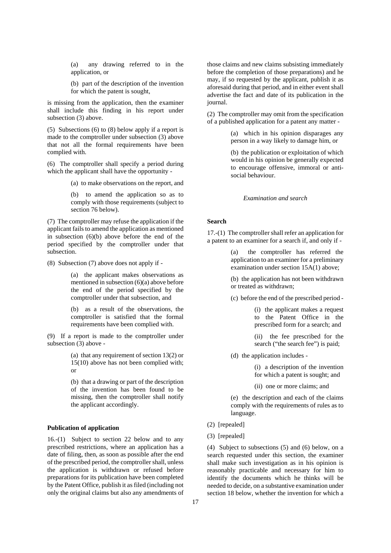(a) any drawing referred to in the application, or

(b) part of the description of the invention for which the patent is sought,

is missing from the application, then the examiner shall include this finding in his report under subsection (3) above.

(5) Subsections (6) to (8) below apply if a report is made to the comptroller under subsection (3) above that not all the formal requirements have been complied with.

(6) The comptroller shall specify a period during which the applicant shall have the opportunity -

(a) to make observations on the report, and

(b) to amend the application so as to comply with those requirements (subject to section 76 below).

(7) The comptroller may refuse the application if the applicant fails to amend the application as mentioned in subsection (6)(b) above before the end of the period specified by the comptroller under that subsection.

(8) Subsection (7) above does not apply if -

(a) the applicant makes observations as mentioned in subsection (6)(a) above before the end of the period specified by the comptroller under that subsection, and

(b) as a result of the observations, the comptroller is satisfied that the formal requirements have been complied with.

(9) If a report is made to the comptroller under subsection (3) above -

> (a) that any requirement of section 13(2) or 15(10) above has not been complied with; or

> (b) that a drawing or part of the description of the invention has been found to be missing, then the comptroller shall notify the applicant accordingly.

## **Publication of application**

16.-(1) Subject to section 22 below and to any prescribed restrictions, where an application has a date of filing, then, as soon as possible after the end of the prescribed period, the comptroller shall, unless the application is withdrawn or refused before preparations for its publication have been completed by the Patent Office, publish it as filed (including not only the original claims but also any amendments of

those claims and new claims subsisting immediately before the completion of those preparations) and he may, if so requested by the applicant, publish it as aforesaid during that period, and in either event shall advertise the fact and date of its publication in the journal.

(2) The comptroller may omit from the specification of a published application for a patent any matter -

> (a) which in his opinion disparages any person in a way likely to damage him, or

(b) the publication or exploitation of which would in his opinion be generally expected to encourage offensive, immoral or antisocial behaviour.

## *Examination and search*

## **Search**

17.-(1) The comptroller shall refer an application for a patent to an examiner for a search if, and only if -

> (a) the comptroller has referred the application to an examiner for a preliminary examination under section 15A(1) above;

> (b) the application has not been withdrawn or treated as withdrawn;

> (c) before the end of the prescribed period -

(i) the applicant makes a request to the Patent Office in the prescribed form for a search; and

(ii) the fee prescribed for the search ("the search fee") is paid;

(d) the application includes -

(i) a description of the invention for which a patent is sought; and

(ii) one or more claims; and

(e) the description and each of the claims comply with the requirements of rules as to language.

- (2) [repealed]
- (3) [repealed]

(4) Subject to subsections (5) and (6) below, on a search requested under this section, the examiner shall make such investigation as in his opinion is reasonably practicable and necessary for him to identify the documents which he thinks will be needed to decide, on a substantive examination under section 18 below, whether the invention for which a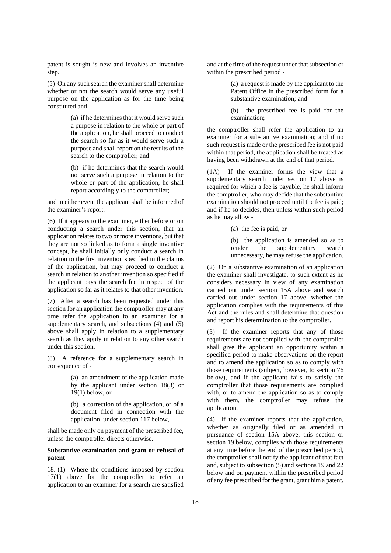patent is sought is new and involves an inventive step.

(5) On any such search the examiner shall determine whether or not the search would serve any useful purpose on the application as for the time being constituted and -

> (a) if he determines that it would serve such a purpose in relation to the whole or part of the application, he shall proceed to conduct the search so far as it would serve such a purpose and shall report on the results of the search to the comptroller; and

> (b) if he determines that the search would not serve such a purpose in relation to the whole or part of the application, he shall report accordingly to the comptroller;

and in either event the applicant shall be informed of the examiner's report.

(6) If it appears to the examiner, either before or on conducting a search under this section, that an application relates to two or more inventions, but that they are not so linked as to form a single inventive concept, he shall initially only conduct a search in relation to the first invention specified in the claims of the application, but may proceed to conduct a search in relation to another invention so specified if the applicant pays the search fee in respect of the application so far as it relates to that other invention.

(7) After a search has been requested under this section for an application the comptroller may at any time refer the application to an examiner for a supplementary search, and subsections (4) and (5) above shall apply in relation to a supplementary search as they apply in relation to any other search under this section.

(8) A reference for a supplementary search in consequence of -

> (a) an amendment of the application made by the applicant under section 18(3) or  $19(1)$  below, or

> (b) a correction of the application, or of a document filed in connection with the application, under section 117 below,

shall be made only on payment of the prescribed fee, unless the comptroller directs otherwise.

## **Substantive examination and grant or refusal of patent**

18.-(1) Where the conditions imposed by section 17(1) above for the comptroller to refer an application to an examiner for a search are satisfied

and at the time of the request under that subsection or within the prescribed period -

> (a) a request is made by the applicant to the Patent Office in the prescribed form for a substantive examination; and

> (b) the prescribed fee is paid for the examination;

the comptroller shall refer the application to an examiner for a substantive examination; and if no such request is made or the prescribed fee is not paid within that period, the application shall be treated as having been withdrawn at the end of that period.

(1A) If the examiner forms the view that a supplementary search under section 17 above is required for which a fee is payable, he shall inform the comptroller, who may decide that the substantive examination should not proceed until the fee is paid; and if he so decides, then unless within such period as he may allow -

(a) the fee is paid, or

(b) the application is amended so as to render the supplementary search unnecessary, he may refuse the application.

(2) On a substantive examination of an application the examiner shall investigate, to such extent as he considers necessary in view of any examination carried out under section 15A above and search carried out under section 17 above, whether the application complies with the requirements of this Act and the rules and shall determine that question and report his determination to the comptroller.

If the examiner reports that any of those requirements are not complied with, the comptroller shall give the applicant an opportunity within a specified period to make observations on the report and to amend the application so as to comply with those requirements (subject, however, to section 76 below), and if the applicant fails to satisfy the comptroller that those requirements are complied with, or to amend the application so as to comply with them, the comptroller may refuse the application.

(4) If the examiner reports that the application, whether as originally filed or as amended in pursuance of section 15A above, this section or section 19 below, complies with those requirements at any time before the end of the prescribed period, the comptroller shall notify the applicant of that fact and, subject to subsection (5) and sections 19 and 22 below and on payment within the prescribed period of any fee prescribed for the grant, grant him a patent.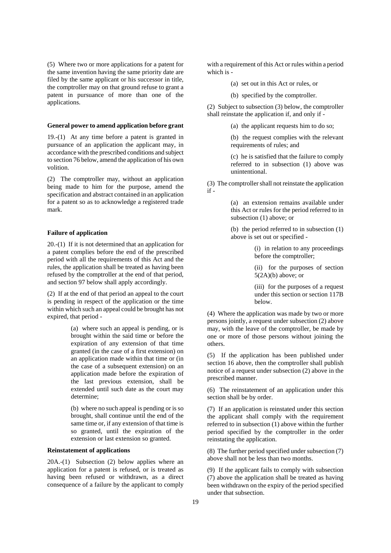(5) Where two or more applications for a patent for the same invention having the same priority date are filed by the same applicant or his successor in title, the comptroller may on that ground refuse to grant a patent in pursuance of more than one of the applications.

## **General power to amend application before grant**

19.-(1) At any time before a patent is granted in pursuance of an application the applicant may, in accordance with the prescribed conditions and subject to section 76 below, amend the application of his own volition.

(2) The comptroller may, without an application being made to him for the purpose, amend the specification and abstract contained in an application for a patent so as to acknowledge a registered trade mark.

## **Failure of application**

20.-(1) If it is not determined that an application for a patent complies before the end of the prescribed period with all the requirements of this Act and the rules, the application shall be treated as having been refused by the comptroller at the end of that period, and section 97 below shall apply accordingly.

(2) If at the end of that period an appeal to the court is pending in respect of the application or the time within which such an appeal could be brought has not expired, that period -

> (a) where such an appeal is pending, or is brought within the said time or before the expiration of any extension of that time granted (in the case of a first extension) on an application made within that time or (in the case of a subsequent extension) on an application made before the expiration of the last previous extension, shall be extended until such date as the court may determine;

> (b) where no such appeal is pending or is so brought, shall continue until the end of the same time or, if any extension of that time is so granted, until the expiration of the extension or last extension so granted.

## **Reinstatement of applications**

20A.-(1) Subsection (2) below applies where an application for a patent is refused, or is treated as having been refused or withdrawn, as a direct consequence of a failure by the applicant to comply

with a requirement of this Act or rules within a period which is -

(a) set out in this Act or rules, or

(b) specified by the comptroller.

(2) Subject to subsection (3) below, the comptroller shall reinstate the application if, and only if -

(a) the applicant requests him to do so;

(b) the request complies with the relevant requirements of rules; and

(c) he is satisfied that the failure to comply referred to in subsection (1) above was unintentional.

(3) The comptroller shall not reinstate the application  $if -$ 

> (a) an extension remains available under this Act or rules for the period referred to in subsection (1) above; or

> (b) the period referred to in subsection (1) above is set out or specified -

> > (i) in relation to any proceedings before the comptroller;

> > (ii) for the purposes of section  $5(2A)(b)$  above; or

> > (iii) for the purposes of a request under this section or section 117B below.

(4) Where the application was made by two or more persons jointly, a request under subsection (2) above may, with the leave of the comptroller, be made by one or more of those persons without joining the others.

(5) If the application has been published under section 16 above, then the comptroller shall publish notice of a request under subsection (2) above in the prescribed manner.

(6) The reinstatement of an application under this section shall be by order.

(7) If an application is reinstated under this section the applicant shall comply with the requirement referred to in subsection (1) above within the further period specified by the comptroller in the order reinstating the application.

(8) The further period specified under subsection (7) above shall not be less than two months.

(9) If the applicant fails to comply with subsection (7) above the application shall be treated as having been withdrawn on the expiry of the period specified under that subsection.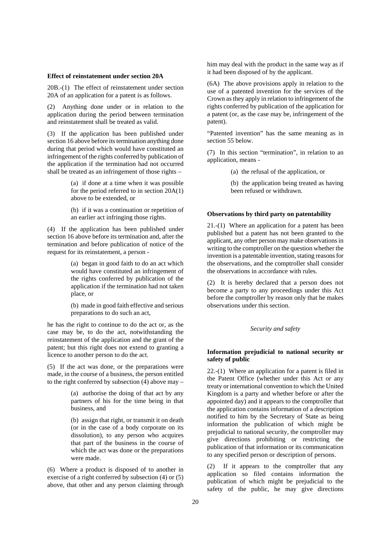#### **Effect of reinstatement under section 20A**

20B.-(1) The effect of reinstatement under section 20A of an application for a patent is as follows.

(2) Anything done under or in relation to the application during the period between termination and reinstatement shall be treated as valid.

(3) If the application has been published under section 16 above before its termination anything done during that period which would have constituted an infringement of the rights conferred by publication of the application if the termination had not occurred shall be treated as an infringement of those rights –

> (a) if done at a time when it was possible for the period referred to in section 20A(1) above to be extended, or

> (b) if it was a continuation or repetition of an earlier act infringing those rights.

(4) If the application has been published under section 16 above before its termination and, after the termination and before publication of notice of the request for its reinstatement, a person -

> (a) began in good faith to do an act which would have constituted an infringement of the rights conferred by publication of the application if the termination had not taken place, or

> (b) made in good faith effective and serious preparations to do such an act,

he has the right to continue to do the act or, as the case may be, to do the act, notwithstanding the reinstatement of the application and the grant of the patent; but this right does not extend to granting a licence to another person to do the act.

(5) If the act was done, or the preparations were made, in the course of a business, the person entitled to the right conferred by subsection (4) above may –

> (a) authorise the doing of that act by any partners of his for the time being in that business, and

> (b) assign that right, or transmit it on death (or in the case of a body corporate on its dissolution), to any person who acquires that part of the business in the course of which the act was done or the preparations were made.

(6) Where a product is disposed of to another in exercise of a right conferred by subsection (4) or (5) above, that other and any person claiming through

him may deal with the product in the same way as if it had been disposed of by the applicant.

(6A) The above provisions apply in relation to the use of a patented invention for the services of the Crown as they apply in relation to infringement of the rights conferred by publication of the application for a patent (or, as the case may be, infringement of the patent).

"Patented invention" has the same meaning as in section 55 below.

(7) In this section "termination", in relation to an application, means -

- (a) the refusal of the application, or
- (b) the application being treated as having been refused or withdrawn.

## **Observations by third party on patentability**

21.-(1) Where an application for a patent has been published but a patent has not been granted to the applicant, any other person may make observations in writing to the comptroller on the question whether the invention is a patentable invention, stating reasons for the observations, and the comptroller shall consider the observations in accordance with rules.

(2) It is hereby declared that a person does not become a party to any proceedings under this Act before the comptroller by reason only that he makes observations under this section.

#### *Security and safety*

#### **Information prejudicial to national security or safety of public**

22.-(1) Where an application for a patent is filed in the Patent Office (whether under this Act or any treaty or international convention to which the United Kingdom is a party and whether before or after the appointed day) and it appears to the comptroller that the application contains information of a description notified to him by the Secretary of State as being information the publication of which might be prejudicial to national security, the comptroller may give directions prohibiting or restricting the publication of that information or its communication to any specified person or description of persons.

(2) If it appears to the comptroller that any application so filed contains information the publication of which might be prejudicial to the safety of the public, he may give directions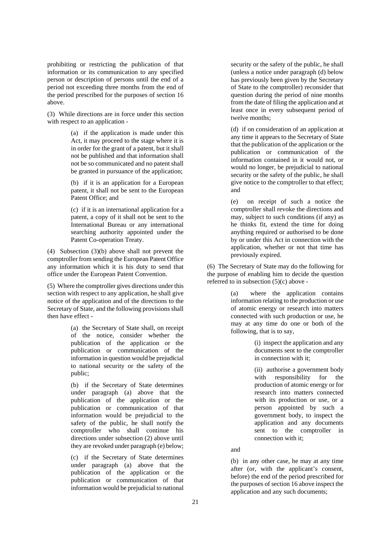prohibiting or restricting the publication of that information or its communication to any specified person or description of persons until the end of a period not exceeding three months from the end of the period prescribed for the purposes of section 16 above.

(3) While directions are in force under this section with respect to an application -

> (a) if the application is made under this Act, it may proceed to the stage where it is in order for the grant of a patent, but it shall not be published and that information shall not be so communicated and no patent shall be granted in pursuance of the application;

> (b) if it is an application for a European patent, it shall not be sent to the European Patent Office; and

> (c) if it is an international application for a patent, a copy of it shall not be sent to the International Bureau or any international searching authority appointed under the Patent Co-operation Treaty.

(4) Subsection (3)(b) above shall not prevent the comptroller from sending the European Patent Office any information which it is his duty to send that office under the European Patent Convention.

(5) Where the comptroller gives directions under this section with respect to any application, he shall give notice of the application and of the directions to the Secretary of State, and the following provisions shall then have effect -

> (a) the Secretary of State shall, on receipt of the notice, consider whether the publication of the application or the publication or communication of the information in question would be prejudicial to national security or the safety of the public;

> (b) if the Secretary of State determines under paragraph (a) above that the publication of the application or the publication or communication of that information would be prejudicial to the safety of the public, he shall notify the comptroller who shall continue his directions under subsection (2) above until they are revoked under paragraph (e) below;

> (c) if the Secretary of State determines under paragraph (a) above that the publication of the application or the publication or communication of that information would be prejudicial to national

security or the safety of the public, he shall (unless a notice under paragraph (d) below has previously been given by the Secretary of State to the comptroller) reconsider that question during the period of nine months from the date of filing the application and at least once in every subsequent period of twelve months;

(d) if on consideration of an application at any time it appears to the Secretary of State that the publication of the application or the publication or communication of the information contained in it would not, or would no longer, be prejudicial to national security or the safety of the public, he shall give notice to the comptroller to that effect; and

(e) on receipt of such a notice the comptroller shall revoke the directions and may, subject to such conditions (if any) as he thinks fit, extend the time for doing anything required or authorised to be done by or under this Act in connection with the application, whether or not that time has previously expired.

(6) The Secretary of State may do the following for the purpose of enabling him to decide the question referred to in subsection (5)(c) above -

> (a) where the application contains information relating to the production or use of atomic energy or research into matters connected with such production or use, he may at any time do one or both of the following, that is to say,

> > (i) inspect the application and any documents sent to the comptroller in connection with it;

> > (ii) authorise a government body with responsibility for the production of atomic energy or for research into matters connected with its production or use, or a person appointed by such a government body, to inspect the application and any documents sent to the comptroller in connection with it;

and

(b) in any other case, he may at any time after (or, with the applicant's consent, before) the end of the period prescribed for the purposes of section 16 above inspect the application and any such documents;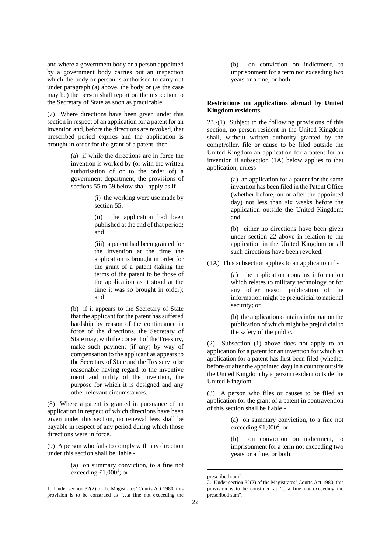and where a government body or a person appointed by a government body carries out an inspection which the body or person is authorised to carry out under paragraph (a) above, the body or (as the case may be) the person shall report on the inspection to the Secretary of State as soon as practicable.

(7) Where directions have been given under this section in respect of an application for a patent for an invention and, before the directions are revoked, that prescribed period expires and the application is brought in order for the grant of a patent, then -

> (a) if while the directions are in force the invention is worked by (or with the written authorisation of or to the order of) a government department, the provisions of sections 55 to 59 below shall apply as if -

> > (i) the working were use made by section 55:

> > (ii) the application had been published at the end of that period; and

> > (iii) a patent had been granted for the invention at the time the application is brought in order for the grant of a patent (taking the terms of the patent to be those of the application as it stood at the time it was so brought in order); and

(b) if it appears to the Secretary of State that the applicant for the patent has suffered hardship by reason of the continuance in force of the directions, the Secretary of State may, with the consent of the Treasury, make such payment (if any) by way of compensation to the applicant as appears to the Secretary of State and the Treasury to be reasonable having regard to the inventive merit and utility of the invention, the purpose for which it is designed and any other relevant circumstances.

(8) Where a patent is granted in pursuance of an application in respect of which directions have been given under this section, no renewal fees shall be payable in respect of any period during which those directions were in force.

(9) A person who fails to comply with any direction under this section shall be liable -

> (a) on summary conviction, to a fine not exceeding £1,000<sup>1</sup>; or

1

(b) on conviction on indictment, to imprisonment for a term not exceeding two years or a fine, or both.

## **Restrictions on applications abroad by United Kingdom residents**

23.-(1) Subject to the following provisions of this section, no person resident in the United Kingdom shall, without written authority granted by the comptroller, file or cause to be filed outside the United Kingdom an application for a patent for an invention if subsection (1A) below applies to that application, unless -

> (a) an application for a patent for the same invention has been filed in the Patent Office (whether before, on or after the appointed day) not less than six weeks before the application outside the United Kingdom; and

> (b) either no directions have been given under section 22 above in relation to the application in the United Kingdom or all such directions have been revoked.

(1A) This subsection applies to an application if -

(a) the application contains information which relates to military technology or for any other reason publication of the information might be prejudicial to national security; or

(b) the application contains information the publication of which might be prejudicial to the safety of the public.

(2) Subsection (1) above does not apply to an application for a patent for an invention for which an application for a patent has first been filed (whether before or after the appointed day) in a country outside the United Kingdom by a person resident outside the United Kingdom.

(3) A person who files or causes to be filed an application for the grant of a patent in contravention of this section shall be liable -

> (a) on summary conviction, to a fine not exceeding £1,000<sup>2</sup>; or

> (b) on conviction on indictment, to imprisonment for a term not exceeding two years or a fine, or both.

<u>.</u>

<sup>1.</sup> Under section 32(2) of the Magistrates' Courts Act 1980, this provision is to be construed as "…a fine not exceeding the

prescribed sum".

<sup>2.</sup> Under section 32(2) of the Magistrates' Courts Act 1980, this provision is to be construed as "…a fine not exceeding the prescribed sum".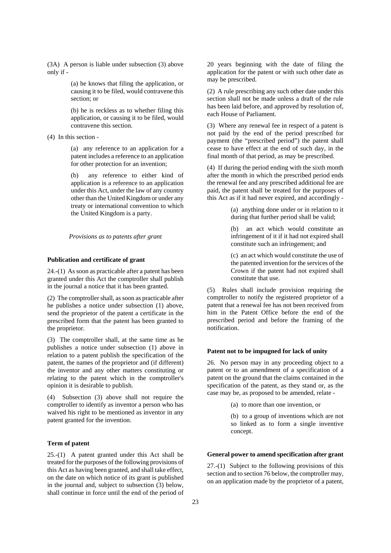(3A) A person is liable under subsection (3) above only if -

> (a) he knows that filing the application, or causing it to be filed, would contravene this section; or

> (b) he is reckless as to whether filing this application, or causing it to be filed, would contravene this section.

(4) In this section -

(a) any reference to an application for a patent includes a reference to an application for other protection for an invention;

any reference to either kind of application is a reference to an application under this Act, under the law of any country other than the United Kingdom or under any treaty or international convention to which the United Kingdom is a party.

*Provisions as to patents after grant* 

#### **Publication and certificate of grant**

24.-(1) As soon as practicable after a patent has been granted under this Act the comptroller shall publish in the journal a notice that it has been granted.

(2) The comptroller shall, as soon as practicable after he publishes a notice under subsection (1) above, send the proprietor of the patent a certificate in the prescribed form that the patent has been granted to the proprietor.

(3) The comptroller shall, at the same time as he publishes a notice under subsection (1) above in relation to a patent publish the specification of the patent, the names of the proprietor and (if different) the inventor and any other matters constituting or relating to the patent which in the comptroller's opinion it is desirable to publish.

(4) Subsection (3) above shall not require the comptroller to identify as inventor a person who has waived his right to be mentioned as inventor in any patent granted for the invention.

## **Term of patent**

25.-(1) A patent granted under this Act shall be treated for the purposes of the following provisions of this Act as having been granted, and shall take effect, on the date on which notice of its grant is published in the journal and, subject to subsection (3) below, shall continue in force until the end of the period of 20 years beginning with the date of filing the application for the patent or with such other date as may be prescribed.

(2) A rule prescribing any such other date under this section shall not be made unless a draft of the rule has been laid before, and approved by resolution of, each House of Parliament.

(3) Where any renewal fee in respect of a patent is not paid by the end of the period prescribed for payment (the "prescribed period") the patent shall cease to have effect at the end of such day, in the final month of that period, as may be prescribed.

(4) If during the period ending with the sixth month after the month in which the prescribed period ends the renewal fee and any prescribed additional fee are paid, the patent shall be treated for the purposes of this Act as if it had never expired, and accordingly -

> (a) anything done under or in relation to it during that further period shall be valid;

> (b) an act which would constitute an infringement of it if it had not expired shall constitute such an infringement; and

> (c) an act which would constitute the use of the patented invention for the services of the Crown if the patent had not expired shall constitute that use.

(5) Rules shall include provision requiring the comptroller to notify the registered proprietor of a patent that a renewal fee has not been received from him in the Patent Office before the end of the prescribed period and before the framing of the notification.

## **Patent not to be impugned for lack of unity**

26. No person may in any proceeding object to a patent or to an amendment of a specification of a patent on the ground that the claims contained in the specification of the patent, as they stand or, as the case may be, as proposed to be amended, relate -

(a) to more than one invention, or

(b) to a group of inventions which are not so linked as to form a single inventive concept.

## **General power to amend specification after grant**

27.-(1) Subject to the following provisions of this section and to section 76 below, the comptroller may, on an application made by the proprietor of a patent,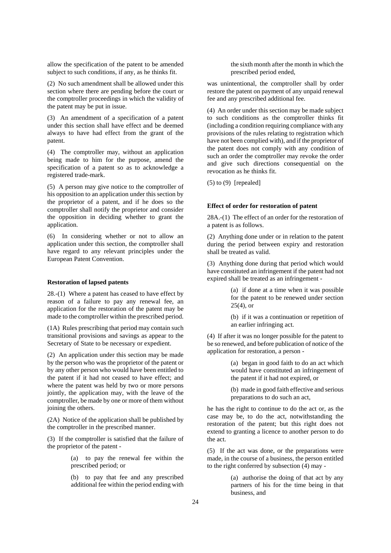allow the specification of the patent to be amended subject to such conditions, if any, as he thinks fit.

(2) No such amendment shall be allowed under this section where there are pending before the court or the comptroller proceedings in which the validity of the patent may be put in issue.

(3) An amendment of a specification of a patent under this section shall have effect and be deemed always to have had effect from the grant of the patent.

(4) The comptroller may, without an application being made to him for the purpose, amend the specification of a patent so as to acknowledge a registered trade-mark.

(5) A person may give notice to the comptroller of his opposition to an application under this section by the proprietor of a patent, and if he does so the comptroller shall notify the proprietor and consider the opposition in deciding whether to grant the application.

(6) In considering whether or not to allow an application under this section, the comptroller shall have regard to any relevant principles under the European Patent Convention.

#### **Restoration of lapsed patents**

28.-(1) Where a patent has ceased to have effect by reason of a failure to pay any renewal fee, an application for the restoration of the patent may be made to the comptroller within the prescribed period.

(1A) Rules prescribing that period may contain such transitional provisions and savings as appear to the Secretary of State to be necessary or expedient.

(2) An application under this section may be made by the person who was the proprietor of the patent or by any other person who would have been entitled to the patent if it had not ceased to have effect; and where the patent was held by two or more persons jointly, the application may, with the leave of the comptroller, be made by one or more of them without joining the others.

(2A) Notice of the application shall be published by the comptroller in the prescribed manner.

(3) If the comptroller is satisfied that the failure of the proprietor of the patent -

> (a) to pay the renewal fee within the prescribed period; or

(b) to pay that fee and any prescribed additional fee within the period ending with the sixth month after the month in which the prescribed period ended,

was unintentional, the comptroller shall by order restore the patent on payment of any unpaid renewal fee and any prescribed additional fee.

(4) An order under this section may be made subject to such conditions as the comptroller thinks fit (including a condition requiring compliance with any provisions of the rules relating to registration which have not been complied with), and if the proprietor of the patent does not comply with any condition of such an order the comptroller may revoke the order and give such directions consequential on the revocation as he thinks fit.

(5) to (9) [repealed]

#### **Effect of order for restoration of patent**

28A.-(1) The effect of an order for the restoration of a patent is as follows.

(2) Anything done under or in relation to the patent during the period between expiry and restoration shall be treated as valid.

(3) Anything done during that period which would have constituted an infringement if the patent had not expired shall be treated as an infringement -

> (a) if done at a time when it was possible for the patent to be renewed under section  $25(4)$ , or

> (b) if it was a continuation or repetition of an earlier infringing act.

(4) If after it was no longer possible for the patent to be so renewed, and before publication of notice of the application for restoration, a person -

> (a) began in good faith to do an act which would have constituted an infringement of the patent if it had not expired, or

> (b) made in good faith effective and serious preparations to do such an act,

he has the right to continue to do the act or, as the case may be, to do the act, notwithstanding the restoration of the patent; but this right does not extend to granting a licence to another person to do the act.

(5) If the act was done, or the preparations were made, in the course of a business, the person entitled to the right conferred by subsection (4) may -

> (a) authorise the doing of that act by any partners of his for the time being in that business, and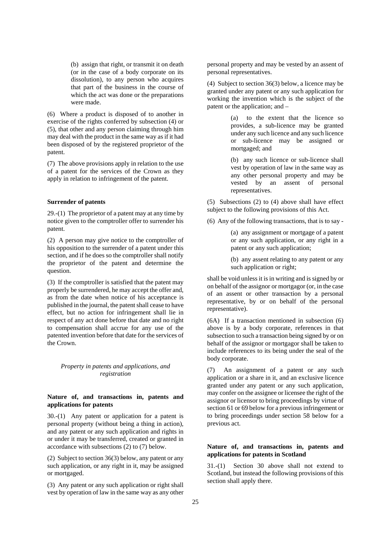(b) assign that right, or transmit it on death (or in the case of a body corporate on its dissolution), to any person who acquires that part of the business in the course of which the act was done or the preparations were made.

(6) Where a product is disposed of to another in exercise of the rights conferred by subsection (4) or (5), that other and any person claiming through him may deal with the product in the same way as if it had been disposed of by the registered proprietor of the patent.

(7) The above provisions apply in relation to the use of a patent for the services of the Crown as they apply in relation to infringement of the patent.

#### **Surrender of patents**

29.-(1) The proprietor of a patent may at any time by notice given to the comptroller offer to surrender his patent.

(2) A person may give notice to the comptroller of his opposition to the surrender of a patent under this section, and if he does so the comptroller shall notify the proprietor of the patent and determine the question.

(3) If the comptroller is satisfied that the patent may properly be surrendered, he may accept the offer and, as from the date when notice of his acceptance is published in the journal, the patent shall cease to have effect, but no action for infringement shall lie in respect of any act done before that date and no right to compensation shall accrue for any use of the patented invention before that date for the services of the Crown.

#### *Property in patents and applications, and registration*

## **Nature of, and transactions in, patents and applications for patents**

30.-(1) Any patent or application for a patent is personal property (without being a thing in action), and any patent or any such application and rights in or under it may be transferred, created or granted in accordance with subsections (2) to (7) below.

(2) Subject to section 36(3) below, any patent or any such application, or any right in it, may be assigned or mortgaged.

(3) Any patent or any such application or right shall vest by operation of law in the same way as any other

personal property and may be vested by an assent of personal representatives.

(4) Subject to section 36(3) below, a licence may be granted under any patent or any such application for working the invention which is the subject of the patent or the application; and –

> (a) to the extent that the licence so provides, a sub-licence may be granted under any such licence and any such licence or sub-licence may be assigned or mortgaged; and

> (b) any such licence or sub-licence shall vest by operation of law in the same way as any other personal property and may be vested by an assent of personal representatives.

(5) Subsections (2) to (4) above shall have effect subject to the following provisions of this Act.

(6) Any of the following transactions, that is to say -

(a) any assignment or mortgage of a patent or any such application, or any right in a patent or any such application;

(b) any assent relating to any patent or any such application or right;

shall be void unless it is in writing and is signed by or on behalf of the assignor or mortgagor (or, in the case of an assent or other transaction by a personal representative, by or on behalf of the personal representative).

(6A) If a transaction mentioned in subsection (6) above is by a body corporate, references in that subsection to such a transaction being signed by or on behalf of the assignor or mortgagor shall be taken to include references to its being under the seal of the body corporate.

(7) An assignment of a patent or any such application or a share in it, and an exclusive licence granted under any patent or any such application, may confer on the assignee or licensee the right of the assignor or licensor to bring proceedings by virtue of section 61 or 69 below for a previous infringement or to bring proceedings under section 58 below for a previous act.

## **Nature of, and transactions in, patents and applications for patents in Scotland**

31.-(1) Section 30 above shall not extend to Scotland, but instead the following provisions of this section shall apply there.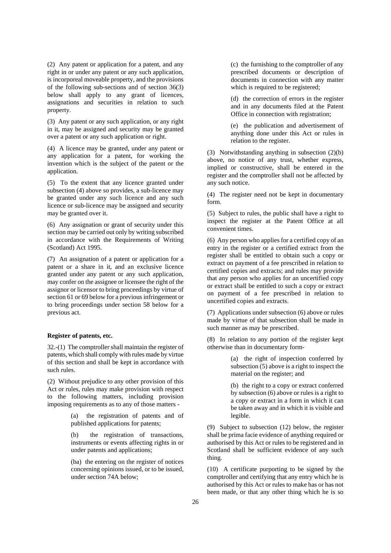(2) Any patent or application for a patent, and any right in or under any patent or any such application, is incorporeal moveable property, and the provisions of the following sub-sections and of section 36(3) below shall apply to any grant of licences, assignations and securities in relation to such property.

(3) Any patent or any such application, or any right in it, may be assigned and security may be granted over a patent or any such application or right.

(4) A licence may be granted, under any patent or any application for a patent, for working the invention which is the subject of the patent or the application.

(5) To the extent that any licence granted under subsection (4) above so provides, a sub-licence may be granted under any such licence and any such licence or sub-licence may be assigned and security may be granted over it.

(6) Any assignation or grant of security under this section may be carried out only by writing subscribed in accordance with the Requirements of Writing (Scotland) Act 1995.

(7) An assignation of a patent or application for a patent or a share in it, and an exclusive licence granted under any patent or any such application, may confer on the assignee or licensee the right of the assignor or licensor to bring proceedings by virtue of section 61 or 69 below for a previous infringement or to bring proceedings under section 58 below for a previous act.

## **Register of patents, etc.**

32.-(1) The comptroller shall maintain the register of patents, which shall comply with rules made by virtue of this section and shall be kept in accordance with such rules.

(2) Without prejudice to any other provision of this Act or rules, rules may make provision with respect to the following matters, including provision imposing requirements as to any of those matters -

> (a) the registration of patents and of published applications for patents;

> (b) the registration of transactions, instruments or events affecting rights in or under patents and applications;

> (ba) the entering on the register of notices concerning opinions issued, or to be issued, under section 74A below;

(c) the furnishing to the comptroller of any prescribed documents or description of documents in connection with any matter which is required to be registered;

(d) the correction of errors in the register and in any documents filed at the Patent Office in connection with registration;

(e) the publication and advertisement of anything done under this Act or rules in relation to the register.

(3) Notwithstanding anything in subsection (2)(b) above, no notice of any trust, whether express, implied or constructive, shall be entered in the register and the comptroller shall not be affected by any such notice.

(4) The register need not be kept in documentary form.

(5) Subject to rules, the public shall have a right to inspect the register at the Patent Office at all convenient times.

(6) Any person who applies for a certified copy of an entry in the register or a certified extract from the register shall be entitled to obtain such a copy or extract on payment of a fee prescribed in relation to certified copies and extracts; and rules may provide that any person who applies for an uncertified copy or extract shall be entitled to such a copy or extract on payment of a fee prescribed in relation to uncertified copies and extracts.

(7) Applications under subsection (6) above or rules made by virtue of that subsection shall be made in such manner as may be prescribed.

(8) In relation to any portion of the register kept otherwise than in documentary form-

> (a) the right of inspection conferred by subsection (5) above is a right to inspect the material on the register; and

> (b) the right to a copy or extract conferred by subsection (6) above or rules is a right to a copy or extract in a form in which it can be taken away and in which it is visible and legible.

(9) Subject to subsection (12) below, the register shall be prima facie evidence of anything required or authorised by this Act or rules to be registered and in Scotland shall be sufficient evidence of any such thing.

(10) A certificate purporting to be signed by the comptroller and certifying that any entry which he is authorised by this Act or rules to make has or has not been made, or that any other thing which he is so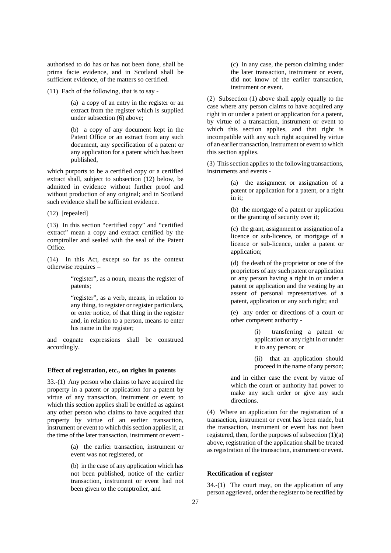authorised to do has or has not been done, shall be prima facie evidence, and in Scotland shall be sufficient evidence, of the matters so certified.

(11) Each of the following, that is to say -

(a) a copy of an entry in the register or an extract from the register which is supplied under subsection (6) above;

(b) a copy of any document kept in the Patent Office or an extract from any such document, any specification of a patent or any application for a patent which has been published,

which purports to be a certified copy or a certified extract shall, subject to subsection (12) below, be admitted in evidence without further proof and without production of any original; and in Scotland such evidence shall be sufficient evidence.

(12) [repealed]

(13) In this section "certified copy" and "certified extract" mean a copy and extract certified by the comptroller and sealed with the seal of the Patent Office.

(14) In this Act, except so far as the context otherwise requires –

> "register", as a noun, means the register of patents;

> "register", as a verb, means, in relation to any thing, to register or register particulars, or enter notice, of that thing in the register and, in relation to a person, means to enter his name in the register;

and cognate expressions shall be construed accordingly.

## **Effect of registration, etc., on rights in patents**

33.-(1) Any person who claims to have acquired the property in a patent or application for a patent by virtue of any transaction, instrument or event to which this section applies shall be entitled as against any other person who claims to have acquired that property by virtue of an earlier transaction, instrument or event to which this section applies if, at the time of the later transaction, instrument or event -

> (a) the earlier transaction, instrument or event was not registered, or

> (b) in the case of any application which has not been published, notice of the earlier transaction, instrument or event had not been given to the comptroller, and

(c) in any case, the person claiming under the later transaction, instrument or event, did not know of the earlier transaction, instrument or event.

(2) Subsection (1) above shall apply equally to the case where any person claims to have acquired any right in or under a patent or application for a patent, by virtue of a transaction, instrument or event to which this section applies, and that right is incompatible with any such right acquired by virtue of an earlier transaction, instrument or event to which this section applies.

(3) This section applies to the following transactions, instruments and events -

> (a) the assignment or assignation of a patent or application for a patent, or a right in it;

> (b) the mortgage of a patent or application or the granting of security over it;

> (c) the grant, assignment or assignation of a licence or sub-licence, or mortgage of a licence or sub-licence, under a patent or application;

> (d) the death of the proprietor or one of the proprietors of any such patent or application or any person having a right in or under a patent or application and the vesting by an assent of personal representatives of a patent, application or any such right; and

> (e) any order or directions of a court or other competent authority -

> > (i) transferring a patent or application or any right in or under it to any person; or

> > (ii) that an application should proceed in the name of any person;

and in either case the event by virtue of which the court or authority had power to make any such order or give any such directions.

(4) Where an application for the registration of a transaction, instrument or event has been made, but the transaction, instrument or event has not been registered, then, for the purposes of subsection  $(1)(a)$ above, registration of the application shall be treated as registration of the transaction, instrument or event.

## **Rectification of register**

34.-(1) The court may, on the application of any person aggrieved, order the register to be rectified by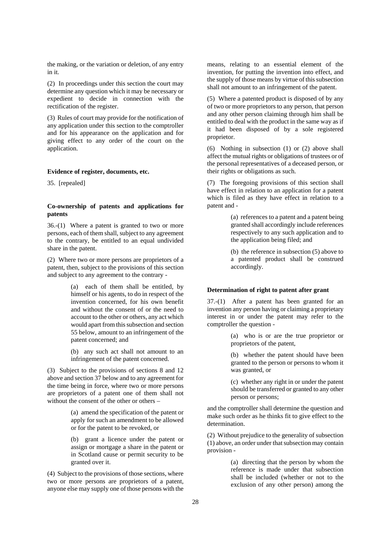the making, or the variation or deletion, of any entry in it.

(2) In proceedings under this section the court may determine any question which it may be necessary or expedient to decide in connection with the rectification of the register.

(3) Rules of court may provide for the notification of any application under this section to the comptroller and for his appearance on the application and for giving effect to any order of the court on the application.

## **Evidence of register, documents, etc.**

35. [repealed]

## **Co-ownership of patents and applications for patents**

36.-(1) Where a patent is granted to two or more persons, each of them shall, subject to any agreement to the contrary, be entitled to an equal undivided share in the patent.

(2) Where two or more persons are proprietors of a patent, then, subject to the provisions of this section and subject to any agreement to the contrary -

> (a) each of them shall be entitled, by himself or his agents, to do in respect of the invention concerned, for his own benefit and without the consent of or the need to account to the other or others, any act which would apart from this subsection and section 55 below, amount to an infringement of the patent concerned; and

> (b) any such act shall not amount to an infringement of the patent concerned.

(3) Subject to the provisions of sections 8 and 12 above and section 37 below and to any agreement for the time being in force, where two or more persons are proprietors of a patent one of them shall not without the consent of the other or others –

> (a) amend the specification of the patent or apply for such an amendment to be allowed or for the patent to be revoked, or

> (b) grant a licence under the patent or assign or mortgage a share in the patent or in Scotland cause or permit security to be granted over it.

(4) Subject to the provisions of those sections, where two or more persons are proprietors of a patent, anyone else may supply one of those persons with the means, relating to an essential element of the invention, for putting the invention into effect, and the supply of those means by virtue of this subsection shall not amount to an infringement of the patent.

(5) Where a patented product is disposed of by any of two or more proprietors to any person, that person and any other person claiming through him shall be entitled to deal with the product in the same way as if it had been disposed of by a sole registered proprietor.

(6) Nothing in subsection (1) or (2) above shall affect the mutual rights or obligations of trustees or of the personal representatives of a deceased person, or their rights or obligations as such.

(7) The foregoing provisions of this section shall have effect in relation to an application for a patent which is filed as they have effect in relation to a patent and -

> (a) references to a patent and a patent being granted shall accordingly include references respectively to any such application and to the application being filed; and

> (b) the reference in subsection (5) above to a patented product shall be construed accordingly.

#### **Determination of right to patent after grant**

37.-(1) After a patent has been granted for an invention any person having or claiming a proprietary interest in or under the patent may refer to the comptroller the question -

> (a) who is or are the true proprietor or proprietors of the patent,

> (b) whether the patent should have been granted to the person or persons to whom it was granted, or

> (c) whether any right in or under the patent should be transferred or granted to any other person or persons;

and the comptroller shall determine the question and make such order as he thinks fit to give effect to the determination.

(2) Without prejudice to the generality of subsection (1) above, an order under that subsection may contain provision -

> (a) directing that the person by whom the reference is made under that subsection shall be included (whether or not to the exclusion of any other person) among the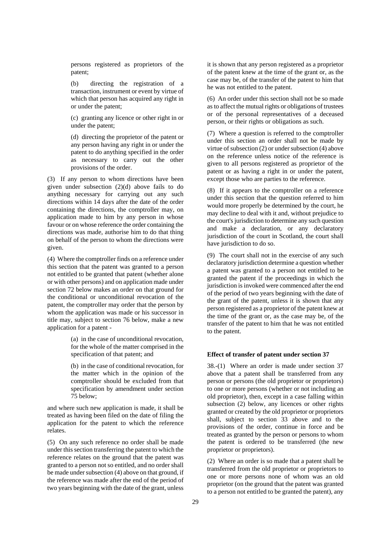persons registered as proprietors of the patent;

(b) directing the registration of a transaction, instrument or event by virtue of which that person has acquired any right in or under the patent;

(c) granting any licence or other right in or under the patent;

(d) directing the proprietor of the patent or any person having any right in or under the patent to do anything specified in the order as necessary to carry out the other provisions of the order.

(3) If any person to whom directions have been given under subsection (2)(d) above fails to do anything necessary for carrying out any such directions within 14 days after the date of the order containing the directions, the comptroller may, on application made to him by any person in whose favour or on whose reference the order containing the directions was made, authorise him to do that thing on behalf of the person to whom the directions were given.

(4) Where the comptroller finds on a reference under this section that the patent was granted to a person not entitled to be granted that patent (whether alone or with other persons) and on application made under section 72 below makes an order on that ground for the conditional or unconditional revocation of the patent, the comptroller may order that the person by whom the application was made or his successor in title may, subject to section 76 below, make a new application for a patent -

> (a) in the case of unconditional revocation, for the whole of the matter comprised in the specification of that patent; and

> (b) in the case of conditional revocation, for the matter which in the opinion of the comptroller should be excluded from that specification by amendment under section 75 below;

and where such new application is made, it shall be treated as having been filed on the date of filing the application for the patent to which the reference relates.

(5) On any such reference no order shall be made under this section transferring the patent to which the reference relates on the ground that the patent was granted to a person not so entitled, and no order shall be made under subsection (4) above on that ground, if the reference was made after the end of the period of two years beginning with the date of the grant, unless it is shown that any person registered as a proprietor of the patent knew at the time of the grant or, as the case may be, of the transfer of the patent to him that he was not entitled to the patent.

(6) An order under this section shall not be so made as to affect the mutual rights or obligations of trustees or of the personal representatives of a deceased person, or their rights or obligations as such.

(7) Where a question is referred to the comptroller under this section an order shall not be made by virtue of subsection (2) or under subsection (4) above on the reference unless notice of the reference is given to all persons registered as proprietor of the patent or as having a right in or under the patent, except those who are parties to the reference.

(8) If it appears to the comptroller on a reference under this section that the question referred to him would more properly be determined by the court, he may decline to deal with it and, without prejudice to the court's jurisdiction to determine any such question and make a declaration, or any declaratory jurisdiction of the court in Scotland, the court shall have jurisdiction to do so.

(9) The court shall not in the exercise of any such declaratory jurisdiction determine a question whether a patent was granted to a person not entitled to be granted the patent if the proceedings in which the jurisdiction is invoked were commenced after the end of the period of two years beginning with the date of the grant of the patent, unless it is shown that any person registered as a proprietor of the patent knew at the time of the grant or, as the case may be, of the transfer of the patent to him that he was not entitled to the patent.

#### **Effect of transfer of patent under section 37**

38.-(1) Where an order is made under section 37 above that a patent shall be transferred from any person or persons (the old proprietor or proprietors) to one or more persons (whether or not including an old proprietor), then, except in a case falling within subsection (2) below, any licences or other rights granted or created by the old proprietor or proprietors shall, subject to section 33 above and to the provisions of the order, continue in force and be treated as granted by the person or persons to whom the patent is ordered to be transferred (the new proprietor or proprietors).

(2) Where an order is so made that a patent shall be transferred from the old proprietor or proprietors to one or more persons none of whom was an old proprietor (on the ground that the patent was granted to a person not entitled to be granted the patent), any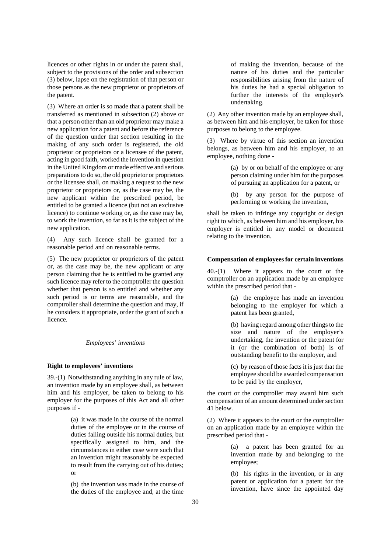licences or other rights in or under the patent shall, subject to the provisions of the order and subsection (3) below, lapse on the registration of that person or those persons as the new proprietor or proprietors of the patent.

(3) Where an order is so made that a patent shall be transferred as mentioned in subsection (2) above or that a person other than an old proprietor may make a new application for a patent and before the reference of the question under that section resulting in the making of any such order is registered, the old proprietor or proprietors or a licensee of the patent, acting in good faith, worked the invention in question in the United Kingdom or made effective and serious preparations to do so, the old proprietor or proprietors or the licensee shall, on making a request to the new proprietor or proprietors or, as the case may be, the new applicant within the prescribed period, be entitled to be granted a licence (but not an exclusive licence) to continue working or, as the case may be, to work the invention, so far as it is the subject of the new application.

(4) Any such licence shall be granted for a reasonable period and on reasonable terms.

(5) The new proprietor or proprietors of the patent or, as the case may be, the new applicant or any person claiming that he is entitled to be granted any such licence may refer to the comptroller the question whether that person is so entitled and whether any such period is or terms are reasonable, and the comptroller shall determine the question and may, if he considers it appropriate, order the grant of such a licence.

## *Employees' inventions*

#### **Right to employees' inventions**

39.-(1) Notwithstanding anything in any rule of law, an invention made by an employee shall, as between him and his employer, be taken to belong to his employer for the purposes of this Act and all other purposes if -

> (a) it was made in the course of the normal duties of the employee or in the course of duties falling outside his normal duties, but specifically assigned to him, and the circumstances in either case were such that an invention might reasonably be expected to result from the carrying out of his duties; or

> (b) the invention was made in the course of the duties of the employee and, at the time

of making the invention, because of the nature of his duties and the particular responsibilities arising from the nature of his duties he had a special obligation to further the interests of the employer's undertaking.

(2) Any other invention made by an employee shall, as between him and his employer, be taken for those purposes to belong to the employee.

(3) Where by virtue of this section an invention belongs, as between him and his employer, to an employee, nothing done -

> (a) by or on behalf of the employee or any person claiming under him for the purposes of pursuing an application for a patent, or

> (b) by any person for the purpose of performing or working the invention,

shall be taken to infringe any copyright or design right to which, as between him and his employer, his employer is entitled in any model or document relating to the invention.

#### **Compensation of employees for certain inventions**

40.-(1) Where it appears to the court or the comptroller on an application made by an employee within the prescribed period that -

> (a) the employee has made an invention belonging to the employer for which a patent has been granted,

> (b) having regard among other things to the size and nature of the employer's undertaking, the invention or the patent for it (or the combination of both) is of outstanding benefit to the employer, and

> (c) by reason of those facts it is just that the employee should be awarded compensation to be paid by the employer,

the court or the comptroller may award him such compensation of an amount determined under section 41 below.

(2) Where it appears to the court or the comptroller on an application made by an employee within the prescribed period that -

> (a) a patent has been granted for an invention made by and belonging to the employee;

> (b) his rights in the invention, or in any patent or application for a patent for the invention, have since the appointed day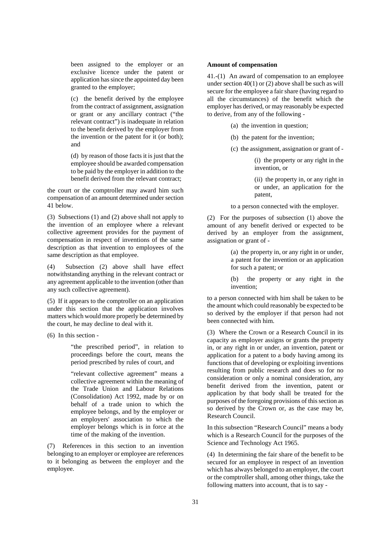been assigned to the employer or an exclusive licence under the patent or application has since the appointed day been granted to the employer;

(c) the benefit derived by the employee from the contract of assignment, assignation or grant or any ancillary contract ("the relevant contract") is inadequate in relation to the benefit derived by the employer from the invention or the patent for it (or both); and

(d) by reason of those facts it is just that the employee should be awarded compensation to be paid by the employer in addition to the benefit derived from the relevant contract;

the court or the comptroller may award him such compensation of an amount determined under section 41 below.

(3) Subsections (1) and (2) above shall not apply to the invention of an employee where a relevant collective agreement provides for the payment of compensation in respect of inventions of the same description as that invention to employees of the same description as that employee.

(4) Subsection (2) above shall have effect notwithstanding anything in the relevant contract or any agreement applicable to the invention (other than any such collective agreement).

(5) If it appears to the comptroller on an application under this section that the application involves matters which would more properly be determined by the court, he may decline to deal with it.

(6) In this section -

"the prescribed period", in relation to proceedings before the court, means the period prescribed by rules of court, and

"relevant collective agreement" means a collective agreement within the meaning of the Trade Union and Labour Relations (Consolidation) Act 1992, made by or on behalf of a trade union to which the employee belongs, and by the employer or an employers' association to which the employer belongs which is in force at the time of the making of the invention.

(7) References in this section to an invention belonging to an employer or employee are references to it belonging as between the employer and the employee.

#### **Amount of compensation**

41.-(1) An award of compensation to an employee under section  $40(1)$  or (2) above shall be such as will secure for the employee a fair share (having regard to all the circumstances) of the benefit which the employer has derived, or may reasonably be expected to derive, from any of the following -

- (a) the invention in question;
- (b) the patent for the invention;
- (c) the assignment, assignation or grant of -

(i) the property or any right in the invention, or

- (ii) the property in, or any right in or under, an application for the patent,
- to a person connected with the employer.

(2) For the purposes of subsection (1) above the amount of any benefit derived or expected to be derived by an employer from the assignment, assignation or grant of -

> (a) the property in, or any right in or under, a patent for the invention or an application for such a patent; or

> (b) the property or any right in the invention;

to a person connected with him shall be taken to be the amount which could reasonably be expected to be so derived by the employer if that person had not been connected with him.

(3) Where the Crown or a Research Council in its capacity as employer assigns or grants the property in, or any right in or under, an invention, patent or application for a patent to a body having among its functions that of developing or exploiting inventions resulting from public research and does so for no consideration or only a nominal consideration, any benefit derived from the invention, patent or application by that body shall be treated for the purposes of the foregoing provisions of this section as so derived by the Crown or, as the case may be, Research Council.

In this subsection "Research Council" means a body which is a Research Council for the purposes of the Science and Technology Act 1965.

(4) In determining the fair share of the benefit to be secured for an employee in respect of an invention which has always belonged to an employer, the court or the comptroller shall, among other things, take the following matters into account, that is to say -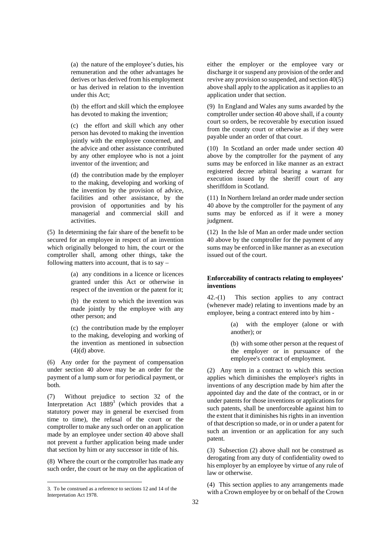(a) the nature of the employee's duties, his remuneration and the other advantages he derives or has derived from his employment or has derived in relation to the invention under this Act;

(b) the effort and skill which the employee has devoted to making the invention;

(c) the effort and skill which any other person has devoted to making the invention jointly with the employee concerned, and the advice and other assistance contributed by any other employee who is not a joint inventor of the invention; and

(d) the contribution made by the employer to the making, developing and working of the invention by the provision of advice, facilities and other assistance, by the provision of opportunities and by his managerial and commercial skill and activities.

(5) In determining the fair share of the benefit to be secured for an employee in respect of an invention which originally belonged to him, the court or the comptroller shall, among other things, take the following matters into account, that is to say –

> (a) any conditions in a licence or licences granted under this Act or otherwise in respect of the invention or the patent for it;

> (b) the extent to which the invention was made jointly by the employee with any other person; and

> (c) the contribution made by the employer to the making, developing and working of the invention as mentioned in subsection  $(4)(d)$  above.

(6) Any order for the payment of compensation under section 40 above may be an order for the payment of a lump sum or for periodical payment, or both.

(7) Without prejudice to section 32 of the Interpretation Act  $1889^3$  (which provides that a statutory power may in general be exercised from time to time), the refusal of the court or the comptroller to make any such order on an application made by an employee under section 40 above shall not prevent a further application being made under that section by him or any successor in title of his.

(8) Where the court or the comptroller has made any such order, the court or he may on the application of

1

either the employer or the employee vary or discharge it or suspend any provision of the order and revive any provision so suspended, and section 40(5) above shall apply to the application as it applies to an application under that section.

(9) In England and Wales any sums awarded by the comptroller under section 40 above shall, if a county court so orders, be recoverable by execution issued from the county court or otherwise as if they were payable under an order of that court.

(10) In Scotland an order made under section 40 above by the comptroller for the payment of any sums may be enforced in like manner as an extract registered decree arbitral bearing a warrant for execution issued by the sheriff court of any sheriffdom in Scotland.

(11) In Northern Ireland an order made under section 40 above by the comptroller for the payment of any sums may be enforced as if it were a money judgment.

(12) In the Isle of Man an order made under section 40 above by the comptroller for the payment of any sums may be enforced in like manner as an execution issued out of the court.

## **Enforceability of contracts relating to employees' inventions**

42.-(1) This section applies to any contract (whenever made) relating to inventions made by an employee, being a contract entered into by him -

> (a) with the employer (alone or with another); or

> (b) with some other person at the request of the employer or in pursuance of the employee's contract of employment.

(2) Any term in a contract to which this section applies which diminishes the employee's rights in inventions of any description made by him after the appointed day and the date of the contract, or in or under patents for those inventions or applications for such patents, shall be unenforceable against him to the extent that it diminishes his rights in an invention of that description so made, or in or under a patent for such an invention or an application for any such patent.

(3) Subsection (2) above shall not be construed as derogating from any duty of confidentiality owed to his employer by an employee by virtue of any rule of law or otherwise.

(4) This section applies to any arrangements made with a Crown employee by or on behalf of the Crown

<sup>3.</sup> To be construed as a reference to sections 12 and 14 of the Interpretation Act 1978.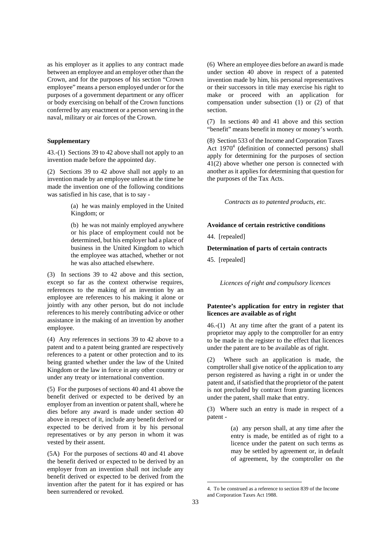as his employer as it applies to any contract made between an employee and an employer other than the Crown, and for the purposes of his section "Crown employee" means a person employed under or for the purposes of a government department or any officer or body exercising on behalf of the Crown functions conferred by any enactment or a person serving in the naval, military or air forces of the Crown.

#### **Supplementary**

43.-(1) Sections 39 to 42 above shall not apply to an invention made before the appointed day.

(2) Sections 39 to 42 above shall not apply to an invention made by an employee unless at the time he made the invention one of the following conditions was satisfied in his case, that is to say -

> (a) he was mainly employed in the United Kingdom; or

> (b) he was not mainly employed anywhere or his place of employment could not be determined, but his employer had a place of business in the United Kingdom to which the employee was attached, whether or not he was also attached elsewhere.

(3) In sections 39 to 42 above and this section, except so far as the context otherwise requires, references to the making of an invention by an employee are references to his making it alone or jointly with any other person, but do not include references to his merely contributing advice or other assistance in the making of an invention by another employee.

(4) Any references in sections 39 to 42 above to a patent and to a patent being granted are respectively references to a patent or other protection and to its being granted whether under the law of the United Kingdom or the law in force in any other country or under any treaty or international convention.

(5) For the purposes of sections 40 and 41 above the benefit derived or expected to be derived by an employer from an invention or patent shall, where he dies before any award is made under section 40 above in respect of it, include any benefit derived or expected to be derived from it by his personal representatives or by any person in whom it was vested by their assent.

(5A) For the purposes of sections 40 and 41 above the benefit derived or expected to be derived by an employer from an invention shall not include any benefit derived or expected to be derived from the invention after the patent for it has expired or has been surrendered or revoked.

(6) Where an employee dies before an award is made under section 40 above in respect of a patented invention made by him, his personal representatives or their successors in title may exercise his right to make or proceed with an application for compensation under subsection (1) or (2) of that section.

(7) In sections 40 and 41 above and this section "benefit" means benefit in money or money's worth.

(8) Section 533 of the Income and Corporation Taxes Act 1970<sup>4</sup> (definition of connected persons) shall apply for determining for the purposes of section 41(2) above whether one person is connected with another as it applies for determining that question for the purposes of the Tax Acts.

*Contracts as to patented products, etc.* 

## **Avoidance of certain restrictive conditions**

44. [repealed]

**Determination of parts of certain contracts** 

45. [repealed]

*Licences of right and compulsory licences* 

## **Patentee's application for entry in register that licences are available as of right**

46.-(1) At any time after the grant of a patent its proprietor may apply to the comptroller for an entry to be made in the register to the effect that licences under the patent are to be available as of right.

(2) Where such an application is made, the comptroller shall give notice of the application to any person registered as having a right in or under the patent and, if satisfied that the proprietor of the patent is not precluded by contract from granting licences under the patent, shall make that entry.

(3) Where such an entry is made in respect of a patent -

> (a) any person shall, at any time after the entry is made, be entitled as of right to a licence under the patent on such terms as may be settled by agreement or, in default of agreement, by the comptroller on the

<u>.</u>

<sup>4.</sup> To be construed as a reference to section 839 of the Income and Corporation Taxes Act 1988.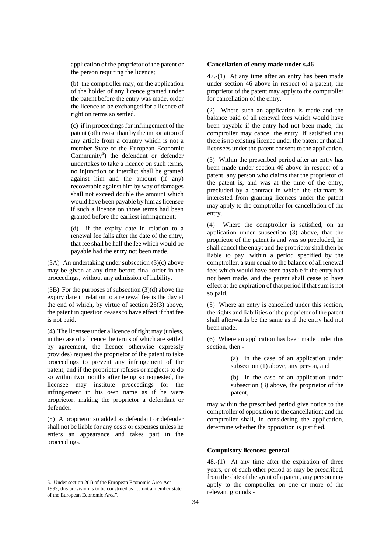application of the proprietor of the patent or the person requiring the licence;

(b) the comptroller may, on the application of the holder of any licence granted under the patent before the entry was made, order the licence to be exchanged for a licence of right on terms so settled.

(c) if in proceedings for infringement of the patent (otherwise than by the importation of any article from a country which is not a member State of the European Economic Community $5$ ) the defendant or defender undertakes to take a licence on such terms, no injunction or interdict shall be granted against him and the amount (if any) recoverable against him by way of damages shall not exceed double the amount which would have been payable by him as licensee if such a licence on those terms had been granted before the earliest infringement;

(d) if the expiry date in relation to a renewal fee falls after the date of the entry, that fee shall be half the fee which would be payable had the entry not been made.

(3A) An undertaking under subsection (3)(c) above may be given at any time before final order in the proceedings, without any admission of liability.

(3B) For the purposes of subsection (3)(d) above the expiry date in relation to a renewal fee is the day at the end of which, by virtue of section 25(3) above, the patent in question ceases to have effect if that fee is not paid.

(4) The licensee under a licence of right may (unless, in the case of a licence the terms of which are settled by agreement, the licence otherwise expressly provides) request the proprietor of the patent to take proceedings to prevent any infringement of the patent; and if the proprietor refuses or neglects to do so within two months after being so requested, the licensee may institute proceedings for the infringement in his own name as if he were proprietor, making the proprietor a defendant or defender.

(5) A proprietor so added as defendant or defender shall not be liable for any costs or expenses unless he enters an appearance and takes part in the proceedings.

1

#### **Cancellation of entry made under s.46**

47.-(1) At any time after an entry has been made under section 46 above in respect of a patent, the proprietor of the patent may apply to the comptroller for cancellation of the entry.

(2) Where such an application is made and the balance paid of all renewal fees which would have been payable if the entry had not been made, the comptroller may cancel the entry, if satisfied that there is no existing licence under the patent or that all licensees under the patent consent to the application.

(3) Within the prescribed period after an entry has been made under section 46 above in respect of a patent, any person who claims that the proprietor of the patent is, and was at the time of the entry, precluded by a contract in which the claimant is interested from granting licences under the patent may apply to the comptroller for cancellation of the entry.

(4) Where the comptroller is satisfied, on an application under subsection (3) above, that the proprietor of the patent is and was so precluded, he shall cancel the entry; and the proprietor shall then be liable to pay, within a period specified by the comptroller, a sum equal to the balance of all renewal fees which would have been payable if the entry had not been made, and the patent shall cease to have effect at the expiration of that period if that sum is not so paid.

(5) Where an entry is cancelled under this section, the rights and liabilities of the proprietor of the patent shall afterwards be the same as if the entry had not been made.

(6) Where an application has been made under this section, then -

> (a) in the case of an application under subsection (1) above, any person, and

> (b) in the case of an application under subsection (3) above, the proprietor of the patent,

may within the prescribed period give notice to the comptroller of opposition to the cancellation; and the comptroller shall, in considering the application, determine whether the opposition is justified.

## **Compulsory licences: general**

48.-(1) At any time after the expiration of three years, or of such other period as may be prescribed, from the date of the grant of a patent, any person may apply to the comptroller on one or more of the relevant grounds -

<sup>5.</sup> Under section 2(1) of the European Economic Area Act 1993, this provision is to be construed as "…not a member state of the European Economic Area".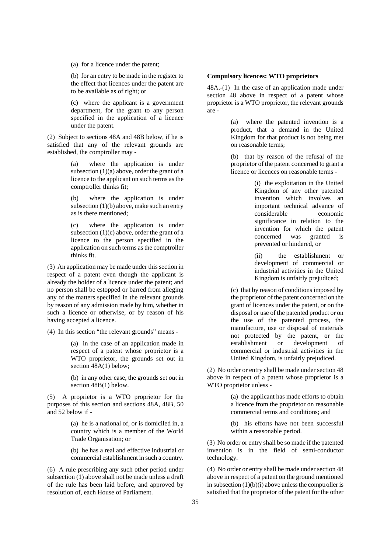(a) for a licence under the patent;

(b) for an entry to be made in the register to the effect that licences under the patent are to be available as of right; or

(c) where the applicant is a government department, for the grant to any person specified in the application of a licence under the patent.

(2) Subject to sections 48A and 48B below, if he is satisfied that any of the relevant grounds are established, the comptroller may -

> (a) where the application is under subsection (1)(a) above, order the grant of a licence to the applicant on such terms as the comptroller thinks fit;

> (b) where the application is under subsection (1)(b) above, make such an entry as is there mentioned;

> (c) where the application is under subsection  $(1)(c)$  above, order the grant of a licence to the person specified in the application on such terms as the comptroller thinks fit.

(3) An application may be made under this section in respect of a patent even though the applicant is already the holder of a licence under the patent; and no person shall be estopped or barred from alleging any of the matters specified in the relevant grounds by reason of any admission made by him, whether in such a licence or otherwise, or by reason of his having accepted a licence.

(4) In this section "the relevant grounds" means -

(a) in the case of an application made in respect of a patent whose proprietor is a WTO proprietor, the grounds set out in section  $48A(1)$  below;

(b) in any other case, the grounds set out in section 48B(1) below.

(5) A proprietor is a WTO proprietor for the purposes of this section and sections 48A, 48B, 50 and 52 below if -

> (a) he is a national of, or is domiciled in, a country which is a member of the World Trade Organisation; or

> (b) he has a real and effective industrial or commercial establishment in such a country.

(6) A rule prescribing any such other period under subsection (1) above shall not be made unless a draft of the rule has been laid before, and approved by resolution of, each House of Parliament.

## **Compulsory licences: WTO proprietors**

48A.-(1) In the case of an application made under section 48 above in respect of a patent whose proprietor is a WTO proprietor, the relevant grounds are -

> (a) where the patented invention is a product, that a demand in the United Kingdom for that product is not being met on reasonable terms;

> (b) that by reason of the refusal of the proprietor of the patent concerned to grant a licence or licences on reasonable terms -

> > (i) the exploitation in the United Kingdom of any other patented invention which involves an important technical advance of considerable economic significance in relation to the invention for which the patent concerned was granted is prevented or hindered, or

> > (ii) the establishment or development of commercial or industrial activities in the United Kingdom is unfairly prejudiced;

(c) that by reason of conditions imposed by the proprietor of the patent concerned on the grant of licences under the patent, or on the disposal or use of the patented product or on the use of the patented process, the manufacture, use or disposal of materials not protected by the patent, or the establishment or development of commercial or industrial activities in the United Kingdom, is unfairly prejudiced.

(2) No order or entry shall be made under section 48 above in respect of a patent whose proprietor is a WTO proprietor unless -

> (a) the applicant has made efforts to obtain a licence from the proprietor on reasonable commercial terms and conditions; and

> (b) his efforts have not been successful within a reasonable period.

(3) No order or entry shall be so made if the patented invention is in the field of semi-conductor technology.

(4) No order or entry shall be made under section 48 above in respect of a patent on the ground mentioned in subsection  $(1)(b)(i)$  above unless the comptroller is satisfied that the proprietor of the patent for the other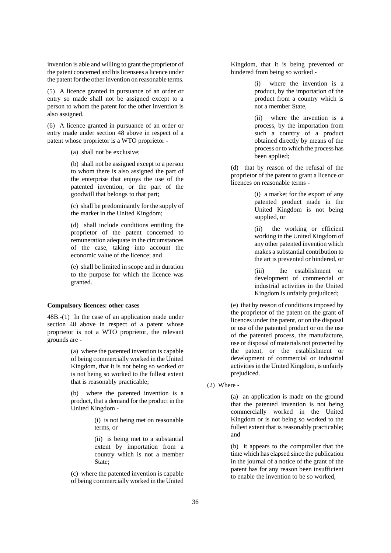invention is able and willing to grant the proprietor of the patent concerned and his licensees a licence under the patent for the other invention on reasonable terms.

(5) A licence granted in pursuance of an order or entry so made shall not be assigned except to a person to whom the patent for the other invention is also assigned.

(6) A licence granted in pursuance of an order or entry made under section 48 above in respect of a patent whose proprietor is a WTO proprietor -

(a) shall not be exclusive;

(b) shall not be assigned except to a person to whom there is also assigned the part of the enterprise that enjoys the use of the patented invention, or the part of the goodwill that belongs to that part;

(c) shall be predominantly for the supply of the market in the United Kingdom;

(d) shall include conditions entitling the proprietor of the patent concerned to remuneration adequate in the circumstances of the case, taking into account the economic value of the licence; and

(e) shall be limited in scope and in duration to the purpose for which the licence was granted.

## **Compulsory licences: other cases**

48B.-(1) In the case of an application made under section 48 above in respect of a patent whose proprietor is not a WTO proprietor, the relevant grounds are -

> (a) where the patented invention is capable of being commercially worked in the United Kingdom, that it is not being so worked or is not being so worked to the fullest extent that is reasonably practicable;

> (b) where the patented invention is a product, that a demand for the product in the United Kingdom -

> > (i) is not being met on reasonable terms, or

> > (ii) is being met to a substantial extent by importation from a country which is not a member State;

(c) where the patented invention is capable of being commercially worked in the United

Kingdom, that it is being prevented or hindered from being so worked -

> (i) where the invention is a product, by the importation of the product from a country which is not a member State,

> (ii) where the invention is a process, by the importation from such a country of a product obtained directly by means of the process or to which the process has been applied;

(d) that by reason of the refusal of the proprietor of the patent to grant a licence or licences on reasonable terms -

> (i) a market for the export of any patented product made in the United Kingdom is not being supplied, or

> (ii) the working or efficient working in the United Kingdom of any other patented invention which makes a substantial contribution to the art is prevented or hindered, or

> (iii) the establishment or development of commercial or industrial activities in the United Kingdom is unfairly prejudiced;

(e) that by reason of conditions imposed by the proprietor of the patent on the grant of licences under the patent, or on the disposal or use of the patented product or on the use of the patented process, the manufacture, use or disposal of materials not protected by the patent, or the establishment or development of commercial or industrial activities in the United Kingdom, is unfairly prejudiced.

(2) Where -

(a) an application is made on the ground that the patented invention is not being commercially worked in the United Kingdom or is not being so worked to the fullest extent that is reasonably practicable; and

(b) it appears to the comptroller that the time which has elapsed since the publication in the journal of a notice of the grant of the patent has for any reason been insufficient to enable the invention to be so worked,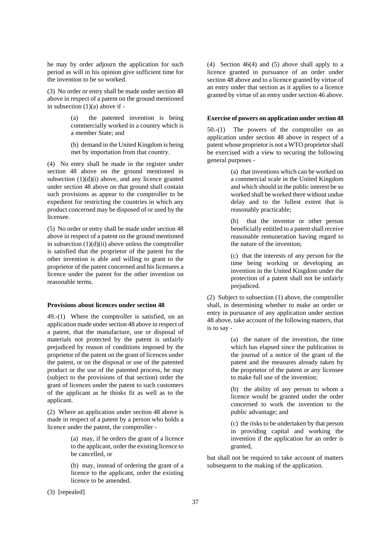he may by order adjourn the application for such period as will in his opinion give sufficient time for the invention to be so worked.

(3) No order or entry shall be made under section 48 above in respect of a patent on the ground mentioned in subsection  $(1)(a)$  above if -

> (a) the patented invention is being commercially worked in a country which is a member State; and

> (b) demand in the United Kingdom is being met by importation from that country.

(4) No entry shall be made in the register under section 48 above on the ground mentioned in subsection  $(1)(d)(i)$  above, and any licence granted under section 48 above on that ground shall contain such provisions as appear to the comptroller to be expedient for restricting the countries in which any product concerned may be disposed of or used by the licensee.

(5) No order or entry shall be made under section 48 above in respect of a patent on the ground mentioned in subsection  $(1)(d)(ii)$  above unless the comptroller is satisfied that the proprietor of the patent for the other invention is able and willing to grant to the proprietor of the patent concerned and his licensees a licence under the patent for the other invention on reasonable terms.

# **Provisions about licences under section 48**

49.-(1) Where the comptroller is satisfied, on an application made under section 48 above in respect of a patent, that the manufacture, use or disposal of materials not protected by the patent is unfairly prejudiced by reason of conditions imposed by the proprietor of the patent on the grant of licences under the patent, or on the disposal or use of the patented product or the use of the patented process, he may (subject to the provisions of that section) order the grant of licences under the patent to such customers of the applicant as he thinks fit as well as to the applicant.

(2) Where an application under section 48 above is made in respect of a patent by a person who holds a licence under the patent, the comptroller -

> (a) may, if he orders the grant of a licence to the applicant, order the existing licence to be cancelled, or

> (b) may, instead of ordering the grant of a licence to the applicant, order the existing licence to be amended.

(3) [repealed]

(4) Section 46(4) and (5) above shall apply to a licence granted in pursuance of an order under section 48 above and to a licence granted by virtue of an entry under that section as it applies to a licence granted by virtue of an entry under section 46 above.

# **Exercise of powers on application under section 48**

50.-(1) The powers of the comptroller on an application under section 48 above in respect of a patent whose proprietor is not a WTO proprietor shall be exercised with a view to securing the following general purposes -

> (a) that inventions which can be worked on a commercial scale in the United Kingdom and which should in the public interest be so worked shall be worked there without undue delay and to the fullest extent that is reasonably practicable;

> (b) that the inventor or other person beneficially entitled to a patent shall receive reasonable remuneration having regard to the nature of the invention;

> (c) that the interests of any person for the time being working or developing an invention in the United Kingdom under the protection of a patent shall not be unfairly prejudiced.

(2) Subject to subsection (1) above, the comptroller shall, in determining whether to make an order or entry in pursuance of any application under section 48 above, take account of the following matters, that is to say -

> (a) the nature of the invention, the time which has elapsed since the publication in the journal of a notice of the grant of the patent and the measures already taken by the proprietor of the patent or any licensee to make full use of the invention;

> (b) the ability of any person to whom a licence would be granted under the order concerned to work the invention to the public advantage; and

> (c) the risks to be undertaken by that person in providing capital and working the invention if the application for an order is granted,

but shall not be required to take account of matters subsequent to the making of the application.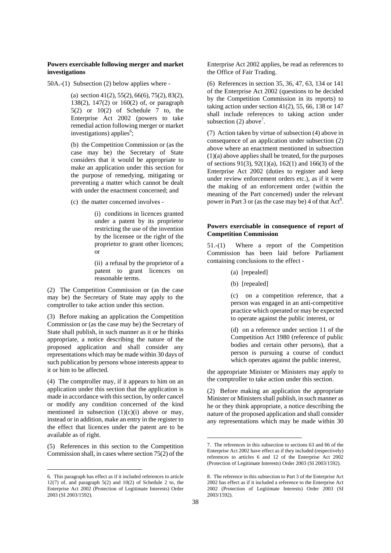## **Powers exercisable following merger and market investigations**

50A.-(1) Subsection (2) below applies where -

(a) section  $41(2)$ ,  $55(2)$ ,  $66(6)$ ,  $75(2)$ ,  $83(2)$ , 138(2), 147(2) or 160(2) of, or paragraph  $5(2)$  or  $10(2)$  of Schedule 7 to, the Enterprise Act 2002 (powers to take remedial action following merger or market investigations) applies<sup>6</sup>;

(b) the Competition Commission or (as the case may be) the Secretary of State considers that it would be appropriate to make an application under this section for the purpose of remedying, mitigating or preventing a matter which cannot be dealt with under the enactment concerned; and

(c) the matter concerned involves -

(i) conditions in licences granted under a patent by its proprietor restricting the use of the invention by the licensee or the right of the proprietor to grant other licences; or

(ii) a refusal by the proprietor of a patent to grant licences on reasonable terms.

(2) The Competition Commission or (as the case may be) the Secretary of State may apply to the comptroller to take action under this section.

(3) Before making an application the Competition Commission or (as the case may be) the Secretary of State shall publish, in such manner as it or he thinks appropriate, a notice describing the nature of the proposed application and shall consider any representations which may be made within 30 days of such publication by persons whose interests appear to it or him to be affected.

(4) The comptroller may, if it appears to him on an application under this section that the application is made in accordance with this section, by order cancel or modify any condition concerned of the kind mentioned in subsection  $(1)(c)(i)$  above or may, instead or in addition, make an entry in the register to the effect that licences under the patent are to be available as of right.

(5) References in this section to the Competition Commission shall, in cases where section 75(2) of the

<u>.</u>

Enterprise Act 2002 applies, be read as references to the Office of Fair Trading.

(6) References in section 35, 36, 47, 63, 134 or 141 of the Enterprise Act 2002 (questions to be decided by the Competition Commission in its reports) to taking action under section  $41(2)$ , 55, 66, 138 or 147 shall include references to taking action under subsection  $(2)$  above<sup>7</sup>.

(7) Action taken by virtue of subsection (4) above in consequence of an application under subsection (2) above where an enactment mentioned in subsection  $(1)(a)$  above applies shall be treated, for the purposes of sections 91(3), 92(1)(a), 162(1) and 166(3) of the Enterprise Act 2002 (duties to register and keep under review enforcement orders etc.), as if it were the making of an enforcement order (within the meaning of the Part concerned) under the relevant power in Part 3 or (as the case may be) 4 of that  $Act<sup>8</sup>$ .

# **Powers exercisable in consequence of report of Competition Commission**

51.-(1) Where a report of the Competition Commission has been laid before Parliament containing conclusions to the effect -

- (a) [repealed]
- (b) [repealed]

(c) on a competition reference, that a person was engaged in an anti-competitive practice which operated or may be expected to operate against the public interest, or

(d) on a reference under section 11 of the Competition Act 1980 (reference of public bodies and certain other persons), that a person is pursuing a course of conduct which operates against the public interest,

the appropriate Minister or Ministers may apply to the comptroller to take action under this section.

(2) Before making an application the appropriate Minister or Ministers shall publish, in such manner as he or they think appropriate, a notice describing the nature of the proposed application and shall consider any representations which may be made within 30

1

<sup>6.</sup> This paragraph has effect as if it included references to article 12(7) of, and paragraph 5(2) and 10(2) of Schedule 2 to, the Enterprise Act 2002 (Protection of Legitimate Interests) Order 2003 (SI 2003/1592).

<sup>7.</sup> The references in this subsection to sections 63 and 66 of the Enterprise Act 2002 have effect as if they included (respectively) references to articles 6 and 12 of the Enterprise Act 2002 (Protection of Legitimate Interests) Order 2003 (SI 2003/1592).

<sup>8.</sup> The reference in this subsection to Part 3 of the Enterprise Act 2002 has effect as if it included a reference to the Enterprise Act 2002 (Protection of Legitimate Interests) Order 2003 (SI 2003/1592).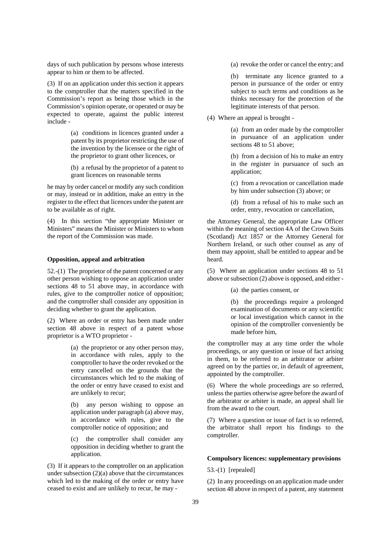days of such publication by persons whose interests appear to him or them to be affected.

(3) If on an application under this section it appears to the comptroller that the matters specified in the Commission's report as being those which in the Commission's opinion operate, or operated or may be expected to operate, against the public interest include -

> (a) conditions in licences granted under a patent by its proprietor restricting the use of the invention by the licensee or the right of the proprietor to grant other licences, or

> (b) a refusal by the proprietor of a patent to grant licences on reasonable terms

he may by order cancel or modify any such condition or may, instead or in addition, make an entry in the register to the effect that licences under the patent are to be available as of right.

(4) In this section "the appropriate Minister or Ministers" means the Minister or Ministers to whom the report of the Commission was made.

#### **Opposition, appeal and arbitration**

52.-(1) The proprietor of the patent concerned or any other person wishing to oppose an application under sections 48 to 51 above may, in accordance with rules, give to the comptroller notice of opposition; and the comptroller shall consider any opposition in deciding whether to grant the application.

(2) Where an order or entry has been made under section 48 above in respect of a patent whose proprietor is a WTO proprietor -

> (a) the proprietor or any other person may, in accordance with rules, apply to the comptroller to have the order revoked or the entry cancelled on the grounds that the circumstances which led to the making of the order or entry have ceased to exist and are unlikely to recur;

> (b) any person wishing to oppose an application under paragraph (a) above may, in accordance with rules, give to the comptroller notice of opposition; and

> (c) the comptroller shall consider any opposition in deciding whether to grant the application.

(3) If it appears to the comptroller on an application under subsection  $(2)(a)$  above that the circumstances which led to the making of the order or entry have ceased to exist and are unlikely to recur, he may -

(a) revoke the order or cancel the entry; and

(b) terminate any licence granted to a person in pursuance of the order or entry subject to such terms and conditions as he thinks necessary for the protection of the legitimate interests of that person.

(4) Where an appeal is brought -

(a) from an order made by the comptroller in pursuance of an application under sections 48 to 51 above:

(b) from a decision of his to make an entry in the register in pursuance of such an application;

(c) from a revocation or cancellation made by him under subsection (3) above; or

(d) from a refusal of his to make such an order, entry, revocation or cancellation,

the Attorney General, the appropriate Law Officer within the meaning of section 4A of the Crown Suits (Scotland) Act 1857 or the Attorney General for Northern Ireland, or such other counsel as any of them may appoint, shall be entitled to appear and be heard.

(5) Where an application under sections 48 to 51 above or subsection (2) above is opposed, and either -

(a) the parties consent, or

(b) the proceedings require a prolonged examination of documents or any scientific or local investigation which cannot in the opinion of the comptroller conveniently be made before him,

the comptroller may at any time order the whole proceedings, or any question or issue of fact arising in them, to be referred to an arbitrator or arbiter agreed on by the parties or, in default of agreement, appointed by the comptroller.

(6) Where the whole proceedings are so referred, unless the parties otherwise agree before the award of the arbitrator or arbiter is made, an appeal shall lie from the award to the court.

(7) Where a question or issue of fact is so referred, the arbitrator shall report his findings to the comptroller.

# **Compulsory licences: supplementary provisions**

53.-(1) [repealed]

(2) In any proceedings on an application made under section 48 above in respect of a patent, any statement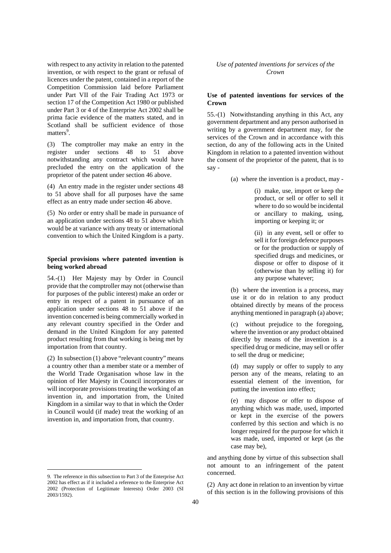with respect to any activity in relation to the patented invention, or with respect to the grant or refusal of licences under the patent, contained in a report of the Competition Commission laid before Parliament under Part VII of the Fair Trading Act 1973 or section 17 of the Competition Act 1980 or published under Part 3 or 4 of the Enterprise Act 2002 shall be prima facie evidence of the matters stated, and in Scotland shall be sufficient evidence of those matters<sup>9</sup>.

(3) The comptroller may make an entry in the register under sections 48 to 51 above notwithstanding any contract which would have precluded the entry on the application of the proprietor of the patent under section 46 above.

(4) An entry made in the register under sections 48 to 51 above shall for all purposes have the same effect as an entry made under section 46 above.

(5) No order or entry shall be made in pursuance of an application under sections 48 to 51 above which would be at variance with any treaty or international convention to which the United Kingdom is a party.

### **Special provisions where patented invention is being worked abroad**

54.-(1) Her Majesty may by Order in Council provide that the comptroller may not (otherwise than for purposes of the public interest) make an order or entry in respect of a patent in pursuance of an application under sections 48 to 51 above if the invention concerned is being commercially worked in any relevant country specified in the Order and demand in the United Kingdom for any patented product resulting from that working is being met by importation from that country.

(2) In subsection (1) above "relevant country" means a country other than a member state or a member of the World Trade Organisation whose law in the opinion of Her Majesty in Council incorporates or will incorporate provisions treating the working of an invention in, and importation from, the United Kingdom in a similar way to that in which the Order in Council would (if made) treat the working of an invention in, and importation from, that country.

<u>.</u>

# *Use of patented inventions for services of the Crown*

# **Use of patented inventions for services of the Crown**

55.-(1) Notwithstanding anything in this Act, any government department and any person authorised in writing by a government department may, for the services of the Crown and in accordance with this section, do any of the following acts in the United Kingdom in relation to a patented invention without the consent of the proprietor of the patent, that is to say -

(a) where the invention is a product, may -

(i) make, use, import or keep the product, or sell or offer to sell it where to do so would be incidental or ancillary to making, using, importing or keeping it; or

(ii) in any event, sell or offer to sell it for foreign defence purposes or for the production or supply of specified drugs and medicines, or dispose or offer to dispose of it (otherwise than by selling it) for any purpose whatever;

(b) where the invention is a process, may use it or do in relation to any product obtained directly by means of the process anything mentioned in paragraph (a) above;

(c) without prejudice to the foregoing, where the invention or any product obtained directly by means of the invention is a specified drug or medicine, may sell or offer to sell the drug or medicine;

(d) may supply or offer to supply to any person any of the means, relating to an essential element of the invention, for putting the invention into effect;

(e) may dispose or offer to dispose of anything which was made, used, imported or kept in the exercise of the powers conferred by this section and which is no longer required for the purpose for which it was made, used, imported or kept (as the case may be),

and anything done by virtue of this subsection shall not amount to an infringement of the patent concerned.

(2) Any act done in relation to an invention by virtue of this section is in the following provisions of this

<sup>9.</sup> The reference in this subsection to Part 3 of the Enterprise Act 2002 has effect as if it included a reference to the Enterprise Act 2002 (Protection of Legitimate Interests) Order 2003 (SI 2003/1592).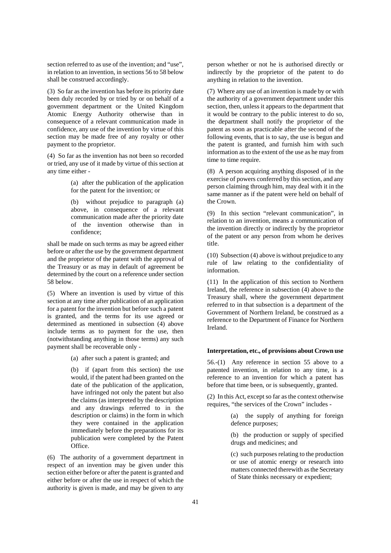section referred to as use of the invention; and "use", in relation to an invention, in sections 56 to 58 below shall be construed accordingly.

(3) So far as the invention has before its priority date been duly recorded by or tried by or on behalf of a government department or the United Kingdom Atomic Energy Authority otherwise than in consequence of a relevant communication made in confidence, any use of the invention by virtue of this section may be made free of any royalty or other payment to the proprietor.

(4) So far as the invention has not been so recorded or tried, any use of it made by virtue of this section at any time either -

> (a) after the publication of the application for the patent for the invention; or

> (b) without prejudice to paragraph (a) above, in consequence of a relevant communication made after the priority date of the invention otherwise than in confidence;

shall be made on such terms as may be agreed either before or after the use by the government department and the proprietor of the patent with the approval of the Treasury or as may in default of agreement be determined by the court on a reference under section 58 below.

(5) Where an invention is used by virtue of this section at any time after publication of an application for a patent for the invention but before such a patent is granted, and the terms for its use agreed or determined as mentioned in subsection (4) above include terms as to payment for the use, then (notwithstanding anything in those terms) any such payment shall be recoverable only -

(a) after such a patent is granted; and

(b) if (apart from this section) the use would, if the patent had been granted on the date of the publication of the application, have infringed not only the patent but also the claims (as interpreted by the description and any drawings referred to in the description or claims) in the form in which they were contained in the application immediately before the preparations for its publication were completed by the Patent Office.

(6) The authority of a government department in respect of an invention may be given under this section either before or after the patent is granted and either before or after the use in respect of which the authority is given is made, and may be given to any

person whether or not he is authorised directly or indirectly by the proprietor of the patent to do anything in relation to the invention.

(7) Where any use of an invention is made by or with the authority of a government department under this section, then, unless it appears to the department that it would be contrary to the public interest to do so, the department shall notify the proprietor of the patent as soon as practicable after the second of the following events, that is to say, the use is begun and the patent is granted, and furnish him with such information as to the extent of the use as he may from time to time require.

(8) A person acquiring anything disposed of in the exercise of powers conferred by this section, and any person claiming through him, may deal with it in the same manner as if the patent were held on behalf of the Crown.

(9) In this section "relevant communication", in relation to an invention, means a communication of the invention directly or indirectly by the proprietor of the patent or any person from whom he derives title.

(10) Subsection (4) above is without prejudice to any rule of law relating to the confidentiality of information.

(11) In the application of this section to Northern Ireland, the reference in subsection (4) above to the Treasury shall, where the government department referred to in that subsection is a department of the Government of Northern Ireland, be construed as a reference to the Department of Finance for Northern Ireland.

# **Interpretation, etc., of provisions about Crown use**

56.-(1) Any reference in section 55 above to a patented invention, in relation to any time, is a reference to an invention for which a patent has before that time been, or is subsequently, granted.

(2) In this Act, except so far as the context otherwise requires, "the services of the Crown" includes -

> (a) the supply of anything for foreign defence purposes;

> (b) the production or supply of specified drugs and medicines; and

> (c) such purposes relating to the production or use of atomic energy or research into matters connected therewith as the Secretary of State thinks necessary or expedient;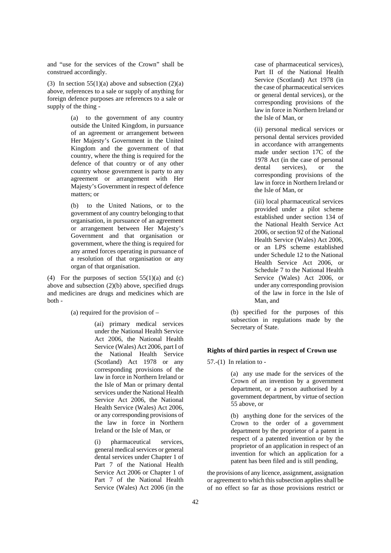and "use for the services of the Crown" shall be construed accordingly.

(3) In section  $55(1)(a)$  above and subsection  $(2)(a)$ above, references to a sale or supply of anything for foreign defence purposes are references to a sale or supply of the thing -

> (a) to the government of any country outside the United Kingdom, in pursuance of an agreement or arrangement between Her Majesty's Government in the United Kingdom and the government of that country, where the thing is required for the defence of that country or of any other country whose government is party to any agreement or arrangement with Her Majesty's Government in respect of defence matters; or

> (b) to the United Nations, or to the government of any country belonging to that organisation, in pursuance of an agreement or arrangement between Her Majesty's Government and that organisation or government, where the thing is required for any armed forces operating in pursuance of a resolution of that organisation or any organ of that organisation.

(4) For the purposes of section  $55(1)(a)$  and (c) above and subsection (2)(b) above, specified drugs and medicines are drugs and medicines which are both -

(a) required for the provision of –

(ai) primary medical services under the National Health Service Act 2006, the National Health Service (Wales) Act 2006, part I of the National Health Service (Scotland) Act 1978 or any corresponding provisions of the law in force in Northern Ireland or the Isle of Man or primary dental services under the National Health Service Act 2006, the National Health Service (Wales) Act 2006, or any corresponding provisions of the law in force in Northern Ireland or the Isle of Man, or

pharmaceutical services, general medical services or general dental services under Chapter 1 of Part 7 of the National Health Service Act 2006 or Chapter 1 of Part 7 of the National Health Service (Wales) Act 2006 (in the case of pharmaceutical services), Part II of the National Health Service (Scotland) Act 1978 (in the case of pharmaceutical services or general dental services), or the corresponding provisions of the law in force in Northern Ireland or the Isle of Man, or

(ii) personal medical services or personal dental services provided in accordance with arrangements made under section 17C of the 1978 Act (in the case of personal dental services), or the corresponding provisions of the law in force in Northern Ireland or the Isle of Man, or

(iii) local pharmaceutical services provided under a pilot scheme established under section 134 of the National Health Service Act 2006, or section 92 of the National Health Service (Wales) Act 2006, or an LPS scheme established under Schedule 12 to the National Health Service Act 2006, or Schedule 7 to the National Health Service (Wales) Act 2006, or under any corresponding provision of the law in force in the Isle of Man, and

(b) specified for the purposes of this subsection in regulations made by the Secretary of State.

# **Rights of third parties in respect of Crown use**

 $57-(1)$  In relation to -

(a) any use made for the services of the Crown of an invention by a government department, or a person authorised by a government department, by virtue of section 55 above, or

(b) anything done for the services of the Crown to the order of a government department by the proprietor of a patent in respect of a patented invention or by the proprietor of an application in respect of an invention for which an application for a patent has been filed and is still pending,

the provisions of any licence, assignment, assignation or agreement to which this subsection applies shall be of no effect so far as those provisions restrict or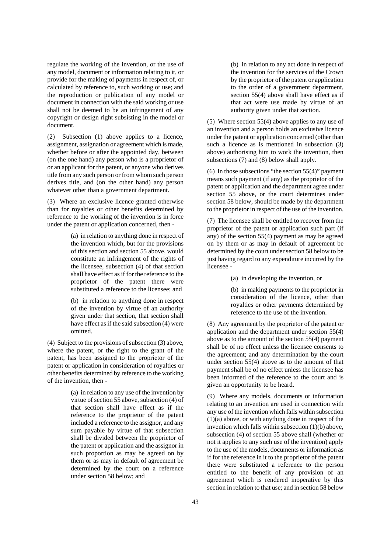regulate the working of the invention, or the use of any model, document or information relating to it, or provide for the making of payments in respect of, or calculated by reference to, such working or use; and the reproduction or publication of any model or document in connection with the said working or use shall not be deemed to be an infringement of any copyright or design right subsisting in the model or document.

(2) Subsection (1) above applies to a licence, assignment, assignation or agreement which is made, whether before or after the appointed day, between (on the one hand) any person who is a proprietor of or an applicant for the patent, or anyone who derives title from any such person or from whom such person derives title, and (on the other hand) any person whatever other than a government department.

(3) Where an exclusive licence granted otherwise than for royalties or other benefits determined by reference to the working of the invention is in force under the patent or application concerned, then -

> (a) in relation to anything done in respect of the invention which, but for the provisions of this section and section 55 above, would constitute an infringement of the rights of the licensee, subsection (4) of that section shall have effect as if for the reference to the proprietor of the patent there were substituted a reference to the licensee; and

> (b) in relation to anything done in respect of the invention by virtue of an authority given under that section, that section shall have effect as if the said subsection (4) were omitted.

(4) Subject to the provisions of subsection (3) above, where the patent, or the right to the grant of the patent, has been assigned to the proprietor of the patent or application in consideration of royalties or other benefits determined by reference to the working of the invention, then -

> (a) in relation to any use of the invention by virtue of section 55 above, subsection (4) of that section shall have effect as if the reference to the proprietor of the patent included a reference to the assignor, and any sum payable by virtue of that subsection shall be divided between the proprietor of the patent or application and the assignor in such proportion as may be agreed on by them or as may in default of agreement be determined by the court on a reference under section 58 below; and

(b) in relation to any act done in respect of the invention for the services of the Crown by the proprietor of the patent or application to the order of a government department, section 55(4) above shall have effect as if that act were use made by virtue of an authority given under that section.

(5) Where section 55(4) above applies to any use of an invention and a person holds an exclusive licence under the patent or application concerned (other than such a licence as is mentioned in subsection (3) above) authorising him to work the invention, then subsections (7) and (8) below shall apply.

(6) In those subsections "the section 55(4)" payment means such payment (if any) as the proprietor of the patent or application and the department agree under section 55 above, or the court determines under section 58 below, should be made by the department to the proprietor in respect of the use of the invention.

(7) The licensee shall be entitled to recover from the proprietor of the patent or application such part (if any) of the section 55(4) payment as may be agreed on by them or as may in default of agreement be determined by the court under section 58 below to be just having regard to any expenditure incurred by the licensee -

(a) in developing the invention, or

(b) in making payments to the proprietor in consideration of the licence, other than royalties or other payments determined by reference to the use of the invention.

(8) Any agreement by the proprietor of the patent or application and the department under section 55(4) above as to the amount of the section 55(4) payment shall be of no effect unless the licensee consents to the agreement; and any determination by the court under section 55(4) above as to the amount of that payment shall be of no effect unless the licensee has been informed of the reference to the court and is given an opportunity to be heard.

(9) Where any models, documents or information relating to an invention are used in connection with any use of the invention which falls within subsection (1)(a) above, or with anything done in respect of the invention which falls within subsection (1)(b) above, subsection (4) of section 55 above shall (whether or not it applies to any such use of the invention) apply to the use of the models, documents or information as if for the reference in it to the proprietor of the patent there were substituted a reference to the person entitled to the benefit of any provision of an agreement which is rendered inoperative by this section in relation to that use; and in section 58 below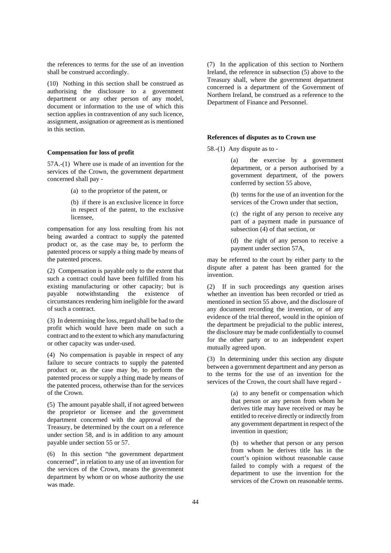the references to terms for the use of an invention shall be construed accordingly.

(10) Nothing in this section shall be construed as authorising the disclosure to a government department or any other person of any model, document or information to the use of which this section applies in contravention of any such licence, assignment, assignation or agreement as is mentioned in this section.

#### **Compensation for loss of profit**

57A.-(1) Where use is made of an invention for the services of the Crown, the government department concerned shall pay -

(a) to the proprietor of the patent, or

(b) if there is an exclusive licence in force in respect of the patent, to the exclusive licensee,

compensation for any loss resulting from his not being awarded a contract to supply the patented product or, as the case may be, to perform the patented process or supply a thing made by means of the patented process.

(2) Compensation is payable only to the extent that such a contract could have been fulfilled from his existing manufacturing or other capacity; but is payable notwithstanding the existence of circumstances rendering him ineligible for the award of such a contract.

(3) In determining the loss, regard shall be had to the profit which would have been made on such a contract and to the extent to which any manufacturing or other capacity was under-used.

(4) No compensation is payable in respect of any failure to secure contracts to supply the patented product or, as the case may be, to perform the patented process or supply a thing made by means of the patented process, otherwise than for the services of the Crown.

(5) The amount payable shall, if not agreed between the proprietor or licensee and the government department concerned with the approval of the Treasury, be determined by the court on a reference under section 58, and is in addition to any amount payable under section 55 or 57.

(6) In this section "the government department concerned", in relation to any use of an invention for the services of the Crown, means the government department by whom or on whose authority the use was made.

(7) In the application of this section to Northern Ireland, the reference in subsection (5) above to the Treasury shall, where the government department concerned is a department of the Government of Northern Ireland, be construed as a reference to the Department of Finance and Personnel.

#### **References of disputes as to Crown use**

58.-(1) Any dispute as to -

(a) the exercise by a government department, or a person authorised by a government department, of the powers conferred by section 55 above,

(b) terms for the use of an invention for the services of the Crown under that section,

(c) the right of any person to receive any part of a payment made in pursuance of subsection (4) of that section, or

(d) the right of any person to receive a payment under section 57A,

may be referred to the court by either party to the dispute after a patent has been granted for the invention.

(2) If in such proceedings any question arises whether an invention has been recorded or tried as mentioned in section 55 above, and the disclosure of any document recording the invention, or of any evidence of the trial thereof, would in the opinion of the department be prejudicial to the public interest, the disclosure may be made confidentially to counsel for the other party or to an independent expert mutually agreed upon.

(3) In determining under this section any dispute between a government department and any person as to the terms for the use of an invention for the services of the Crown, the court shall have regard -

> (a) to any benefit or compensation which that person or any person from whom he derives title may have received or may be entitled to receive directly or indirectly from any government department in respect of the invention in question;

> (b) to whether that person or any person from whom he derives title has in the court's opinion without reasonable cause failed to comply with a request of the department to use the invention for the services of the Crown on reasonable terms.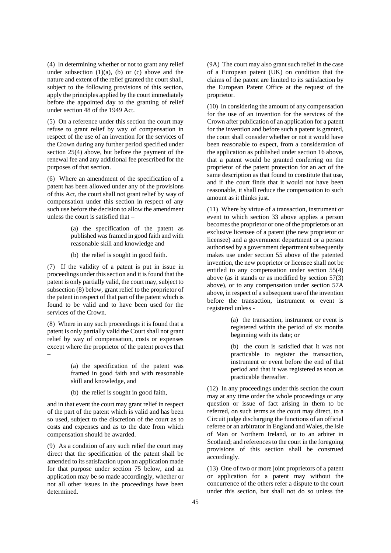(4) In determining whether or not to grant any relief under subsection  $(1)(a)$ ,  $(b)$  or  $(c)$  above and the nature and extent of the relief granted the court shall, subject to the following provisions of this section, apply the principles applied by the court immediately before the appointed day to the granting of relief under section 48 of the 1949 Act.

(5) On a reference under this section the court may refuse to grant relief by way of compensation in respect of the use of an invention for the services of the Crown during any further period specified under section 25(4) above, but before the payment of the renewal fee and any additional fee prescribed for the purposes of that section.

(6) Where an amendment of the specification of a patent has been allowed under any of the provisions of this Act, the court shall not grant relief by way of compensation under this section in respect of any such use before the decision to allow the amendment unless the court is satisfied that –

> (a) the specification of the patent as published was framed in good faith and with reasonable skill and knowledge and

(b) the relief is sought in good faith.

(7) If the validity of a patent is put in issue in proceedings under this section and it is found that the patent is only partially valid, the court may, subject to subsection (8) below, grant relief to the proprietor of the patent in respect of that part of the patent which is found to be valid and to have been used for the services of the Crown.

(8) Where in any such proceedings it is found that a patent is only partially valid the Court shall not grant relief by way of compensation, costs or expenses except where the proprietor of the patent proves that –

> (a) the specification of the patent was framed in good faith and with reasonable skill and knowledge, and

(b) the relief is sought in good faith,

and in that event the court may grant relief in respect of the part of the patent which is valid and has been so used, subject to the discretion of the court as to costs and expenses and as to the date from which compensation should be awarded.

(9) As a condition of any such relief the court may direct that the specification of the patent shall be amended to its satisfaction upon an application made for that purpose under section 75 below, and an application may be so made accordingly, whether or not all other issues in the proceedings have been determined.

(9A) The court may also grant such relief in the case of a European patent (UK) on condition that the claims of the patent are limited to its satisfaction by the European Patent Office at the request of the proprietor.

(10) In considering the amount of any compensation for the use of an invention for the services of the Crown after publication of an application for a patent for the invention and before such a patent is granted, the court shall consider whether or not it would have been reasonable to expect, from a consideration of the application as published under section 16 above, that a patent would be granted conferring on the proprietor of the patent protection for an act of the same description as that found to constitute that use, and if the court finds that it would not have been reasonable, it shall reduce the compensation to such amount as it thinks just.

(11) Where by virtue of a transaction, instrument or event to which section 33 above applies a person becomes the proprietor or one of the proprietors or an exclusive licensee of a patent (the new proprietor or licensee) and a government department or a person authorised by a government department subsequently makes use under section 55 above of the patented invention, the new proprietor or licensee shall not be entitled to any compensation under section 55(4) above (as it stands or as modified by section 57(3) above), or to any compensation under section 57A above, in respect of a subsequent use of the invention before the transaction, instrument or event is registered unless -

> (a) the transaction, instrument or event is registered within the period of six months beginning with its date; or

> (b) the court is satisfied that it was not practicable to register the transaction, instrument or event before the end of that period and that it was registered as soon as practicable thereafter.

(12) In any proceedings under this section the court may at any time order the whole proceedings or any question or issue of fact arising in them to be referred, on such terms as the court may direct, to a Circuit judge discharging the functions of an official referee or an arbitrator in England and Wales, the Isle of Man or Northern Ireland, or to an arbiter in Scotland; and references to the court in the foregoing provisions of this section shall be construed accordingly.

(13) One of two or more joint proprietors of a patent or application for a patent may without the concurrence of the others refer a dispute to the court under this section, but shall not do so unless the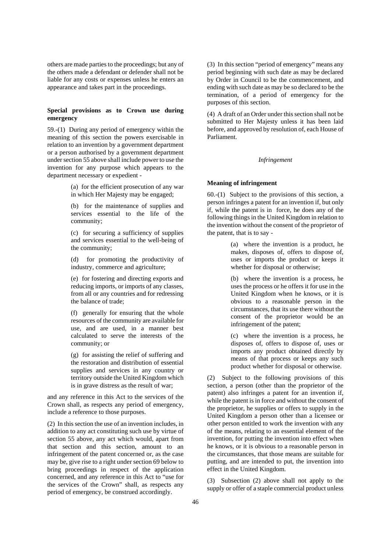others are made parties to the proceedings; but any of the others made a defendant or defender shall not be liable for any costs or expenses unless he enters an appearance and takes part in the proceedings.

# **Special provisions as to Crown use during emergency**

59.-(1) During any period of emergency within the meaning of this section the powers exercisable in relation to an invention by a government department or a person authorised by a government department under section 55 above shall include power to use the invention for any purpose which appears to the department necessary or expedient -

> (a) for the efficient prosecution of any war in which Her Majesty may be engaged;

> (b) for the maintenance of supplies and services essential to the life of the community;

> (c) for securing a sufficiency of supplies and services essential to the well-being of the community;

> (d) for promoting the productivity of industry, commerce and agriculture;

> (e) for fostering and directing exports and reducing imports, or imports of any classes, from all or any countries and for redressing the balance of trade;

> (f) generally for ensuring that the whole resources of the community are available for use, and are used, in a manner best calculated to serve the interests of the community; or

> (g) for assisting the relief of suffering and the restoration and distribution of essential supplies and services in any country or territory outside the United Kingdom which is in grave distress as the result of war;

and any reference in this Act to the services of the Crown shall, as respects any period of emergency, include a reference to those purposes.

(2) In this section the use of an invention includes, in addition to any act constituting such use by virtue of section 55 above, any act which would, apart from that section and this section, amount to an infringement of the patent concerned or, as the case may be, give rise to a right under section 69 below to bring proceedings in respect of the application concerned, and any reference in this Act to "use for the services of the Crown" shall, as respects any period of emergency, be construed accordingly.

(3) In this section "period of emergency" means any period beginning with such date as may be declared by Order in Council to be the commencement, and ending with such date as may be so declared to be the termination, of a period of emergency for the purposes of this section.

(4) A draft of an Order under this section shall not be submitted to Her Majesty unless it has been laid before, and approved by resolution of, each House of Parliament.

#### *Infringement*

### **Meaning of infringement**

60.-(1) Subject to the provisions of this section, a person infringes a patent for an invention if, but only if, while the patent is in force, he does any of the following things in the United Kingdom in relation to the invention without the consent of the proprietor of the patent, that is to say -

> (a) where the invention is a product, he makes, disposes of, offers to dispose of, uses or imports the product or keeps it whether for disposal or otherwise;

> (b) where the invention is a process, he uses the process or he offers it for use in the United Kingdom when he knows, or it is obvious to a reasonable person in the circumstances, that its use there without the consent of the proprietor would be an infringement of the patent;

> (c) where the invention is a process, he disposes of, offers to dispose of, uses or imports any product obtained directly by means of that process or keeps any such product whether for disposal or otherwise.

(2) Subject to the following provisions of this section, a person (other than the proprietor of the patent) also infringes a patent for an invention if, while the patent is in force and without the consent of the proprietor, he supplies or offers to supply in the United Kingdom a person other than a licensee or other person entitled to work the invention with any of the means, relating to an essential element of the invention, for putting the invention into effect when he knows, or it is obvious to a reasonable person in the circumstances, that those means are suitable for putting, and are intended to put, the invention into effect in the United Kingdom.

(3) Subsection (2) above shall not apply to the supply or offer of a staple commercial product unless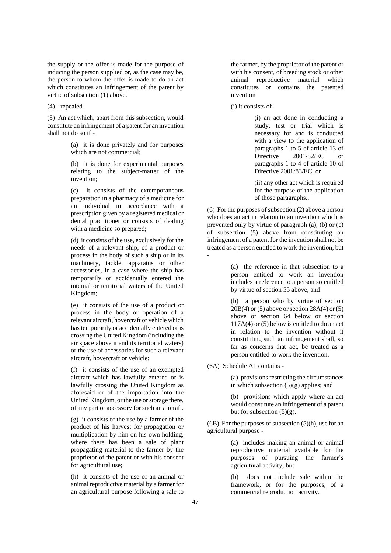the supply or the offer is made for the purpose of inducing the person supplied or, as the case may be, the person to whom the offer is made to do an act which constitutes an infringement of the patent by virtue of subsection (1) above.

(4) [repealed]

(5) An act which, apart from this subsection, would constitute an infringement of a patent for an invention shall not do so if -

> (a) it is done privately and for purposes which are not commercial;

> (b) it is done for experimental purposes relating to the subject-matter of the invention;

> (c) it consists of the extemporaneous preparation in a pharmacy of a medicine for an individual in accordance with a prescription given by a registered medical or dental practitioner or consists of dealing with a medicine so prepared;

> (d) it consists of the use, exclusively for the needs of a relevant ship, of a product or process in the body of such a ship or in its machinery, tackle, apparatus or other accessories, in a case where the ship has temporarily or accidentally entered the internal or territorial waters of the United Kingdom;

> (e) it consists of the use of a product or process in the body or operation of a relevant aircraft, hovercraft or vehicle which has temporarily or accidentally entered or is crossing the United Kingdom (including the air space above it and its territorial waters) or the use of accessories for such a relevant aircraft, hovercraft or vehicle;

> (f) it consists of the use of an exempted aircraft which has lawfully entered or is lawfully crossing the United Kingdom as aforesaid or of the importation into the United Kingdom, or the use or storage there, of any part or accessory for such an aircraft.

> (g) it consists of the use by a farmer of the product of his harvest for propagation or multiplication by him on his own holding, where there has been a sale of plant propagating material to the farmer by the proprietor of the patent or with his consent for agricultural use;

> (h) it consists of the use of an animal or animal reproductive material by a farmer for an agricultural purpose following a sale to

the farmer, by the proprietor of the patent or with his consent, of breeding stock or other animal reproductive material which constitutes or contains the patented invention

 $(i)$  it consists of  $-$ 

(i) an act done in conducting a study, test or trial which is necessary for and is conducted with a view to the application of paragraphs 1 to 5 of article 13 of Directive 2001/82/EC or paragraphs 1 to 4 of article 10 of Directive 2001/83/EC, or

(ii) any other act which is required for the purpose of the application of those paragraphs..

(6) For the purposes of subsection (2) above a person who does an act in relation to an invention which is prevented only by virtue of paragraph (a), (b) or (c) of subsection (5) above from constituting an infringement of a patent for the invention shall not be treated as a person entitled to work the invention, but -

> (a) the reference in that subsection to a person entitled to work an invention includes a reference to a person so entitled by virtue of section 55 above, and

> (b) a person who by virtue of section  $20B(4)$  or (5) above or section  $28A(4)$  or (5) above or section 64 below or section  $117A(4)$  or  $(5)$  below is entitled to do an act in relation to the invention without it constituting such an infringement shall, so far as concerns that act, be treated as a person entitled to work the invention.

(6A) Schedule A1 contains -

(a) provisions restricting the circumstances in which subsection  $(5)(g)$  applies; and

(b) provisions which apply where an act would constitute an infringement of a patent but for subsection (5)(g).

 $(6B)$  For the purposes of subsection  $(5)(h)$ , use for an agricultural purpose -

> (a) includes making an animal or animal reproductive material available for the purposes of pursuing the farmer's agricultural activity; but

> (b) does not include sale within the framework, or for the purposes, of a commercial reproduction activity.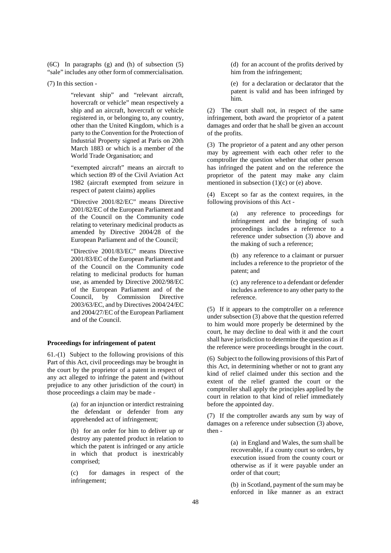(6C) In paragraphs (g) and (h) of subsection (5) "sale" includes any other form of commercialisation.

(7) In this section -

"relevant ship" and "relevant aircraft, hovercraft or vehicle" mean respectively a ship and an aircraft, hovercraft or vehicle registered in, or belonging to, any country, other than the United Kingdom, which is a party to the Convention for the Protection of Industrial Property signed at Paris on 20th March 1883 or which is a member of the World Trade Organisation; and

"exempted aircraft" means an aircraft to which section 89 of the Civil Aviation Act 1982 (aircraft exempted from seizure in respect of patent claims) applies

"Directive 2001/82/EC" means Directive 2001/82/EC of the European Parliament and of the Council on the Community code relating to veterinary medicinal products as amended by Directive 2004/28 of the European Parliament and of the Council;

"Directive 2001/83/EC" means Directive 2001/83/EC of the European Parliament and of the Council on the Community code relating to medicinal products for human use, as amended by Directive 2002/98/EC of the European Parliament and of the Council, by Commission Directive 2003/63/EC, and by Directives 2004/24/EC and 2004/27/EC of the European Parliament and of the Council.

## **Proceedings for infringement of patent**

61.-(1) Subject to the following provisions of this Part of this Act, civil proceedings may be brought in the court by the proprietor of a patent in respect of any act alleged to infringe the patent and (without prejudice to any other jurisdiction of the court) in those proceedings a claim may be made -

> (a) for an injunction or interdict restraining the defendant or defender from any apprehended act of infringement;

> (b) for an order for him to deliver up or destroy any patented product in relation to which the patent is infringed or any article in which that product is inextricably comprised;

> (c) for damages in respect of the infringement;

(d) for an account of the profits derived by him from the infringement;

(e) for a declaration or declarator that the patent is valid and has been infringed by him.

(2) The court shall not, in respect of the same infringement, both award the proprietor of a patent damages and order that he shall be given an account of the profits.

(3) The proprietor of a patent and any other person may by agreement with each other refer to the comptroller the question whether that other person has infringed the patent and on the reference the proprietor of the patent may make any claim mentioned in subsection  $(1)(c)$  or  $(e)$  above.

(4) Except so far as the context requires, in the following provisions of this Act -

> (a) any reference to proceedings for infringement and the bringing of such proceedings includes a reference to a reference under subsection (3) above and the making of such a reference;

> (b) any reference to a claimant or pursuer includes a reference to the proprietor of the patent; and

> (c) any reference to a defendant or defender includes a reference to any other party to the reference.

(5) If it appears to the comptroller on a reference under subsection (3) above that the question referred to him would more properly be determined by the court, he may decline to deal with it and the court shall have jurisdiction to determine the question as if the reference were proceedings brought in the court.

(6) Subject to the following provisions of this Part of this Act, in determining whether or not to grant any kind of relief claimed under this section and the extent of the relief granted the court or the comptroller shall apply the principles applied by the court in relation to that kind of relief immediately before the appointed day.

(7) If the comptroller awards any sum by way of damages on a reference under subsection (3) above, then -

> (a) in England and Wales, the sum shall be recoverable, if a county court so orders, by execution issued from the county court or otherwise as if it were payable under an order of that court;

> (b) in Scotland, payment of the sum may be enforced in like manner as an extract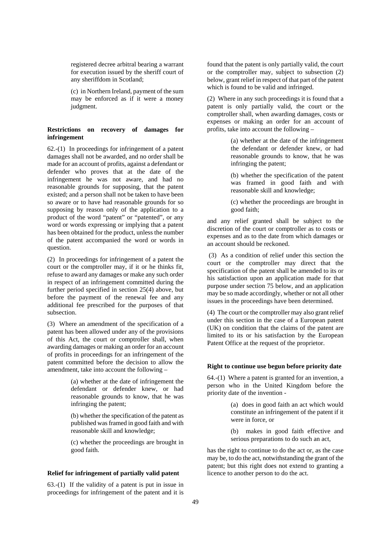registered decree arbitral bearing a warrant for execution issued by the sheriff court of any sheriffdom in Scotland;

(c) in Northern Ireland, payment of the sum may be enforced as if it were a money judgment.

## **Restrictions on recovery of damages for infringement**

62.-(1) In proceedings for infringement of a patent damages shall not be awarded, and no order shall be made for an account of profits, against a defendant or defender who proves that at the date of the infringement he was not aware, and had no reasonable grounds for supposing, that the patent existed; and a person shall not be taken to have been so aware or to have had reasonable grounds for so supposing by reason only of the application to a product of the word "patent" or "patented", or any word or words expressing or implying that a patent has been obtained for the product, unless the number of the patent accompanied the word or words in question.

(2) In proceedings for infringement of a patent the court or the comptroller may, if it or he thinks fit, refuse to award any damages or make any such order in respect of an infringement committed during the further period specified in section 25(4) above, but before the payment of the renewal fee and any additional fee prescribed for the purposes of that subsection.

(3) Where an amendment of the specification of a patent has been allowed under any of the provisions of this Act, the court or comptroller shall, when awarding damages or making an order for an account of profits in proceedings for an infringement of the patent committed before the decision to allow the amendment, take into account the following –

> (a) whether at the date of infringement the defendant or defender knew, or had reasonable grounds to know, that he was infringing the patent;

> (b) whether the specification of the patent as published was framed in good faith and with reasonable skill and knowledge;

> (c) whether the proceedings are brought in good faith.

# **Relief for infringement of partially valid patent**

63.-(1) If the validity of a patent is put in issue in proceedings for infringement of the patent and it is

found that the patent is only partially valid, the court or the comptroller may, subject to subsection (2) below, grant relief in respect of that part of the patent which is found to be valid and infringed.

(2) Where in any such proceedings it is found that a patent is only partially valid, the court or the comptroller shall, when awarding damages, costs or expenses or making an order for an account of profits, take into account the following –

> (a) whether at the date of the infringement the defendant or defender knew, or had reasonable grounds to know, that he was infringing the patent;

> (b) whether the specification of the patent was framed in good faith and with reasonable skill and knowledge;

> (c) whether the proceedings are brought in good faith;

and any relief granted shall be subject to the discretion of the court or comptroller as to costs or expenses and as to the date from which damages or an account should be reckoned.

 (3) As a condition of relief under this section the court or the comptroller may direct that the specification of the patent shall be amended to its or his satisfaction upon an application made for that purpose under section 75 below, and an application may be so made accordingly, whether or not all other issues in the proceedings have been determined.

(4) The court or the comptroller may also grant relief under this section in the case of a European patent (UK) on condition that the claims of the patent are limited to its or his satisfaction by the European Patent Office at the request of the proprietor.

### **Right to continue use begun before priority date**

64.-(1) Where a patent is granted for an invention, a person who in the United Kingdom before the priority date of the invention -

> (a) does in good faith an act which would constitute an infringement of the patent if it were in force, or

> (b) makes in good faith effective and serious preparations to do such an act,

has the right to continue to do the act or, as the case may be, to do the act, notwithstanding the grant of the patent; but this right does not extend to granting a licence to another person to do the act.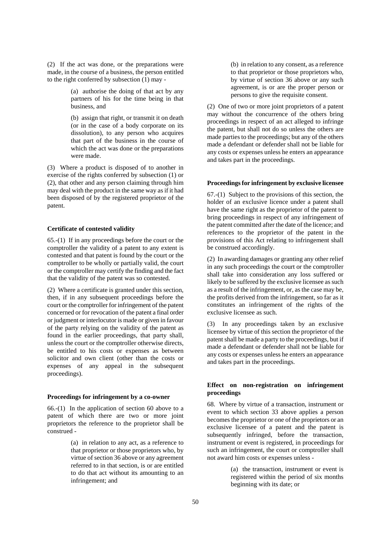(2) If the act was done, or the preparations were made, in the course of a business, the person entitled to the right conferred by subsection (1) may -

> (a) authorise the doing of that act by any partners of his for the time being in that business, and

> (b) assign that right, or transmit it on death (or in the case of a body corporate on its dissolution), to any person who acquires that part of the business in the course of which the act was done or the preparations were made.

(3) Where a product is disposed of to another in exercise of the rights conferred by subsection (1) or (2), that other and any person claiming through him may deal with the product in the same way as if it had been disposed of by the registered proprietor of the patent.

# **Certificate of contested validity**

65.-(1) If in any proceedings before the court or the comptroller the validity of a patent to any extent is contested and that patent is found by the court or the comptroller to be wholly or partially valid, the court or the comptroller may certify the finding and the fact that the validity of the patent was so contested.

(2) Where a certificate is granted under this section, then, if in any subsequent proceedings before the court or the comptroller for infringement of the patent concerned or for revocation of the patent a final order or judgment or interlocutor is made or given in favour of the party relying on the validity of the patent as found in the earlier proceedings, that party shall, unless the court or the comptroller otherwise directs, be entitled to his costs or expenses as between solicitor and own client (other than the costs or expenses of any appeal in the subsequent proceedings).

#### **Proceedings for infringement by a co-owner**

66.-(1) In the application of section 60 above to a patent of which there are two or more joint proprietors the reference to the proprietor shall be construed -

> (a) in relation to any act, as a reference to that proprietor or those proprietors who, by virtue of section 36 above or any agreement referred to in that section, is or are entitled to do that act without its amounting to an infringement; and

(b) in relation to any consent, as a reference to that proprietor or those proprietors who, by virtue of section 36 above or any such agreement, is or are the proper person or persons to give the requisite consent.

(2) One of two or more joint proprietors of a patent may without the concurrence of the others bring proceedings in respect of an act alleged to infringe the patent, but shall not do so unless the others are made parties to the proceedings; but any of the others made a defendant or defender shall not be liable for any costs or expenses unless he enters an appearance and takes part in the proceedings.

## **Proceedings for infringement by exclusive licensee**

67.-(1) Subject to the provisions of this section, the holder of an exclusive licence under a patent shall have the same right as the proprietor of the patent to bring proceedings in respect of any infringement of the patent committed after the date of the licence; and references to the proprietor of the patent in the provisions of this Act relating to infringement shall be construed accordingly.

(2) In awarding damages or granting any other relief in any such proceedings the court or the comptroller shall take into consideration any loss suffered or likely to be suffered by the exclusive licensee as such as a result of the infringement, or, as the case may be, the profits derived from the infringement, so far as it constitutes an infringement of the rights of the exclusive licensee as such.

(3) In any proceedings taken by an exclusive licensee by virtue of this section the proprietor of the patent shall be made a party to the proceedings, but if made a defendant or defender shall not be liable for any costs or expenses unless he enters an appearance and takes part in the proceedings.

# **Effect on non-registration on infringement proceedings**

68. Where by virtue of a transaction, instrument or event to which section 33 above applies a person becomes the proprietor or one of the proprietors or an exclusive licensee of a patent and the patent is subsequently infringed, before the transaction, instrument or event is registered, in proceedings for such an infringement, the court or comptroller shall not award him costs or expenses unless -

> (a) the transaction, instrument or event is registered within the period of six months beginning with its date; or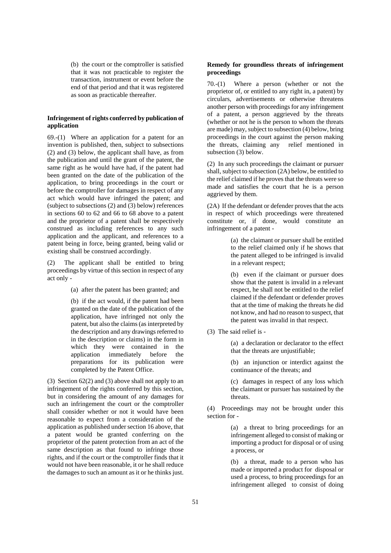(b) the court or the comptroller is satisfied that it was not practicable to register the transaction, instrument or event before the end of that period and that it was registered as soon as practicable thereafter.

# **Infringement of rights conferred by publication of application**

69.-(1) Where an application for a patent for an invention is published, then, subject to subsections (2) and (3) below, the applicant shall have, as from the publication and until the grant of the patent, the same right as he would have had, if the patent had been granted on the date of the publication of the application, to bring proceedings in the court or before the comptroller for damages in respect of any act which would have infringed the patent; and (subject to subsections (2) and (3) below) references in sections 60 to 62 and 66 to 68 above to a patent and the proprietor of a patent shall be respectively construed as including references to any such application and the applicant, and references to a patent being in force, being granted, being valid or existing shall be construed accordingly.

(2) The applicant shall be entitled to bring proceedings by virtue of this section in respect of any act only -

(a) after the patent has been granted; and

(b) if the act would, if the patent had been granted on the date of the publication of the application, have infringed not only the patent, but also the claims (as interpreted by the description and any drawings referred to in the description or claims) in the form in which they were contained in the application immediately before the preparations for its publication were completed by the Patent Office.

(3) Section 62(2) and (3) above shall not apply to an infringement of the rights conferred by this section, but in considering the amount of any damages for such an infringement the court or the comptroller shall consider whether or not it would have been reasonable to expect from a consideration of the application as published under section 16 above, that a patent would be granted conferring on the proprietor of the patent protection from an act of the same description as that found to infringe those rights, and if the court or the comptroller finds that it would not have been reasonable, it or he shall reduce the damages to such an amount as it or he thinks just.

# **Remedy for groundless threats of infringement proceedings**

70.-(1) Where a person (whether or not the proprietor of, or entitled to any right in, a patent) by circulars, advertisements or otherwise threatens another person with proceedings for any infringement of a patent, a person aggrieved by the threats (whether or not he is the person to whom the threats are made) may, subject to subsection (4) below, bring proceedings in the court against the person making the threats, claiming any relief mentioned in subsection (3) below.

(2) In any such proceedings the claimant or pursuer shall, subject to subsection (2A) below, be entitled to the relief claimed if he proves that the threats were so made and satisfies the court that he is a person aggrieved by them.

(2A) If the defendant or defender proves that the acts in respect of which proceedings were threatened constitute or, if done, would constitute an infringement of a patent -

> (a) the claimant or pursuer shall be entitled to the relief claimed only if he shows that the patent alleged to be infringed is invalid in a relevant respect;

> (b) even if the claimant or pursuer does show that the patent is invalid in a relevant respect, he shall not be entitled to the relief claimed if the defendant or defender proves that at the time of making the threats he did not know, and had no reason to suspect, that the patent was invalid in that respect.

(3) The said relief is -

(a) a declaration or declarator to the effect that the threats are unjustifiable;

(b) an injunction or interdict against the continuance of the threats; and

(c) damages in respect of any loss which the claimant or pursuer has sustained by the threats.

(4) Proceedings may not be brought under this section for -

> (a) a threat to bring proceedings for an infringement alleged to consist of making or importing a product for disposal or of using a process, or

> (b) a threat, made to a person who has made or imported a product for disposal or used a process, to bring proceedings for an infringement alleged to consist of doing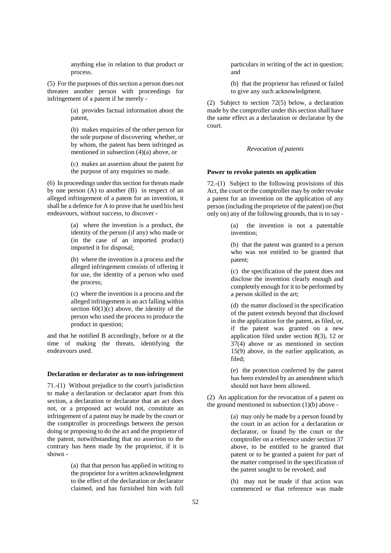anything else in relation to that product or process.

(5) For the purposes of this section a person does not threaten another person with proceedings for infringement of a patent if he merely -

> (a) provides factual information about the patent,

> (b) makes enquiries of the other person for the sole purpose of discovering whether, or by whom, the patent has been infringed as mentioned in subsection (4)(a) above, or

> (c) makes an assertion about the patent for the purpose of any enquiries so made.

(6) In proceedings under this section for threats made by one person (A) to another (B) in respect of an alleged infringement of a patent for an invention, it shall be a defence for A to prove that he used his best endeavours, without success, to discover -

> (a) where the invention is a product, the identity of the person (if any) who made or (in the case of an imported product) imported it for disposal;

> (b) where the invention is a process and the alleged infringement consists of offering it for use, the identity of a person who used the process;

> (c) where the invention is a process and the alleged infringement is an act falling within section  $60(1)(c)$  above, the identity of the person who used the process to produce the product in question;

and that he notified B accordingly, before or at the time of making the threats, identifying the endeavours used.

#### **Declaration or declarator as to non-infringement**

71.-(1) Without prejudice to the court's jurisdiction to make a declaration or declarator apart from this section, a declaration or declarator that an act does not, or a proposed act would not, constitute an infringement of a patent may be made by the court or the comptroller in proceedings between the person doing or proposing to do the act and the proprietor of the patent, notwithstanding that no assertion to the contrary has been made by the proprietor, if it is shown -

> (a) that that person has applied in writing to the proprietor for a written acknowledgment to the effect of the declaration or declarator claimed, and has furnished him with full

particulars in writing of the act in question; and

(b) that the proprietor has refused or failed to give any such acknowledgment.

(2) Subject to section 72(5) below, a declaration made by the comptroller under this section shall have the same effect as a declaration or declarator by the court.

#### *Revocation of patents*

## **Power to revoke patents on application**

72.-(1) Subject to the following provisions of this Act, the court or the comptroller may by order revoke a patent for an invention on the application of any person (including the proprietor of the patent) on (but only on) any of the following grounds, that is to say -

> (a) the invention is not a patentable invention;

> (b) that the patent was granted to a person who was not entitled to be granted that patent;

> (c) the specification of the patent does not disclose the invention clearly enough and completely enough for it to be performed by a person skilled in the art;

> (d) the matter disclosed in the specification of the patent extends beyond that disclosed in the application for the patent, as filed, or, if the patent was granted on a new application filed under section 8(3), 12 or 37(4) above or as mentioned in section 15(9) above, in the earlier application, as filed;

> (e) the protection conferred by the patent has been extended by an amendment which should not have been allowed.

(2) An application for the revocation of a patent on the ground mentioned in subsection (1)(b) above -

> (a) may only be made by a person found by the court in an action for a declaration or declarator, or found by the court or the comptroller on a reference under section 37 above, to be entitled to be granted that patent or to be granted a patent for part of the matter comprised in the specification of the patent sought to be revoked; and

> (b) may not be made if that action was commenced or that reference was made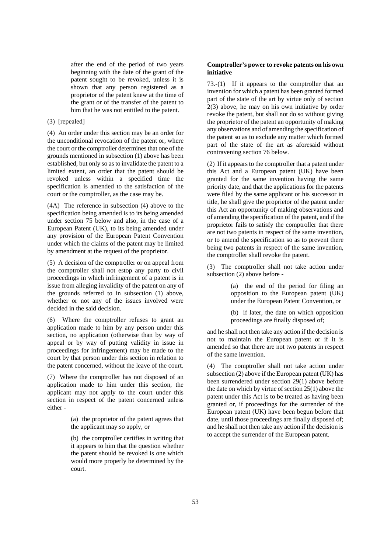after the end of the period of two years beginning with the date of the grant of the patent sought to be revoked, unless it is shown that any person registered as a proprietor of the patent knew at the time of the grant or of the transfer of the patent to him that he was not entitled to the patent.

## (3) [repealed]

(4) An order under this section may be an order for the unconditional revocation of the patent or, where the court or the comptroller determines that one of the grounds mentioned in subsection (1) above has been established, but only so as to invalidate the patent to a limited extent, an order that the patent should be revoked unless within a specified time the specification is amended to the satisfaction of the court or the comptroller, as the case may be.

(4A) The reference in subsection (4) above to the specification being amended is to its being amended under section 75 below and also, in the case of a European Patent (UK), to its being amended under any provision of the European Patent Convention under which the claims of the patent may be limited by amendment at the request of the proprietor.

(5) A decision of the comptroller or on appeal from the comptroller shall not estop any party to civil proceedings in which infringement of a patent is in issue from alleging invalidity of the patent on any of the grounds referred to in subsection (1) above, whether or not any of the issues involved were decided in the said decision.

(6) Where the comptroller refuses to grant an application made to him by any person under this section, no application (otherwise than by way of appeal or by way of putting validity in issue in proceedings for infringement) may be made to the court by that person under this section in relation to the patent concerned, without the leave of the court.

(7) Where the comptroller has not disposed of an application made to him under this section, the applicant may not apply to the court under this section in respect of the patent concerned unless either -

> (a) the proprietor of the patent agrees that the applicant may so apply, or

> (b) the comptroller certifies in writing that it appears to him that the question whether the patent should be revoked is one which would more properly be determined by the court.

### **Comptroller's power to revoke patents on his own initiative**

73.-(1) If it appears to the comptroller that an invention for which a patent has been granted formed part of the state of the art by virtue only of section 2(3) above, he may on his own initiative by order revoke the patent, but shall not do so without giving the proprietor of the patent an opportunity of making any observations and of amending the specification of the patent so as to exclude any matter which formed part of the state of the art as aforesaid without contravening section 76 below.

(2) If it appears to the comptroller that a patent under this Act and a European patent (UK) have been granted for the same invention having the same priority date, and that the applications for the patents were filed by the same applicant or his successor in title, he shall give the proprietor of the patent under this Act an opportunity of making observations and of amending the specification of the patent, and if the proprietor fails to satisfy the comptroller that there are not two patents in respect of the same invention, or to amend the specification so as to prevent there being two patents in respect of the same invention, the comptroller shall revoke the patent.

(3) The comptroller shall not take action under subsection (2) above before -

> (a) the end of the period for filing an opposition to the European patent (UK) under the European Patent Convention, or

> (b) if later, the date on which opposition proceedings are finally disposed of;

and he shall not then take any action if the decision is not to maintain the European patent or if it is amended so that there are not two patents in respect of the same invention.

(4) The comptroller shall not take action under subsection (2) above if the European patent (UK) has been surrendered under section 29(1) above before the date on which by virtue of section 25(1) above the patent under this Act is to be treated as having been granted or, if proceedings for the surrender of the European patent (UK) have been begun before that date, until those proceedings are finally disposed of; and he shall not then take any action if the decision is to accept the surrender of the European patent.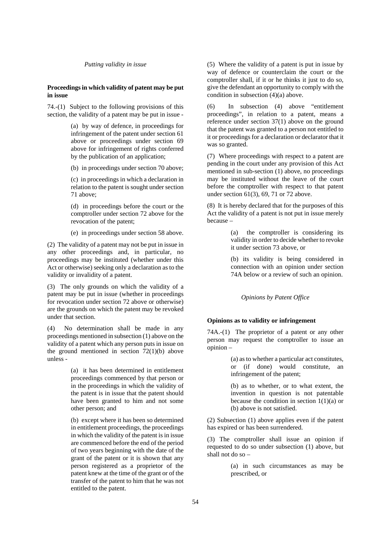### *Putting validity in issue*

### **Proceedings in which validity of patent may be put in issue**

74.-(1) Subject to the following provisions of this section, the validity of a patent may be put in issue -

> (a) by way of defence, in proceedings for infringement of the patent under section 61 above or proceedings under section 69 above for infringement of rights conferred by the publication of an application;

> (b) in proceedings under section 70 above;

(c) in proceedings in which a declaration in relation to the patent is sought under section 71 above;

(d) in proceedings before the court or the comptroller under section 72 above for the revocation of the patent;

(e) in proceedings under section 58 above.

(2) The validity of a patent may not be put in issue in any other proceedings and, in particular, no proceedings may be instituted (whether under this Act or otherwise) seeking only a declaration as to the validity or invalidity of a patent.

(3) The only grounds on which the validity of a patent may be put in issue (whether in proceedings for revocation under section 72 above or otherwise) are the grounds on which the patent may be revoked under that section.

(4) No determination shall be made in any proceedings mentioned in subsection (1) above on the validity of a patent which any person puts in issue on the ground mentioned in section  $72(1)(b)$  above unless -

> (a) it has been determined in entitlement proceedings commenced by that person or in the proceedings in which the validity of the patent is in issue that the patent should have been granted to him and not some other person; and

> (b) except where it has been so determined in entitlement proceedings, the proceedings in which the validity of the patent is in issue are commenced before the end of the period of two years beginning with the date of the grant of the patent or it is shown that any person registered as a proprietor of the patent knew at the time of the grant or of the transfer of the patent to him that he was not entitled to the patent.

(5) Where the validity of a patent is put in issue by way of defence or counterclaim the court or the comptroller shall, if it or he thinks it just to do so, give the defendant an opportunity to comply with the condition in subsection (4)(a) above.

(6) In subsection (4) above "entitlement proceedings", in relation to a patent, means a reference under section 37(1) above on the ground that the patent was granted to a person not entitled to it or proceedings for a declaration or declarator that it was so granted.

(7) Where proceedings with respect to a patent are pending in the court under any provision of this Act mentioned in sub-section (1) above, no proceedings may be instituted without the leave of the court before the comptroller with respect to that patent under section 61(3), 69, 71 or 72 above.

(8) It is hereby declared that for the purposes of this Act the validity of a patent is not put in issue merely because –

> (a) the comptroller is considering its validity in order to decide whether to revoke it under section 73 above, or

> (b) its validity is being considered in connection with an opinion under section 74A below or a review of such an opinion.

*Opinions by Patent Office*

# **Opinions as to validity or infringement**

74A.-(1) The proprietor of a patent or any other person may request the comptroller to issue an opinion –

> (a) as to whether a particular act constitutes, or (if done) would constitute, an infringement of the patent;

> (b) as to whether, or to what extent, the invention in question is not patentable because the condition in section  $1(1)(a)$  or (b) above is not satisfied.

(2) Subsection (1) above applies even if the patent has expired or has been surrendered.

(3) The comptroller shall issue an opinion if requested to do so under subsection (1) above, but shall not do so –

> (a) in such circumstances as may be prescribed, or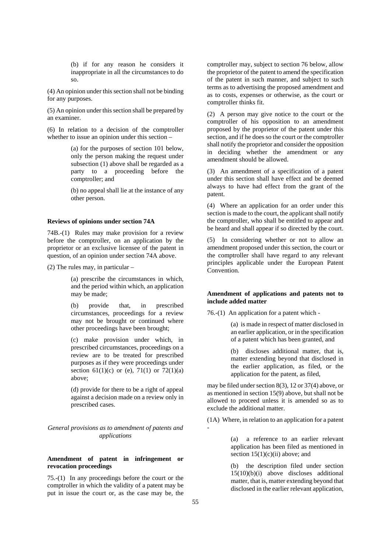(b) if for any reason he considers it inappropriate in all the circumstances to do so.

(4) An opinion under this section shall not be binding for any purposes.

(5) An opinion under this section shall be prepared by an examiner.

(6) In relation to a decision of the comptroller whether to issue an opinion under this section –

> (a) for the purposes of section 101 below, only the person making the request under subsection (1) above shall be regarded as a party to a proceeding before the comptroller; and

> (b) no appeal shall lie at the instance of any other person.

## **Reviews of opinions under section 74A**

74B.-(1) Rules may make provision for a review before the comptroller, on an application by the proprietor or an exclusive licensee of the patent in question, of an opinion under section 74A above.

(2) The rules may, in particular –

(a) prescribe the circumstances in which, and the period within which, an application may be made;

(b) provide that, in prescribed circumstances, proceedings for a review may not be brought or continued where other proceedings have been brought;

(c) make provision under which, in prescribed circumstances, proceedings on a review are to be treated for prescribed purposes as if they were proceedings under section 61(1)(c) or (e), 71(1) or 72(1)(a) above;

(d) provide for there to be a right of appeal against a decision made on a review only in prescribed cases.

*General provisions as to amendment of patents and applications* 

# **Amendment of patent in infringement or revocation proceedings**

75.-(1) In any proceedings before the court or the comptroller in which the validity of a patent may be put in issue the court or, as the case may be, the comptroller may, subject to section 76 below, allow the proprietor of the patent to amend the specification of the patent in such manner, and subject to such terms as to advertising the proposed amendment and as to costs, expenses or otherwise, as the court or comptroller thinks fit.

(2) A person may give notice to the court or the comptroller of his opposition to an amendment proposed by the proprietor of the patent under this section, and if he does so the court or the comptroller shall notify the proprietor and consider the opposition in deciding whether the amendment or any amendment should be allowed.

(3) An amendment of a specification of a patent under this section shall have effect and be deemed always to have had effect from the grant of the patent.

(4) Where an application for an order under this section is made to the court, the applicant shall notify the comptroller, who shall be entitled to appear and be heard and shall appear if so directed by the court.

(5) In considering whether or not to allow an amendment proposed under this section, the court or the comptroller shall have regard to any relevant principles applicable under the European Patent Convention.

# **Amendment of applications and patents not to include added matter**

76.-(1) An application for a patent which -

(a) is made in respect of matter disclosed in an earlier application, or in the specification of a patent which has been granted, and

(b) discloses additional matter, that is, matter extending beyond that disclosed in the earlier application, as filed, or the application for the patent, as filed,

may be filed under section 8(3), 12 or 37(4) above, or as mentioned in section 15(9) above, but shall not be allowed to proceed unless it is amended so as to exclude the additional matter.

(1A) Where, in relation to an application for a patent -

> (a) a reference to an earlier relevant application has been filed as mentioned in section  $15(1)(c)(ii)$  above; and

> (b) the description filed under section 15(10)(b)(i) above discloses additional matter, that is, matter extending beyond that disclosed in the earlier relevant application,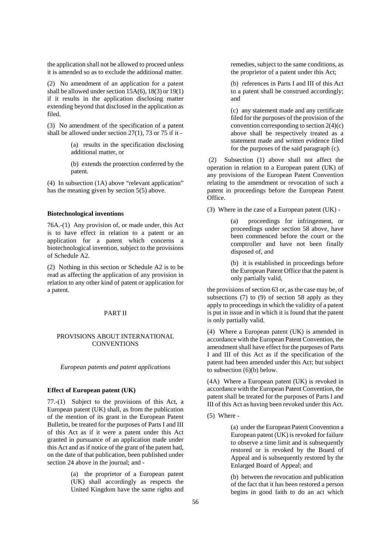the application shall not be allowed to proceed unless it is amended so as to exclude the additional matter.

(2) No amendment of an application for a patent shall be allowed under section  $15A(6)$ ,  $18(3)$  or  $19(1)$ if it results in the application disclosing matter extending beyond that disclosed in the application as filed.

(3) No amendment of the specification of a patent shall be allowed under section 27(1), 73 or 75 if it -

> (a) results in the specification disclosing additional matter, or

> (b) extends the protection conferred by the patent.

(4) In subsection (1A) above "relevant application" has the meaning given by section 5(5) above.

# **Biotechnological inventions**

76A.-(1) Any provision of, or made under, this Act is to have effect in relation to a patent or an application for a patent which concerns a biotechnological invention, subject to the provisions of Schedule A2.

(2) Nothing in this section or Schedule A2 is to be read as affecting the application of any provision in relation to any other kind of patent or application for a patent.

# PART II

# PROVISIONS ABOUT INTERNATIONAL **CONVENTIONS**

*European patents and patent applications* 

#### **Effect of European patent (UK)**

77.-(1) Subject to the provisions of this Act, a European patent (UK) shall, as from the publication of the mention of its grant in the European Patent Bulletin, be treated for the purposes of Parts I and III of this Act as if it were a patent under this Act granted in pursuance of an application made under this Act and as if notice of the grant of the patent had, on the date of that publication, been published under section 24 above in the journal; and -

> (a) the proprietor of a European patent (UK) shall accordingly as respects the United Kingdom have the same rights and

remedies, subject to the same conditions, as the proprietor of a patent under this Act;

(b) references in Parts I and III of this Act to a patent shall be construed accordingly; and

(c) any statement made and any certificate filed for the purposes of the provision of the convention corresponding to section  $2(4)(c)$ above shall be respectively treated as a statement made and written evidence filed for the purposes of the said paragraph (c).

 (2) Subsection (1) above shall not affect the operation in relation to a European patent (UK) of any provisions of the European Patent Convention relating to the amendment or revocation of such a patent in proceedings before the European Patent Office.

(3) Where in the case of a European patent (UK) -

(a) proceedings for infringement, or proceedings under section 58 above, have been commenced before the court or the comptroller and have not been finally disposed of, and

(b) it is established in proceedings before the European Patent Office that the patent is only partially valid,

the provisions of section 63 or, as the case may be, of subsections (7) to (9) of section 58 apply as they apply to proceedings in which the validity of a patent is put in issue and in which it is found that the patent is only partially valid.

(4) Where a European patent (UK) is amended in accordance with the European Patent Convention, the amendment shall have effect for the purposes of Parts I and III of this Act as if the specification of the patent had been amended under this Act; but subject to subsection (6)(b) below.

(4A) Where a European patent (UK) is revoked in accordance with the European Patent Convention, the patent shall be treated for the purposes of Parts I and III of this Act as having been revoked under this Act.

(5) Where -

(a) under the European Patent Convention a European patent (UK) is revoked for failure to observe a time limit and is subsequently restored or is revoked by the Board of Appeal and is subsequently restored by the Enlarged Board of Appeal; and

(b) between the revocation and publication of the fact that it has been restored a person begins in good faith to do an act which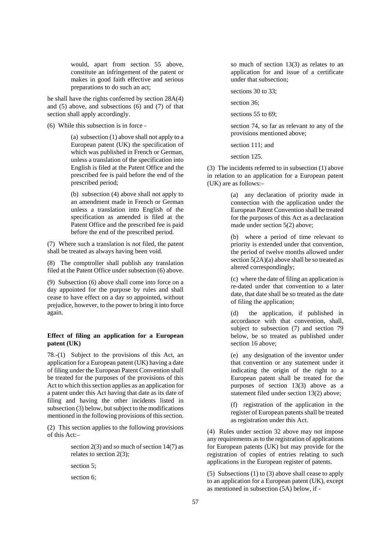would, apart from section 55 above, constitute an infringement of the patent or makes in good faith effective and serious preparations to do such an act;

he shall have the rights conferred by section 28A(4) and (5) above, and subsections (6) and (7) of that section shall apply accordingly.

(6) While this subsection is in force -

(a) subsection (1) above shall not apply to a European patent (UK) the specification of which was published in French or German, unless a translation of the specification into English is filed at the Patent Office and the prescribed fee is paid before the end of the prescribed period;

(b) subsection (4) above shall not apply to an amendment made in French or German unless a translation into English of the specification as amended is filed at the Patent Office and the prescribed fee is paid before the end of the prescribed period.

(7) Where such a translation is not filed, the patent shall be treated as always having been void.

(8) The comptroller shall publish any translation filed at the Patent Office under subsection (6) above.

(9) Subsection (6) above shall come into force on a day appointed for the purpose by rules and shall cease to have effect on a day so appointed, without prejudice, however, to the power to bring it into force again.

# **Effect of filing an application for a European patent (UK)**

78.-(1) Subject to the provisions of this Act, an application for a European patent (UK) having a date of filing under the European Patent Convention shall be treated for the purposes of the provisions of this Act to which this section applies as an application for a patent under this Act having that date as its date of filing and having the other incidents listed in subsection (3) below, but subject to the modifications mentioned in the following provisions of this section.

(2) This section applies to the following provisions of this Act:–

> section  $2(3)$  and so much of section  $14(7)$  as relates to section 2(3);

section 5;

section 6;

so much of section 13(3) as relates to an application for and issue of a certificate under that subsection;

sections 30 to 33:

section 36;

sections 55 to 69:

section 74, so far as relevant to any of the provisions mentioned above;

section 111; and

section 125.

(3) The incidents referred to in subsection (1) above in relation to an application for a European patent (UK) are as follows:–

> (a) any declaration of priority made in connection with the application under the European Patent Convention shall be treated for the purposes of this Act as a declaration made under section 5(2) above;

> (b) where a period of time relevant to priority is extended under that convention, the period of twelve months allowed under section 5(2A)(a) above shall be so treated as altered correspondingly;

> (c) where the date of filing an application is re-dated under that convention to a later date, that date shall be so treated as the date of filing the application;

> (d) the application, if published in accordance with that convention, shall, subject to subsection (7) and section 79 below, be so treated as published under section 16 above:

> (e) any designation of the inventor under that convention or any statement under it indicating the origin of the right to a European patent shall be treated for the purposes of section 13(3) above as a statement filed under section 13(2) above;

> (f) registration of the application in the register of European patents shall be treated as registration under this Act.

(4) Rules under section 32 above may not impose any requirements as to the registration of applications for European patents (UK) but may provide for the registration of copies of entries relating to such applications in the European register of patents.

(5) Subsections (1) to (3) above shall cease to apply to an application for a European patent (UK), except as mentioned in subsection (5A) below, if -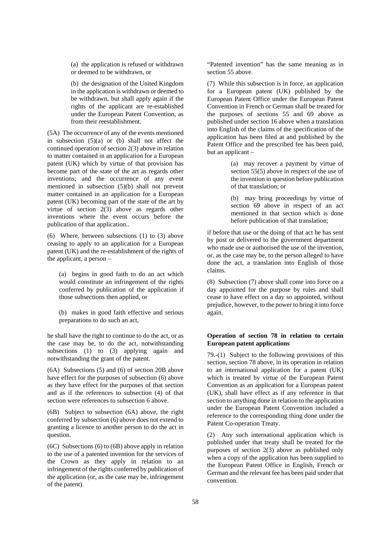(a) the application is refused or withdrawn or deemed to be withdrawn, or

(b) the designation of the United Kingdom in the application is withdrawn or deemed to be withdrawn, but shall apply again if the rights of the applicant are re-established under the European Patent Convention, as from their reestablishment.

(5A) The occurrence of any of the events mentioned in subsection  $(5)(a)$  or  $(b)$  shall not affect the continued operation of section 2(3) above in relation to matter contained in an application for a European patent (UK) which by virtue of that provision has become part of the state of the art as regards other inventions; and the occurrence of any event mentioned in subsection (5)(b) shall not prevent matter contained in an application for a European patent (UK) becoming part of the state of the art by virtue of section 2(3) above as regards other inventions where the event occurs before the publication of that application..

(6) Where, between subsections (1) to (3) above ceasing to apply to an application for a European patent (UK) and the re-establishment of the rights of the applicant, a person –

(a) begins in good faith to do an act which would constitute an infringement of the rights conferred by publication of the application if those subsections then applied, or

(b) makes in good faith effective and serious preparations to do such an act,

he shall have the right to continue to do the act, or as the case may be, to do the act, notwithstanding subsections (1) to (3) applying again and notwithstanding the grant of the patent.

(6A) Subsections (5) and (6) of section 20B above have effect for the purposes of subsection (6) above as they have effect for the purposes of that section and as if the references to subsection (4) of that section were references to subsection 6 above.

(6B) Subject to subsection (6A) above, the right conferred by subsection (6) above does not extend to granting a licence to another person to do the act in question.

(6C) Subsections (6) to (6B) above apply in relation to the use of a patented invention for the services of the Crown as they apply in relation to an infringement of the rights conferred by publication of the application (or, as the case may be, infringement of the patent).

"Patented invention" has the same meaning as in section 55 above.

(7) While this subsection is in force, an application for a European patent (UK) published by the European Patent Office under the European Patent Convention in French or German shall be treated for the purposes of sections 55 and 69 above as published under section 16 above when a translation into English of the claims of the specification of the application has been filed at and published by the Patent Office and the prescribed fee has been paid, but an applicant –

> (a) may recover a payment by virtue of section 55(5) above in respect of the use of the invention in question before publication of that translation; or

> (b) may bring proceedings by virtue of section 69 above in respect of an act mentioned in that section which is done before publication of that translation;

if before that use or the doing of that act he has sent by post or delivered to the government department who made use or authorised the use of the invention, or, as the case may be, to the person alleged to have done the act, a translation into English of those claims.

(8) Subsection (7) above shall come into force on a day appointed for the purpose by rules and shall cease to have effect on a day so appointed, without prejudice, however, to the power to bring it into force again.

# **Operation of section 78 in relation to certain European patent applications**

79.-(1) Subject to the following provisions of this section, section 78 above, in its operation in relation to an international application for a patent (UK) which is treated by virtue of the European Patent Convention as an application for a European patent (UK), shall have effect as if any reference in that section to anything done in relation to the application under the European Patent Convention included a reference to the corresponding thing done under the Patent Co-operation Treaty.

(2) Any such international application which is published under that treaty shall be treated for the purposes of section 2(3) above as published only when a copy of the application has been supplied to the European Patent Office in English, French or German and the relevant fee has been paid under that convention.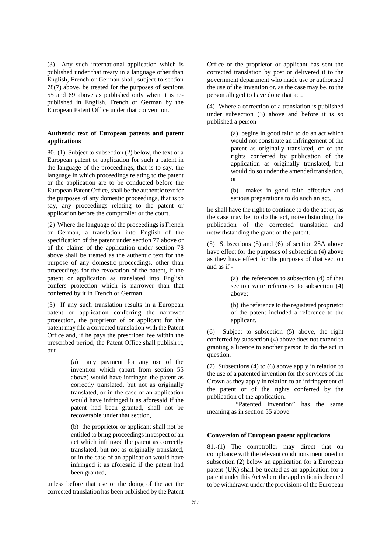(3) Any such international application which is published under that treaty in a language other than English, French or German shall, subject to section 78(7) above, be treated for the purposes of sections 55 and 69 above as published only when it is republished in English, French or German by the European Patent Office under that convention.

# **Authentic text of European patents and patent applications**

80.-(1) Subject to subsection (2) below, the text of a European patent or application for such a patent in the language of the proceedings, that is to say, the language in which proceedings relating to the patent or the application are to be conducted before the European Patent Office, shall be the authentic text for the purposes of any domestic proceedings, that is to say, any proceedings relating to the patent or application before the comptroller or the court.

(2) Where the language of the proceedings is French or German, a translation into English of the specification of the patent under section 77 above or of the claims of the application under section 78 above shall be treated as the authentic text for the purpose of any domestic proceedings, other than proceedings for the revocation of the patent, if the patent or application as translated into English confers protection which is narrower than that conferred by it in French or German.

(3) If any such translation results in a European patent or application conferring the narrower protection, the proprietor of or applicant for the patent may file a corrected translation with the Patent Office and, if he pays the prescribed fee within the prescribed period, the Patent Office shall publish it, but -

> (a) any payment for any use of the invention which (apart from section 55 above) would have infringed the patent as correctly translated, but not as originally translated, or in the case of an application would have infringed it as aforesaid if the patent had been granted, shall not be recoverable under that section,

> (b) the proprietor or applicant shall not be entitled to bring proceedings in respect of an act which infringed the patent as correctly translated, but not as originally translated, or in the case of an application would have infringed it as aforesaid if the patent had been granted,

unless before that use or the doing of the act the corrected translation has been published by the Patent Office or the proprietor or applicant has sent the corrected translation by post or delivered it to the government department who made use or authorised the use of the invention or, as the case may be, to the person alleged to have done that act.

(4) Where a correction of a translation is published under subsection (3) above and before it is so published a person –

> (a) begins in good faith to do an act which would not constitute an infringement of the patent as originally translated, or of the rights conferred by publication of the application as originally translated, but would do so under the amended translation, or

> (b) makes in good faith effective and serious preparations to do such an act,

he shall have the right to continue to do the act or, as the case may be, to do the act, notwithstanding the publication of the corrected translation and notwithstanding the grant of the patent.

(5) Subsections (5) and (6) of section 28A above have effect for the purposes of subsection (4) above as they have effect for the purposes of that section and as if -

> (a) the references to subsection (4) of that section were references to subsection (4) above;

> (b) the reference to the registered proprietor of the patent included a reference to the applicant.

(6) Subject to subsection (5) above, the right conferred by subsection (4) above does not extend to granting a licence to another person to do the act in question.

(7) Subsections (4) to (6) above apply in relation to the use of a patented invention for the services of the Crown as they apply in relation to an infringement of the patent or of the rights conferred by the publication of the application.

 "Patented invention" has the same meaning as in section 55 above.

## **Conversion of European patent applications**

81.-(1) The comptroller may direct that on compliance with the relevant conditions mentioned in subsection (2) below an application for a European patent (UK) shall be treated as an application for a patent under this Act where the application is deemed to be withdrawn under the provisions of the European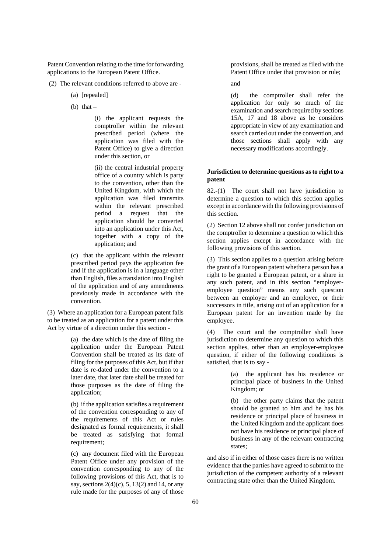Patent Convention relating to the time for forwarding applications to the European Patent Office.

- (2) The relevant conditions referred to above are
	- (a) [repealed]
	- (b) that  $-$

(i) the applicant requests the comptroller within the relevant prescribed period (where the application was filed with the Patent Office) to give a direction under this section, or

(ii) the central industrial property office of a country which is party to the convention, other than the United Kingdom, with which the application was filed transmits within the relevant prescribed period a request that the application should be converted into an application under this Act, together with a copy of the application; and

(c) that the applicant within the relevant prescribed period pays the application fee and if the application is in a language other than English, files a translation into English of the application and of any amendments previously made in accordance with the convention.

(3) Where an application for a European patent falls to be treated as an application for a patent under this Act by virtue of a direction under this section -

> (a) the date which is the date of filing the application under the European Patent Convention shall be treated as its date of filing for the purposes of this Act, but if that date is re-dated under the convention to a later date, that later date shall be treated for those purposes as the date of filing the application;

> (b) if the application satisfies a requirement of the convention corresponding to any of the requirements of this Act or rules designated as formal requirements, it shall be treated as satisfying that formal requirement;

> (c) any document filed with the European Patent Office under any provision of the convention corresponding to any of the following provisions of this Act, that is to say, sections 2(4)(c), 5, 13(2) and 14, or any rule made for the purposes of any of those

provisions, shall be treated as filed with the Patent Office under that provision or rule;

and

(d) the comptroller shall refer the application for only so much of the examination and search required by sections 15A, 17 and 18 above as he considers appropriate in view of any examination and search carried out under the convention, and those sections shall apply with any necessary modifications accordingly.

# **Jurisdiction to determine questions as to right to a patent**

82.-(1) The court shall not have jurisdiction to determine a question to which this section applies except in accordance with the following provisions of this section.

(2) Section 12 above shall not confer jurisdiction on the comptroller to determine a question to which this section applies except in accordance with the following provisions of this section.

(3) This section applies to a question arising before the grant of a European patent whether a person has a right to be granted a European patent, or a share in any such patent, and in this section "employeremployee question" means any such question between an employer and an employee, or their successors in title, arising out of an application for a European patent for an invention made by the employee.

(4) The court and the comptroller shall have jurisdiction to determine any question to which this section applies, other than an employer-employee question, if either of the following conditions is satisfied, that is to say -

> (a) the applicant has his residence or principal place of business in the United Kingdom; or

> (b) the other party claims that the patent should be granted to him and he has his residence or principal place of business in the United Kingdom and the applicant does not have his residence or principal place of business in any of the relevant contracting states;

and also if in either of those cases there is no written evidence that the parties have agreed to submit to the jurisdiction of the competent authority of a relevant contracting state other than the United Kingdom.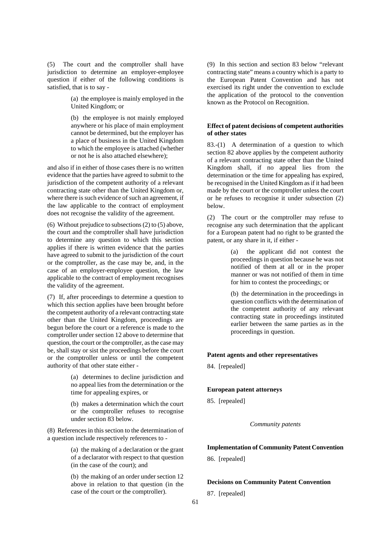(5) The court and the comptroller shall have jurisdiction to determine an employer-employee question if either of the following conditions is satisfied, that is to say -

> (a) the employee is mainly employed in the United Kingdom; or

> (b) the employee is not mainly employed anywhere or his place of main employment cannot be determined, but the employer has a place of business in the United Kingdom to which the employee is attached (whether or not he is also attached elsewhere);

and also if in either of those cases there is no written evidence that the parties have agreed to submit to the jurisdiction of the competent authority of a relevant contracting state other than the United Kingdom or, where there is such evidence of such an agreement, if the law applicable to the contract of employment does not recognise the validity of the agreement.

(6) Without prejudice to subsections (2) to (5) above, the court and the comptroller shall have jurisdiction to determine any question to which this section applies if there is written evidence that the parties have agreed to submit to the jurisdiction of the court or the comptroller, as the case may be, and, in the case of an employer-employee question, the law applicable to the contract of employment recognises the validity of the agreement.

(7) If, after proceedings to determine a question to which this section applies have been brought before the competent authority of a relevant contracting state other than the United Kingdom, proceedings are begun before the court or a reference is made to the comptroller under section 12 above to determine that question, the court or the comptroller, as the case may be, shall stay or sist the proceedings before the court or the comptroller unless or until the competent authority of that other state either -

> (a) determines to decline jurisdiction and no appeal lies from the determination or the time for appealing expires, or

> (b) makes a determination which the court or the comptroller refuses to recognise under section 83 below.

(8) References in this section to the determination of a question include respectively references to -

> (a) the making of a declaration or the grant of a declarator with respect to that question (in the case of the court); and

> (b) the making of an order under section 12 above in relation to that question (in the case of the court or the comptroller).

(9) In this section and section 83 below "relevant contracting state" means a country which is a party to the European Patent Convention and has not exercised its right under the convention to exclude the application of the protocol to the convention known as the Protocol on Recognition.

# **Effect of patent decisions of competent authorities of other states**

83.-(1) A determination of a question to which section 82 above applies by the competent authority of a relevant contracting state other than the United Kingdom shall, if no appeal lies from the determination or the time for appealing has expired, be recognised in the United Kingdom as if it had been made by the court or the comptroller unless the court or he refuses to recognise it under subsection (2) below.

(2) The court or the comptroller may refuse to recognise any such determination that the applicant for a European patent had no right to be granted the patent, or any share in it, if either -

> (a) the applicant did not contest the proceedings in question because he was not notified of them at all or in the proper manner or was not notified of them in time for him to contest the proceedings; or

> (b) the determination in the proceedings in question conflicts with the determination of the competent authority of any relevant contracting state in proceedings instituted earlier between the same parties as in the proceedings in question.

# **Patent agents and other representatives**

84. [repealed]

### **European patent attorneys**

85. [repealed]

*Community patents* 

#### **Implementation of Community Patent Convention**

86. [repealed]

### **Decisions on Community Patent Convention**

87. [repealed]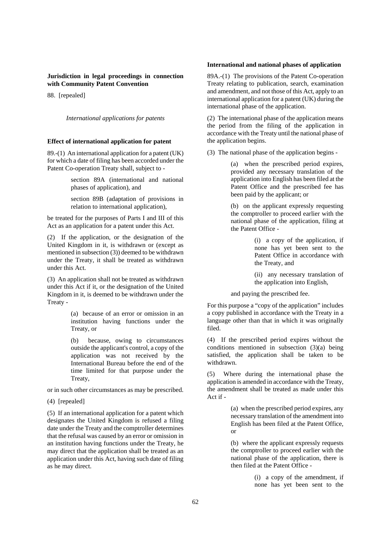# **Jurisdiction in legal proceedings in connection with Community Patent Convention**

88. [repealed]

## *International applications for patents*

#### **Effect of international application for patent**

89.-(1) An international application for a patent (UK) for which a date of filing has been accorded under the Patent Co-operation Treaty shall, subject to -

> section 89A (international and national phases of application), and

> section 89B (adaptation of provisions in relation to international application),

be treated for the purposes of Parts I and III of this Act as an application for a patent under this Act.

(2) If the application, or the designation of the United Kingdom in it, is withdrawn or (except as mentioned in subsection (3)) deemed to be withdrawn under the Treaty, it shall be treated as withdrawn under this Act.

(3) An application shall not be treated as withdrawn under this Act if it, or the designation of the United Kingdom in it, is deemed to be withdrawn under the Treaty -

> (a) because of an error or omission in an institution having functions under the Treaty, or

> (b) because, owing to circumstances outside the applicant's control, a copy of the application was not received by the International Bureau before the end of the time limited for that purpose under the Treaty,

or in such other circumstances as may be prescribed.

# (4) [repealed]

(5) If an international application for a patent which designates the United Kingdom is refused a filing date under the Treaty and the comptroller determines that the refusal was caused by an error or omission in an institution having functions under the Treaty, he may direct that the application shall be treated as an application under this Act, having such date of filing as he may direct.

# **International and national phases of application**

89A.-(1) The provisions of the Patent Co-operation Treaty relating to publication, search, examination and amendment, and not those of this Act, apply to an international application for a patent (UK) during the international phase of the application.

(2) The international phase of the application means the period from the filing of the application in accordance with the Treaty until the national phase of the application begins.

(3) The national phase of the application begins -

(a) when the prescribed period expires, provided any necessary translation of the application into English has been filed at the Patent Office and the prescribed fee has been paid by the applicant; or

(b) on the applicant expressly requesting the comptroller to proceed earlier with the national phase of the application, filing at the Patent Office -

> (i) a copy of the application, if none has yet been sent to the Patent Office in accordance with the Treaty, and

> (ii) any necessary translation of the application into English,

and paying the prescribed fee.

For this purpose a "copy of the application" includes a copy published in accordance with the Treaty in a language other than that in which it was originally filed.

(4) If the prescribed period expires without the conditions mentioned in subsection (3)(a) being satisfied, the application shall be taken to be withdrawn.

Where during the international phase the application is amended in accordance with the Treaty, the amendment shall be treated as made under this Act if -

> (a) when the prescribed period expires, any necessary translation of the amendment into English has been filed at the Patent Office, or

> (b) where the applicant expressly requests the comptroller to proceed earlier with the national phase of the application, there is then filed at the Patent Office -

> > (i) a copy of the amendment, if none has yet been sent to the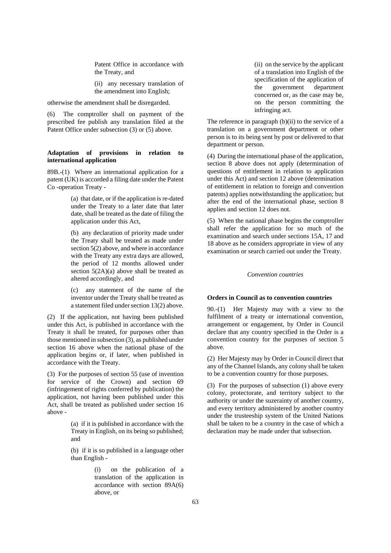Patent Office in accordance with the Treaty, and

(ii) any necessary translation of the amendment into English;

otherwise the amendment shall be disregarded.

(6) The comptroller shall on payment of the prescribed fee publish any translation filed at the Patent Office under subsection (3) or (5) above.

### **Adaptation of provisions in relation to international application**

89B.-(1) Where an international application for a patent (UK) is accorded a filing date under the Patent Co -operation Treaty -

> (a) that date, or if the application is re-dated under the Treaty to a later date that later date, shall be treated as the date of filing the application under this Act,

> (b) any declaration of priority made under the Treaty shall be treated as made under section 5(2) above, and where in accordance with the Treaty any extra days are allowed, the period of 12 months allowed under section  $5(2A)(a)$  above shall be treated as altered accordingly, and

> (c) any statement of the name of the inventor under the Treaty shall be treated as a statement filed under section 13(2) above.

(2) If the application, not having been published under this Act, is published in accordance with the Treaty it shall be treated, for purposes other than those mentioned in subsection  $(3)$ , as published under section 16 above when the national phase of the application begins or, if later, when published in accordance with the Treaty.

(3) For the purposes of section 55 (use of invention for service of the Crown) and section 69 (infringement of rights conferred by publication) the application, not having been published under this Act, shall be treated as published under section 16 above -

> (a) if it is published in accordance with the Treaty in English, on its being so published; and

> (b) if it is so published in a language other than English -

> > (i) on the publication of a translation of the application in accordance with section 89A(6) above, or

(ii) on the service by the applicant of a translation into English of the specification of the application of the government department concerned or, as the case may be, on the person committing the infringing act.

The reference in paragraph (b)(ii) to the service of a translation on a government department or other person is to its being sent by post or delivered to that department or person.

(4) During the international phase of the application, section 8 above does not apply (determination of questions of entitlement in relation to application under this Act) and section 12 above (determination of entitlement in relation to foreign and convention patents) applies notwithstanding the application; but after the end of the international phase, section 8 applies and section 12 does not.

(5) When the national phase begins the comptroller shall refer the application for so much of the examination and search under sections 15A, 17 and 18 above as he considers appropriate in view of any examination or search carried out under the Treaty.

*Convention countries* 

# **Orders in Council as to convention countries**

90.-(1) Her Majesty may with a view to the fulfilment of a treaty or international convention, arrangement or engagement, by Order in Council declare that any country specified in the Order is a convention country for the purposes of section 5 above.

(2) Her Majesty may by Order in Council direct that any of the Channel Islands, any colony shall be taken to be a convention country for those purposes.

(3) For the purposes of subsection (1) above every colony, protectorate, and territory subject to the authority or under the suzerainty of another country, and every territory administered by another country under the trusteeship system of the United Nations shall be taken to be a country in the case of which a declaration may be made under that subsection.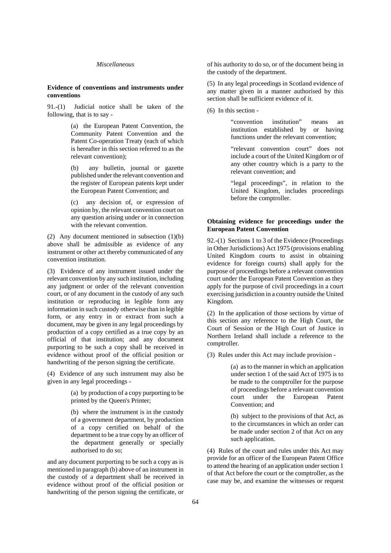### *Miscellaneous*

# **Evidence of conventions and instruments under conventions**

91.-(1) Judicial notice shall be taken of the following, that is to say -

> (a) the European Patent Convention, the Community Patent Convention and the Patent Co-operation Treaty (each of which is hereafter in this section referred to as the relevant convention);

> (b) any bulletin, journal or gazette published under the relevant convention and the register of European patents kept under the European Patent Convention; and

> any decision of, or expression of opinion by, the relevant convention court on any question arising under or in connection with the relevant convention.

(2) Any document mentioned in subsection (1)(b) above shall be admissible as evidence of any instrument or other act thereby communicated of any convention institution.

(3) Evidence of any instrument issued under the relevant convention by any such institution, including any judgment or order of the relevant convention court, or of any document in the custody of any such institution or reproducing in legible form any information in such custody otherwise than in legible form, or any entry in or extract from such a document, may be given in any legal proceedings by production of a copy certified as a true copy by an official of that institution; and any document purporting to be such a copy shall be received in evidence without proof of the official position or handwriting of the person signing the certificate.

(4) Evidence of any such instrument may also be given in any legal proceedings -

> (a) by production of a copy purporting to be printed by the Queen's Printer;

> (b) where the instrument is in the custody of a government department, by production of a copy certified on behalf of the department to be a true copy by an officer of the department generally or specially authorised to do so;

and any document purporting to be such a copy as is mentioned in paragraph (b) above of an instrument in the custody of a department shall be received in evidence without proof of the official position or handwriting of the person signing the certificate, or

of his authority to do so, or of the document being in the custody of the department.

(5) In any legal proceedings in Scotland evidence of any matter given in a manner authorised by this section shall be sufficient evidence of it.

(6) In this section -

"convention institution" means an institution established by or having functions under the relevant convention;

"relevant convention court" does not include a court of the United Kingdom or of any other country which is a party to the relevant convention; and

"legal proceedings", in relation to the United Kingdom, includes proceedings before the comptroller.

# **Obtaining evidence for proceedings under the European Patent Convention**

92.-(1) Sections 1 to 3 of the Evidence (Proceedings in Other Jurisdictions) Act 1975 (provisions enabling United Kingdom courts to assist in obtaining evidence for foreign courts) shall apply for the purpose of proceedings before a relevant convention court under the European Patent Convention as they apply for the purpose of civil proceedings in a court exercising jurisdiction in a country outside the United Kingdom.

(2) In the application of those sections by virtue of this section any reference to the High Court, the Court of Session or the High Court of Justice in Northern Ireland shall include a reference to the comptroller.

(3) Rules under this Act may include provision -

(a) as to the manner in which an application under section 1 of the said Act of 1975 is to be made to the comptroller for the purpose of proceedings before a relevant convention court under the European Patent Convention; and

(b) subject to the provisions of that Act, as to the circumstances in which an order can be made under section 2 of that Act on any such application.

(4) Rules of the court and rules under this Act may provide for an officer of the European Patent Office to attend the hearing of an application under section 1 of that Act before the court or the comptroller, as the case may be, and examine the witnesses or request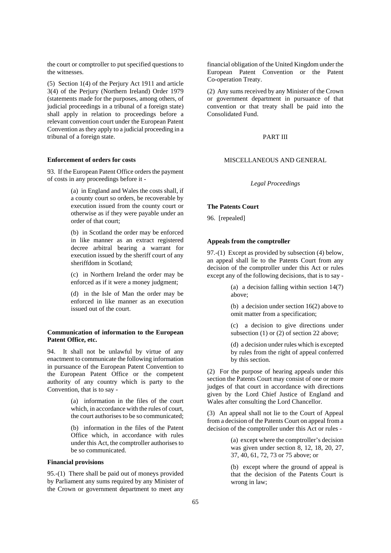the court or comptroller to put specified questions to the witnesses.

(5) Section 1(4) of the Perjury Act 1911 and article 3(4) of the Perjury (Northern Ireland) Order 1979 (statements made for the purposes, among others, of judicial proceedings in a tribunal of a foreign state) shall apply in relation to proceedings before a relevant convention court under the European Patent Convention as they apply to a judicial proceeding in a tribunal of a foreign state.

#### **Enforcement of orders for costs**

93. If the European Patent Office orders the payment of costs in any proceedings before it -

> (a) in England and Wales the costs shall, if a county court so orders, be recoverable by execution issued from the county court or otherwise as if they were payable under an order of that court;

> (b) in Scotland the order may be enforced in like manner as an extract registered decree arbitral bearing a warrant for execution issued by the sheriff court of any sheriffdom in Scotland;

> (c) in Northern Ireland the order may be enforced as if it were a money judgment;

> (d) in the Isle of Man the order may be enforced in like manner as an execution issued out of the court.

# **Communication of information to the European Patent Office, etc.**

94. It shall not be unlawful by virtue of any enactment to communicate the following information in pursuance of the European Patent Convention to the European Patent Office or the competent authority of any country which is party to the Convention, that is to say -

> (a) information in the files of the court which, in accordance with the rules of court, the court authorises to be so communicated;

> (b) information in the files of the Patent Office which, in accordance with rules under this Act, the comptroller authorises to be so communicated.

## **Financial provisions**

95.-(1) There shall be paid out of moneys provided by Parliament any sums required by any Minister of the Crown or government department to meet any financial obligation of the United Kingdom under the European Patent Convention or the Patent Co-operation Treaty.

(2) Any sums received by any Minister of the Crown or government department in pursuance of that convention or that treaty shall be paid into the Consolidated Fund.

## PART III

### MISCELLANEOUS AND GENERAL

*Legal Proceedings* 

## **The Patents Court**

96. [repealed]

# **Appeals from the comptroller**

97.-(1) Except as provided by subsection (4) below, an appeal shall lie to the Patents Court from any decision of the comptroller under this Act or rules except any of the following decisions, that is to say -

> (a) a decision falling within section 14(7) above;

> (b) a decision under section 16(2) above to omit matter from a specification;

> (c) a decision to give directions under subsection (1) or (2) of section 22 above;

> (d) a decision under rules which is excepted by rules from the right of appeal conferred by this section.

(2) For the purpose of hearing appeals under this section the Patents Court may consist of one or more judges of that court in accordance with directions given by the Lord Chief Justice of England and Wales after consulting the Lord Chancellor.

(3) An appeal shall not lie to the Court of Appeal from a decision of the Patents Court on appeal from a decision of the comptroller under this Act or rules -

> (a) except where the comptroller's decision was given under section 8, 12, 18, 20, 27, 37, 40, 61, 72, 73 or 75 above; or

> (b) except where the ground of appeal is that the decision of the Patents Court is wrong in law;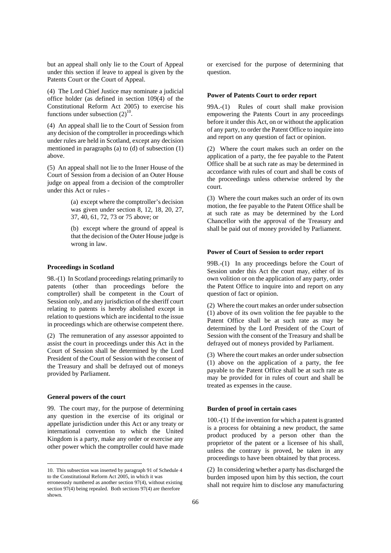but an appeal shall only lie to the Court of Appeal under this section if leave to appeal is given by the Patents Court or the Court of Appeal.

(4) The Lord Chief Justice may nominate a judicial office holder (as defined in section 109(4) of the Constitutional Reform Act 2005) to exercise his functions under subsection  $(2)^{10}$ .

(4) An appeal shall lie to the Court of Session from any decision of the comptroller in proceedings which under rules are held in Scotland, except any decision mentioned in paragraphs (a) to (d) of subsection (1) above.

(5) An appeal shall not lie to the Inner House of the Court of Session from a decision of an Outer House judge on appeal from a decision of the comptroller under this Act or rules -

> (a) except where the comptroller's decision was given under section 8, 12, 18, 20, 27, 37, 40, 61, 72, 73 or 75 above; or

> (b) except where the ground of appeal is that the decision of the Outer House judge is wrong in law.

### **Proceedings in Scotland**

98.-(1) In Scotland proceedings relating primarily to patents (other than proceedings before the comptroller) shall be competent in the Court of Session only, and any jurisdiction of the sheriff court relating to patents is hereby abolished except in relation to questions which are incidental to the issue in proceedings which are otherwise competent there.

(2) The remuneration of any assessor appointed to assist the court in proceedings under this Act in the Court of Session shall be determined by the Lord President of the Court of Session with the consent of the Treasury and shall be defrayed out of moneys provided by Parliament.

#### **General powers of the court**

<u>.</u>

99. The court may, for the purpose of determining any question in the exercise of its original or appellate jurisdiction under this Act or any treaty or international convention to which the United Kingdom is a party, make any order or exercise any other power which the comptroller could have made

or exercised for the purpose of determining that question.

#### **Power of Patents Court to order report**

99A.-(1) Rules of court shall make provision empowering the Patents Court in any proceedings before it under this Act, on or without the application of any party, to order the Patent Office to inquire into and report on any question of fact or opinion.

(2) Where the court makes such an order on the application of a party, the fee payable to the Patent Office shall be at such rate as may be determined in accordance with rules of court and shall be costs of the proceedings unless otherwise ordered by the court.

(3) Where the court makes such an order of its own motion, the fee payable to the Patent Office shall be at such rate as may be determined by the Lord Chancellor with the approval of the Treasury and shall be paid out of money provided by Parliament.

#### **Power of Court of Session to order report**

99B.-(1) In any proceedings before the Court of Session under this Act the court may, either of its own volition or on the application of any party, order the Patent Office to inquire into and report on any question of fact or opinion.

(2) Where the court makes an order under subsection (1) above of its own volition the fee payable to the Patent Office shall be at such rate as may be determined by the Lord President of the Court of Session with the consent of the Treasury and shall be defrayed out of moneys provided by Parliament.

(3) Where the court makes an order under subsection (1) above on the application of a party, the fee payable to the Patent Office shall be at such rate as may be provided for in rules of court and shall be treated as expenses in the cause.

#### **Burden of proof in certain cases**

100.-(1) If the invention for which a patent is granted is a process for obtaining a new product, the same product produced by a person other than the proprietor of the patent or a licensee of his shall, unless the contrary is proved, be taken in any proceedings to have been obtained by that process.

(2) In considering whether a party has discharged the burden imposed upon him by this section, the court shall not require him to disclose any manufacturing

<sup>10.</sup> This subsection was inserted by paragraph 91 of Schedule 4 to the Constitutional Reform Act 2005, in which it was

erroneously numbered as another section 97(4), without existing section 97(4) being repealed. Both sections 97(4) are therefore shown.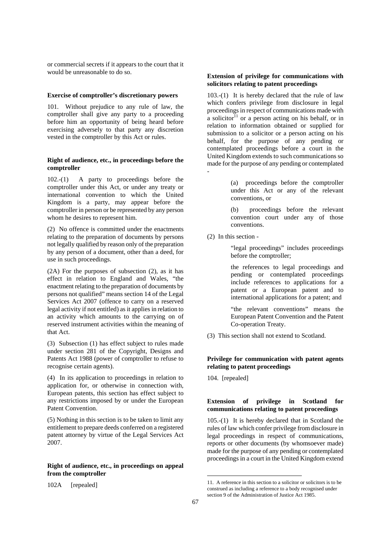or commercial secrets if it appears to the court that it would be unreasonable to do so.

#### **Exercise of comptroller's discretionary powers**

101. Without prejudice to any rule of law, the comptroller shall give any party to a proceeding before him an opportunity of being heard before exercising adversely to that party any discretion vested in the comptroller by this Act or rules.

# **Right of audience, etc., in proceedings before the comptroller**

102.-(1) A party to proceedings before the comptroller under this Act, or under any treaty or international convention to which the United Kingdom is a party, may appear before the comptroller in person or be represented by any person whom he desires to represent him.

(2) No offence is committed under the enactments relating to the preparation of documents by persons not legally qualified by reason only of the preparation by any person of a document, other than a deed, for use in such proceedings.

(2A) For the purposes of subsection (2), as it has effect in relation to England and Wales, "the enactment relating to the preparation of documents by persons not qualified" means section 14 of the Legal Services Act 2007 (offence to carry on a reserved legal activity if not entitled) as it applies in relation to an activity which amounts to the carrying on of reserved instrument activities within the meaning of that Act.

(3) Subsection (1) has effect subject to rules made under section 281 of the Copyright, Designs and Patents Act 1988 (power of comptroller to refuse to recognise certain agents).

(4) In its application to proceedings in relation to application for, or otherwise in connection with, European patents, this section has effect subject to any restrictions imposed by or under the European Patent Convention.

(5) Nothing in this section is to be taken to limit any entitlement to prepare deeds conferred on a registered patent attorney by virtue of the Legal Services Act 2007.

# **Right of audience, etc., in proceedings on appeal from the comptroller**

102A [repealed]

# **Extension of privilege for communications with solicitors relating to patent proceedings**

103.-(1) It is hereby declared that the rule of law which confers privilege from disclosure in legal proceedings in respect of communications made with a solicitor<sup> $11$ </sup> or a person acting on his behalf, or in relation to information obtained or supplied for submission to a solicitor or a person acting on his behalf, for the purpose of any pending or contemplated proceedings before a court in the United Kingdom extends to such communications so made for the purpose of any pending or contemplated -

> (a) proceedings before the comptroller under this Act or any of the relevant conventions, or

> (b) proceedings before the relevant convention court under any of those conventions.

(2) In this section -

"legal proceedings" includes proceedings before the comptroller;

the references to legal proceedings and pending or contemplated proceedings include references to applications for a patent or a European patent and to international applications for a patent; and

"the relevant conventions" means the European Patent Convention and the Patent Co-operation Treaty.

(3) This section shall not extend to Scotland.

# **Privilege for communication with patent agents relating to patent proceedings**

104. [repealed]

# **Extension of privilege in Scotland for communications relating to patent proceedings**

105.-(1) It is hereby declared that in Scotland the rules of law which confer privilege from disclosure in legal proceedings in respect of communications, reports or other documents (by whomsoever made) made for the purpose of any pending or contemplated proceedings in a court in the United Kingdom extend

1

<sup>11.</sup> A reference in this section to a solicitor or solicitors is to be construed as including a reference to a body recognised under section 9 of the Administration of Justice Act 1985.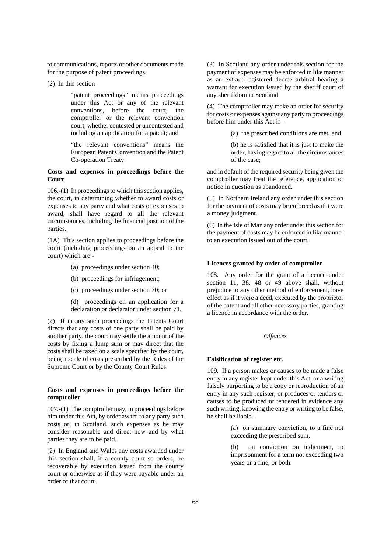to communications, reports or other documents made for the purpose of patent proceedings.

(2) In this section -

"patent proceedings" means proceedings under this Act or any of the relevant conventions, before the court, the comptroller or the relevant convention court, whether contested or uncontested and including an application for a patent; and

"the relevant conventions" means the European Patent Convention and the Patent Co-operation Treaty.

# **Costs and expenses in proceedings before the Court**

106.-(1) In proceedings to which this section applies, the court, in determining whether to award costs or expenses to any party and what costs or expenses to award, shall have regard to all the relevant circumstances, including the financial position of the parties.

(1A) This section applies to proceedings before the court (including proceedings on an appeal to the court) which are -

- (a) proceedings under section 40;
- (b) proceedings for infringement;
- (c) proceedings under section 70; or

(d) proceedings on an application for a declaration or declarator under section 71.

(2) If in any such proceedings the Patents Court directs that any costs of one party shall be paid by another party, the court may settle the amount of the costs by fixing a lump sum or may direct that the costs shall be taxed on a scale specified by the court, being a scale of costs prescribed by the Rules of the Supreme Court or by the County Court Rules.

## **Costs and expenses in proceedings before the comptroller**

107.-(1) The comptroller may, in proceedings before him under this Act, by order award to any party such costs or, in Scotland, such expenses as he may consider reasonable and direct how and by what parties they are to be paid.

(2) In England and Wales any costs awarded under this section shall, if a county court so orders, be recoverable by execution issued from the county court or otherwise as if they were payable under an order of that court.

(3) In Scotland any order under this section for the payment of expenses may be enforced in like manner as an extract registered decree arbitral bearing a warrant for execution issued by the sheriff court of any sheriffdom in Scotland.

(4) The comptroller may make an order for security for costs or expenses against any party to proceedings before him under this Act if –

(a) the prescribed conditions are met, and

(b) he is satisfied that it is just to make the order, having regard to all the circumstances of the case;

and in default of the required security being given the comptroller may treat the reference, application or notice in question as abandoned.

(5) In Northern Ireland any order under this section for the payment of costs may be enforced as if it were a money judgment.

(6) In the Isle of Man any order under this section for the payment of costs may be enforced in like manner to an execution issued out of the court.

# **Licences granted by order of comptroller**

108. Any order for the grant of a licence under section 11, 38, 48 or 49 above shall, without prejudice to any other method of enforcement, have effect as if it were a deed, executed by the proprietor of the patent and all other necessary parties, granting a licence in accordance with the order.

# *Offences*

#### **Falsification of register etc.**

109. If a person makes or causes to be made a false entry in any register kept under this Act, or a writing falsely purporting to be a copy or reproduction of an entry in any such register, or produces or tenders or causes to be produced or tendered in evidence any such writing, knowing the entry or writing to be false, he shall be liable -

> (a) on summary conviction, to a fine not exceeding the prescribed sum,

> (b) on conviction on indictment, to imprisonment for a term not exceeding two years or a fine, or both.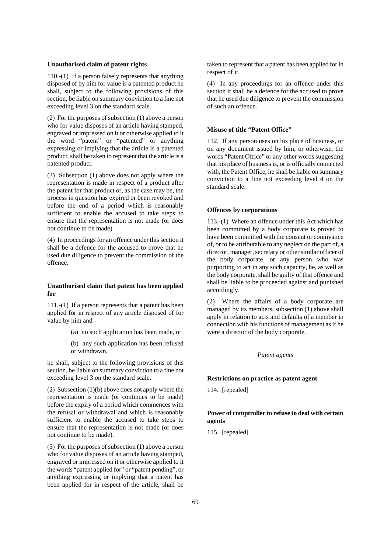#### **Unauthorised claim of patent rights**

110.-(1) If a person falsely represents that anything disposed of by him for value is a patented product he shall, subject to the following provisions of this section, be liable on summary conviction to a fine not exceeding level 3 on the standard scale.

(2) For the purposes of subsection (1) above a person who for value disposes of an article having stamped, engraved or impressed on it or otherwise applied to it the word "patent" or "patented" or anything expressing or implying that the article is a patented product, shall be taken to represent that the article is a patented product.

(3) Subsection (1) above does not apply where the representation is made in respect of a product after the patent for that product or, as the case may be, the process in question has expired or been revoked and before the end of a period which is reasonably sufficient to enable the accused to take steps to ensure that the representation is not made (or does not continue to be made).

(4) In proceedings for an offence under this section it shall be a defence for the accused to prove that he used due diligence to prevent the commission of the offence.

# **Unauthorised claim that patent has been applied for**

111.-(1) If a person represents that a patent has been applied for in respect of any article disposed of for value by him and -

- (a) no such application has been made, or
- (b) any such application has been refused or withdrawn,

he shall, subject to the following provisions of this section, be liable on summary conviction to a fine not exceeding level 3 on the standard scale.

(2) Subsection (1)(b) above does not apply where the representation is made (or continues to be made) before the expiry of a period which commences with the refusal or withdrawal and which is reasonably sufficient to enable the accused to take steps to ensure that the representation is not made (or does not continue to be made).

(3) For the purposes of subsection (1) above a person who for value disposes of an article having stamped, engraved or impressed on it or otherwise applied to it the words "patent applied for" or "patent pending", or anything expressing or implying that a patent has been applied for in respect of the article, shall be

taken to represent that a patent has been applied for in respect of it.

(4) In any proceedings for an offence under this section it shall be a defence for the accused to prove that he used due diligence to prevent the commission of such an offence.

## **Misuse of title "Patent Office"**

112. If any person uses on his place of business, or on any document issued by him, or otherwise, the words "Patent Office" or any other words suggesting that his place of business is, or is officially connected with, the Patent Office, he shall be liable on summary conviction to a fine not exceeding level 4 on the standard scale.

### **Offences by corporations**

113.-(1) Where an offence under this Act which has been committed by a body corporate is proved to have been committed with the consent or connivance of, or to be attributable to any neglect on the part of, a director, manager, secretary or other similar officer of the body corporate, or any person who was purporting to act in any such capacity, he, as well as the body corporate, shall be guilty of that offence and shall be liable to be proceeded against and punished accordingly.

(2) Where the affairs of a body corporate are managed by its members, subsection (1) above shall apply in relation to acts and defaults of a member in connection with his functions of management as if he were a director of the body corporate.

### *Patent agents*

# **Restrictions on practice as patent agent**

114. [repealed]

# **Power of comptroller to refuse to deal with certain agents**

115. [repealed]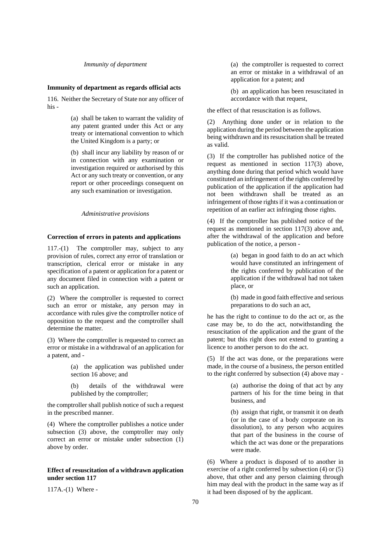### *Immunity of department*

### **Immunity of department as regards official acts**

116. Neither the Secretary of State nor any officer of his -

> (a) shall be taken to warrant the validity of any patent granted under this Act or any treaty or international convention to which the United Kingdom is a party; or

> (b) shall incur any liability by reason of or in connection with any examination or investigation required or authorised by this Act or any such treaty or convention, or any report or other proceedings consequent on any such examination or investigation.

*Administrative provisions* 

#### **Correction of errors in patents and applications**

117.-(1) The comptroller may, subject to any provision of rules, correct any error of translation or transcription, clerical error or mistake in any specification of a patent or application for a patent or any document filed in connection with a patent or such an application.

(2) Where the comptroller is requested to correct such an error or mistake, any person may in accordance with rules give the comptroller notice of opposition to the request and the comptroller shall determine the matter.

(3) Where the comptroller is requested to correct an error or mistake in a withdrawal of an application for a patent, and -

> (a) the application was published under section 16 above; and

> (b) details of the withdrawal were published by the comptroller;

the comptroller shall publish notice of such a request in the prescribed manner.

(4) Where the comptroller publishes a notice under subsection (3) above, the comptroller may only correct an error or mistake under subsection (1) above by order.

# **Effect of resuscitation of a withdrawn application under section 117**

117A.-(1) Where -

(a) the comptroller is requested to correct an error or mistake in a withdrawal of an application for a patent; and

(b) an application has been resuscitated in accordance with that request,

the effect of that resuscitation is as follows.

(2) Anything done under or in relation to the application during the period between the application being withdrawn and its resuscitation shall be treated as valid.

(3) If the comptroller has published notice of the request as mentioned in section 117(3) above, anything done during that period which would have constituted an infringement of the rights conferred by publication of the application if the application had not been withdrawn shall be treated as an infringement of those rights if it was a continuation or repetition of an earlier act infringing those rights.

(4) If the comptroller has published notice of the request as mentioned in section 117(3) above and, after the withdrawal of the application and before publication of the notice, a person -

> (a) began in good faith to do an act which would have constituted an infringement of the rights conferred by publication of the application if the withdrawal had not taken place, or

> (b) made in good faith effective and serious preparations to do such an act,

he has the right to continue to do the act or, as the case may be, to do the act, notwithstanding the resuscitation of the application and the grant of the patent; but this right does not extend to granting a licence to another person to do the act.

(5) If the act was done, or the preparations were made, in the course of a business, the person entitled to the right conferred by subsection (4) above may -

> (a) authorise the doing of that act by any partners of his for the time being in that business, and

> (b) assign that right, or transmit it on death (or in the case of a body corporate on its dissolution), to any person who acquires that part of the business in the course of which the act was done or the preparations were made.

(6) Where a product is disposed of to another in exercise of a right conferred by subsection (4) or (5) above, that other and any person claiming through him may deal with the product in the same way as if it had been disposed of by the applicant.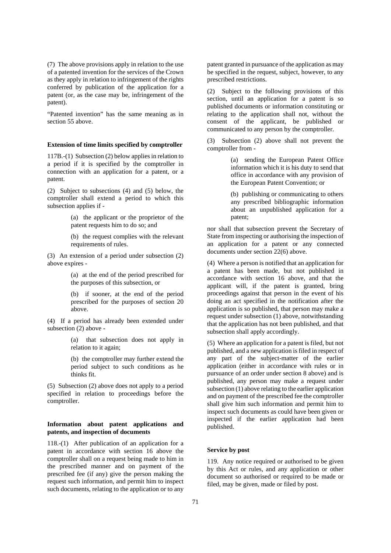(7) The above provisions apply in relation to the use of a patented invention for the services of the Crown as they apply in relation to infringement of the rights conferred by publication of the application for a patent (or, as the case may be, infringement of the patent).

"Patented invention" has the same meaning as in section 55 above.

#### **Extension of time limits specified by comptroller**

117B.-(1) Subsection (2) below applies in relation to a period if it is specified by the comptroller in connection with an application for a patent, or a patent.

(2) Subject to subsections (4) and (5) below, the comptroller shall extend a period to which this subsection applies if -

> (a) the applicant or the proprietor of the patent requests him to do so; and

> (b) the request complies with the relevant requirements of rules.

(3) An extension of a period under subsection (2) above expires -

> (a) at the end of the period prescribed for the purposes of this subsection, or

> (b) if sooner, at the end of the period prescribed for the purposes of section 20 above.

(4) If a period has already been extended under subsection (2) above -

> (a) that subsection does not apply in relation to it again;

> (b) the comptroller may further extend the period subject to such conditions as he thinks fit.

(5) Subsection (2) above does not apply to a period specified in relation to proceedings before the comptroller.

# **Information about patent applications and patents, and inspection of documents**

118.-(1) After publication of an application for a patent in accordance with section 16 above the comptroller shall on a request being made to him in the prescribed manner and on payment of the prescribed fee (if any) give the person making the request such information, and permit him to inspect such documents, relating to the application or to any

patent granted in pursuance of the application as may be specified in the request, subject, however, to any prescribed restrictions.

(2) Subject to the following provisions of this section, until an application for a patent is so published documents or information constituting or relating to the application shall not, without the consent of the applicant, be published or communicated to any person by the comptroller.

(3) Subsection (2) above shall not prevent the comptroller from -

> (a) sending the European Patent Office information which it is his duty to send that office in accordance with any provision of the European Patent Convention; or

> (b) publishing or communicating to others any prescribed bibliographic information about an unpublished application for a patent;

nor shall that subsection prevent the Secretary of State from inspecting or authorising the inspection of an application for a patent or any connected documents under section 22(6) above.

(4) Where a person is notified that an application for a patent has been made, but not published in accordance with section 16 above, and that the applicant will, if the patent is granted, bring proceedings against that person in the event of his doing an act specified in the notification after the application is so published, that person may make a request under subsection (1) above, notwithstanding that the application has not been published, and that subsection shall apply accordingly.

(5) Where an application for a patent is filed, but not published, and a new application is filed in respect of any part of the subject-matter of the earlier application (either in accordance with rules or in pursuance of an order under section 8 above) and is published, any person may make a request under subsection (1) above relating to the earlier application and on payment of the prescribed fee the comptroller shall give him such information and permit him to inspect such documents as could have been given or inspected if the earlier application had been published.

# **Service by post**

119. Any notice required or authorised to be given by this Act or rules, and any application or other document so authorised or required to be made or filed, may be given, made or filed by post.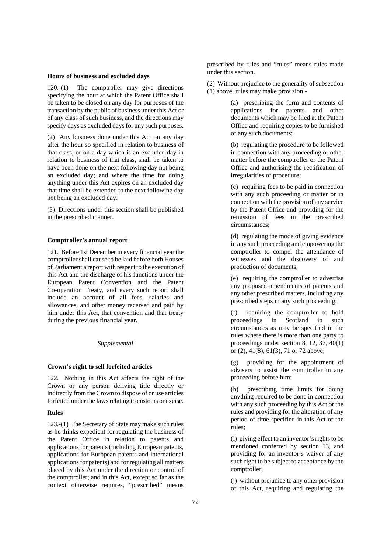## **Hours of business and excluded days**

120.-(1) The comptroller may give directions specifying the hour at which the Patent Office shall be taken to be closed on any day for purposes of the transaction by the public of business under this Act or of any class of such business, and the directions may specify days as excluded days for any such purposes.

(2) Any business done under this Act on any day after the hour so specified in relation to business of that class, or on a day which is an excluded day in relation to business of that class, shall be taken to have been done on the next following day not being an excluded day; and where the time for doing anything under this Act expires on an excluded day that time shall be extended to the next following day not being an excluded day.

(3) Directions under this section shall be published in the prescribed manner.

#### **Comptroller's annual report**

121. Before 1st December in every financial year the comptroller shall cause to be laid before both Houses of Parliament a report with respect to the execution of this Act and the discharge of his functions under the European Patent Convention and the Patent Co-operation Treaty, and every such report shall include an account of all fees, salaries and allowances, and other money received and paid by him under this Act, that convention and that treaty during the previous financial year.

#### *Supplemental*

#### **Crown's right to sell forfeited articles**

122. Nothing in this Act affects the right of the Crown or any person deriving title directly or indirectly from the Crown to dispose of or use articles forfeited under the laws relating to customs or excise.

### **Rules**

123.-(1) The Secretary of State may make such rules as he thinks expedient for regulating the business of the Patent Office in relation to patents and applications for patents (including European patents, applications for European patents and international applications for patents) and for regulating all matters placed by this Act under the direction or control of the comptroller; and in this Act, except so far as the context otherwise requires, "prescribed" means

prescribed by rules and "rules" means rules made under this section.

(2) Without prejudice to the generality of subsection (1) above, rules may make provision -

> (a) prescribing the form and contents of applications for patents and other documents which may be filed at the Patent Office and requiring copies to be furnished of any such documents;

> (b) regulating the procedure to be followed in connection with any proceeding or other matter before the comptroller or the Patent Office and authorising the rectification of irregularities of procedure;

> (c) requiring fees to be paid in connection with any such proceeding or matter or in connection with the provision of any service by the Patent Office and providing for the remission of fees in the prescribed circumstances;

> (d) regulating the mode of giving evidence in any such proceeding and empowering the comptroller to compel the attendance of witnesses and the discovery of and production of documents;

> (e) requiring the comptroller to advertise any proposed amendments of patents and any other prescribed matters, including any prescribed steps in any such proceeding;

> (f) requiring the comptroller to hold proceedings in Scotland in such circumstances as may be specified in the rules where there is more than one party to proceedings under section 8, 12, 37, 40(1) or (2), 41(8), 61(3), 71 or 72 above;

> (g) providing for the appointment of advisers to assist the comptroller in any proceeding before him;

> (h) prescribing time limits for doing anything required to be done in connection with any such proceeding by this Act or the rules and providing for the alteration of any period of time specified in this Act or the rules;

> (i) giving effect to an inventor's rights to be mentioned conferred by section 13, and providing for an inventor's waiver of any such right to be subject to acceptance by the comptroller;

> (j) without prejudice to any other provision of this Act, requiring and regulating the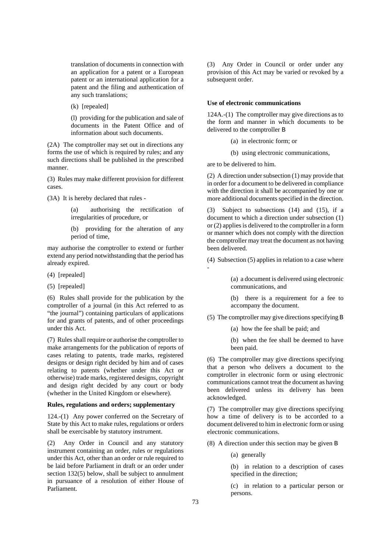translation of documents in connection with an application for a patent or a European patent or an international application for a patent and the filing and authentication of any such translations;

(k) [repealed]

(l) providing for the publication and sale of documents in the Patent Office and of information about such documents.

(2A) The comptroller may set out in directions any forms the use of which is required by rules; and any such directions shall be published in the prescribed manner.

(3) Rules may make different provision for different cases.

(3A) It is hereby declared that rules -

(a) authorising the rectification of irregularities of procedure, or

(b) providing for the alteration of any period of time,

may authorise the comptroller to extend or further extend any period notwithstanding that the period has already expired.

(4) [repealed]

(5) [repealed]

(6) Rules shall provide for the publication by the comptroller of a journal (in this Act referred to as "the journal") containing particulars of applications for and grants of patents, and of other proceedings under this Act.

(7) Rules shall require or authorise the comptroller to make arrangements for the publication of reports of cases relating to patents, trade marks, registered designs or design right decided by him and of cases relating to patents (whether under this Act or otherwise) trade marks, registered designs, copyright and design right decided by any court or body (whether in the United Kingdom or elsewhere).

## **Rules, regulations and orders; supplementary**

124.-(1) Any power conferred on the Secretary of State by this Act to make rules, regulations or orders shall be exercisable by statutory instrument.

(2) Any Order in Council and any statutory instrument containing an order, rules or regulations under this Act, other than an order or rule required to be laid before Parliament in draft or an order under section 132(5) below, shall be subject to annulment in pursuance of a resolution of either House of Parliament.

(3) Any Order in Council or order under any provision of this Act may be varied or revoked by a subsequent order.

#### **Use of electronic communications**

124A.-(1) The comptroller may give directions as to the form and manner in which documents to be delivered to the comptroller B

(a) in electronic form; or

(b) using electronic communications,

are to be delivered to him.

(2) A direction under subsection (1) may provide that in order for a document to be delivered in compliance with the direction it shall be accompanied by one or more additional documents specified in the direction.

(3) Subject to subsections (14) and (15), if a document to which a direction under subsection (1) or (2) applies is delivered to the comptroller in a form or manner which does not comply with the direction the comptroller may treat the document as not having been delivered.

(4) Subsection (5) applies in relation to a case where -

> (a) a document is delivered using electronic communications, and

> (b) there is a requirement for a fee to accompany the document.

(5) The comptroller may give directions specifying B

(a) how the fee shall be paid; and

(b) when the fee shall be deemed to have been paid.

(6) The comptroller may give directions specifying that a person who delivers a document to the comptroller in electronic form or using electronic communications cannot treat the document as having been delivered unless its delivery has been acknowledged.

(7) The comptroller may give directions specifying how a time of delivery is to be accorded to a document delivered to him in electronic form or using electronic communications.

(8) A direction under this section may be given B

(a) generally

(b) in relation to a description of cases specified in the direction;

(c) in relation to a particular person or persons.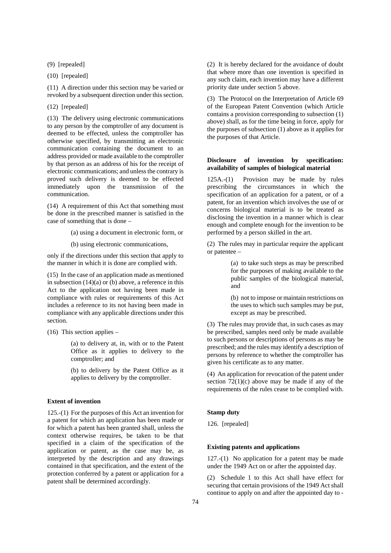(9) [repealed]

(10) [repealed]

(11) A direction under this section may be varied or revoked by a subsequent direction under this section.

(12) [repealed]

(13) The delivery using electronic communications to any person by the comptroller of any document is deemed to be effected, unless the comptroller has otherwise specified, by transmitting an electronic communication containing the document to an address provided or made available to the comptroller by that person as an address of his for the receipt of electronic communications; and unless the contrary is proved such delivery is deemed to be effected immediately upon the transmission of the communication.

(14) A requirement of this Act that something must be done in the prescribed manner is satisfied in the case of something that is done –

(a) using a document in electronic form, or

(b) using electronic communications,

only if the directions under this section that apply to the manner in which it is done are complied with.

(15) In the case of an application made as mentioned in subsection  $(14)(a)$  or (b) above, a reference in this Act to the application not having been made in compliance with rules or requirements of this Act includes a reference to its not having been made in compliance with any applicable directions under this section.

(16) This section applies –

(a) to delivery at, in, with or to the Patent Office as it applies to delivery to the comptroller; and

(b) to delivery by the Patent Office as it applies to delivery by the comptroller.

# **Extent of invention**

125.-(1) For the purposes of this Act an invention for a patent for which an application has been made or for which a patent has been granted shall, unless the context otherwise requires, be taken to be that specified in a claim of the specification of the application or patent, as the case may be, as interpreted by the description and any drawings contained in that specification, and the extent of the protection conferred by a patent or application for a patent shall be determined accordingly.

(2) It is hereby declared for the avoidance of doubt that where more than one invention is specified in any such claim, each invention may have a different priority date under section 5 above.

(3) The Protocol on the Interpretation of Article 69 of the European Patent Convention (which Article contains a provision corresponding to subsection (1) above) shall, as for the time being in force, apply for the purposes of subsection (1) above as it applies for the purposes of that Article.

## **Disclosure of invention by specification: availability of samples of biological material**

125A.-(1) Provision may be made by rules prescribing the circumstances in which the specification of an application for a patent, or of a patent, for an invention which involves the use of or concerns biological material is to be treated as disclosing the invention in a manner which is clear enough and complete enough for the invention to be performed by a person skilled in the art.

(2) The rules may in particular require the applicant or patentee –

> (a) to take such steps as may be prescribed for the purposes of making available to the public samples of the biological material, and

> (b) not to impose or maintain restrictions on the uses to which such samples may be put, except as may be prescribed.

(3) The rules may provide that, in such cases as may be prescribed, samples need only be made available to such persons or descriptions of persons as may be prescribed; and the rules may identify a description of persons by reference to whether the comptroller has given his certificate as to any matter.

(4) An application for revocation of the patent under section  $72(1)(c)$  above may be made if any of the requirements of the rules cease to be complied with.

# **Stamp duty**

126. [repealed]

# **Existing patents and applications**

127.-(1) No application for a patent may be made under the 1949 Act on or after the appointed day.

(2) Schedule 1 to this Act shall have effect for securing that certain provisions of the 1949 Act shall continue to apply on and after the appointed day to -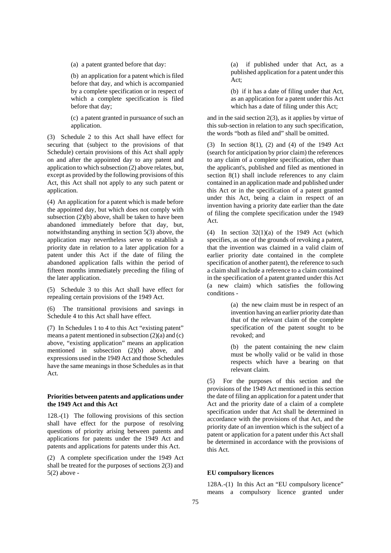(a) a patent granted before that day:

(b) an application for a patent which is filed before that day, and which is accompanied by a complete specification or in respect of which a complete specification is filed before that day;

(c) a patent granted in pursuance of such an application.

(3) Schedule 2 to this Act shall have effect for securing that (subject to the provisions of that Schedule) certain provisions of this Act shall apply on and after the appointed day to any patent and application to which subsection (2) above relates, but, except as provided by the following provisions of this Act, this Act shall not apply to any such patent or application.

(4) An application for a patent which is made before the appointed day, but which does not comply with subsection (2)(b) above, shall be taken to have been abandoned immediately before that day, but, notwithstanding anything in section 5(3) above, the application may nevertheless serve to establish a priority date in relation to a later application for a patent under this Act if the date of filing the abandoned application falls within the period of fifteen months immediately preceding the filing of the later application.

(5) Schedule 3 to this Act shall have effect for repealing certain provisions of the 1949 Act.

(6) The transitional provisions and savings in Schedule 4 to this Act shall have effect.

(7) In Schedules 1 to 4 to this Act "existing patent" means a patent mentioned in subsection (2)(a) and (c) above, "existing application" means an application mentioned in subsection (2)(b) above, and expressions used in the 1949 Act and those Schedules have the same meanings in those Schedules as in that Act.

# **Priorities between patents and applications under the 1949 Act and this Act**

128.-(1) The following provisions of this section shall have effect for the purpose of resolving questions of priority arising between patents and applications for patents under the 1949 Act and patents and applications for patents under this Act.

(2) A complete specification under the 1949 Act shall be treated for the purposes of sections 2(3) and 5(2) above -

(a) if published under that Act, as a published application for a patent under this Act;

(b) if it has a date of filing under that Act, as an application for a patent under this Act which has a date of filing under this Act;

and in the said section 2(3), as it applies by virtue of this sub-section in relation to any such specification, the words "both as filed and" shall be omitted.

(3) In section 8(1), (2) and (4) of the 1949 Act (search for anticipation by prior claim) the references to any claim of a complete specification, other than the applicant's, published and filed as mentioned in section 8(1) shall include references to any claim contained in an application made and published under this Act or in the specification of a patent granted under this Act, being a claim in respect of an invention having a priority date earlier than the date of filing the complete specification under the 1949 Act.

(4) In section  $32(1)(a)$  of the 1949 Act (which specifies, as one of the grounds of revoking a patent, that the invention was claimed in a valid claim of earlier priority date contained in the complete specification of another patent), the reference to such a claim shall include a reference to a claim contained in the specification of a patent granted under this Act (a new claim) which satisfies the following conditions -

> (a) the new claim must be in respect of an invention having an earlier priority date than that of the relevant claim of the complete specification of the patent sought to be revoked; and

> (b) the patent containing the new claim must be wholly valid or be valid in those respects which have a bearing on that relevant claim.

(5) For the purposes of this section and the provisions of the 1949 Act mentioned in this section the date of filing an application for a patent under that Act and the priority date of a claim of a complete specification under that Act shall be determined in accordance with the provisions of that Act, and the priority date of an invention which is the subject of a patent or application for a patent under this Act shall be determined in accordance with the provisions of this Act.

# **EU compulsory licences**

128A.-(1) In this Act an "EU compulsory licence" means a compulsory licence granted under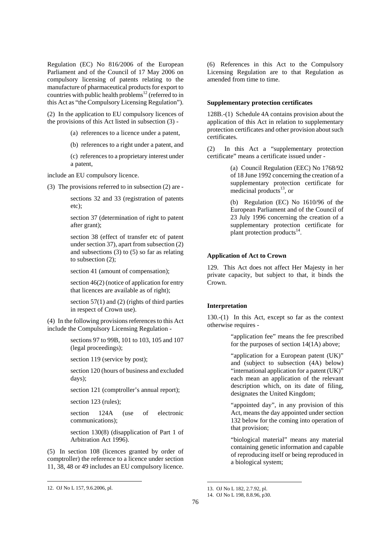Regulation (EC) No 816/2006 of the European Parliament and of the Council of 17 May 2006 on compulsory licensing of patents relating to the manufacture of pharmaceutical products for export to countries with public health problems<sup>12</sup> (referred to in this Act as "the Compulsory Licensing Regulation").

(2) In the application to EU compulsory licences of the provisions of this Act listed in subsection (3) -

- (a) references to a licence under a patent,
- (b) references to a right under a patent, and

(c) references to a proprietary interest under a patent,

include an EU compulsory licence.

(3) The provisions referred to in subsection (2) are -

sections 32 and 33 (registration of patents etc);

section 37 (determination of right to patent after grant);

section 38 (effect of transfer etc of patent under section 37), apart from subsection (2) and subsections (3) to (5) so far as relating to subsection (2);

section 41 (amount of compensation);

section 46(2) (notice of application for entry that licences are available as of right);

section 57(1) and (2) (rights of third parties in respect of Crown use).

(4) In the following provisions references to this Act include the Compulsory Licensing Regulation -

> sections 97 to 99B, 101 to 103, 105 and 107 (legal proceedings);

section 119 (service by post);

section 120 (hours of business and excluded days);

section 121 (comptroller's annual report);

section 123 (rules);

section 124A (use of electronic communications);

section 130(8) (disapplication of Part 1 of Arbitration Act 1996).

(5) In section 108 (licences granted by order of comptroller) the reference to a licence under section 11, 38, 48 or 49 includes an EU compulsory licence.

1

(6) References in this Act to the Compulsory Licensing Regulation are to that Regulation as amended from time to time.

## **Supplementary protection certificates**

128B.-(1) Schedule 4A contains provision about the application of this Act in relation to supplementary protection certificates and other provision about such certificates.

(2) In this Act a "supplementary protection certificate" means a certificate issued under -

> (a) Council Regulation (EEC) No 1768/92 of 18 June 1992 concerning the creation of a supplementary protection certificate for medicinal products<sup>13</sup>, or

> (b) Regulation (EC) No 1610/96 of the European Parliament and of the Council of 23 July 1996 concerning the creation of a supplementary protection certificate for plant protection products $^{14}$ .

### **Application of Act to Crown**

129. This Act does not affect Her Majesty in her private capacity, but subject to that, it binds the Crown.

# **Interpretation**

130.-(1) In this Act, except so far as the context otherwise requires -

> "application fee" means the fee prescribed for the purposes of section 14(1A) above;

> "application for a European patent (UK)" and (subject to subsection (4A) below) "international application for a patent (UK)" each mean an application of the relevant description which, on its date of filing, designates the United Kingdom;

> "appointed day", in any provision of this Act, means the day appointed under section 132 below for the coming into operation of that provision;

> "biological material" means any material containing genetic information and capable of reproducing itself or being reproduced in a biological system;

<u>.</u>

<sup>12.</sup> OJ No L 157, 9.6.2006, pl.

<sup>13.</sup> OJ No L 182, 2.7.92, pl.

<sup>14.</sup> OJ No L 198, 8.8.96, p30.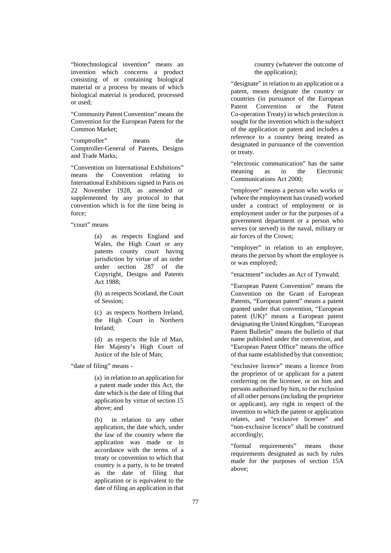"biotechnological invention" means an invention which concerns a product consisting of or containing biological material or a process by means of which biological material is produced, processed or used;

"Community Patent Convention" means the Convention for the European Patent for the Common Market;

"comptroller" means the Comptroller-General of Patents, Designs and Trade Marks;

"Convention on International Exhibitions" means the Convention relating to International Exhibitions signed in Paris on 22 November 1928, as amended or supplemented by any protocol to that convention which is for the time being in force;

"court" means

(a) as respects England and Wales, the High Court or any patents county court having jurisdiction by virtue of an order under section 287 of the Copyright, Designs and Patents Act 1988;

(b) as respects Scotland, the Court of Session;

(c) as respects Northern Ireland, the High Court in Northern Ireland;

(d) as respects the Isle of Man, Her Majesty's High Court of Justice of the Isle of Man;

"date of filing" means -

(a) in relation to an application for a patent made under this Act, the date which is the date of filing that application by virtue of section 15 above; and

(b) in relation to any other application, the date which, under the law of the country where the application was made or in accordance with the terms of a treaty or convention to which that country is a party, is to be treated as the date of filing that application or is equivalent to the date of filing an application in that

country (whatever the outcome of the application);

"designate" in relation to an application or a patent, means designate the country or countries (in pursuance of the European Patent Convention or the Patent Co-operation Treaty) in which protection is sought for the invention which is the subject of the application or patent and includes a reference to a country being treated as designated in pursuance of the convention or treaty.

"electronic communication" has the same meaning as in the Electronic Communications Act 2000;

"employee" means a person who works or (where the employment has ceased) worked under a contract of employment or in employment under or for the purposes of a government department or a person who serves (or served) in the naval, military or air forces of the Crown;

"employer" in relation to an employee, means the person by whom the employee is or was employed;

"enactment" includes an Act of Tynwald;

"European Patent Convention" means the Convention on the Grant of European Patents, "European patent" means a patent granted under that convention, "European patent (UK)" means a European patent designating the United Kingdom, "European Patent Bulletin" means the bulletin of that name published under the convention, and "European Patent Office" means the office of that name established by that convention;

"exclusive licence" means a licence from the proprietor of or applicant for a patent conferring on the licensee, or on him and persons authorised by him, to the exclusion of all other persons (including the proprietor or applicant), any right in respect of the invention to which the patent or application relates, and "exclusive licensee" and "non-exclusive licence" shall be construed accordingly;

"formal requirements" means those requirements designated as such by rules made for the purposes of section 15A above;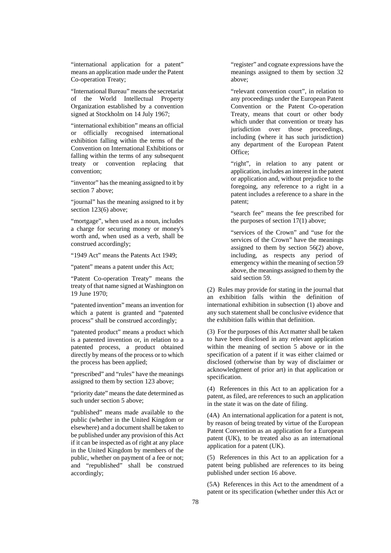"international application for a patent" means an application made under the Patent Co-operation Treaty;

"International Bureau" means the secretariat of the World Intellectual Property Organization established by a convention signed at Stockholm on 14 July 1967;

"international exhibition" means an official or officially recognised international exhibition falling within the terms of the Convention on International Exhibitions or falling within the terms of any subsequent treaty or convention replacing that convention;

"inventor" has the meaning assigned to it by section 7 above;

"journal" has the meaning assigned to it by section 123(6) above;

"mortgage", when used as a noun, includes a charge for securing money or money's worth and, when used as a verb, shall be construed accordingly;

"1949 Act" means the Patents Act 1949;

"patent" means a patent under this Act;

"Patent Co-operation Treaty" means the treaty of that name signed at Washington on 19 June 1970;

"patented invention" means an invention for which a patent is granted and "patented process" shall be construed accordingly;

"patented product" means a product which is a patented invention or, in relation to a patented process, a product obtained directly by means of the process or to which the process has been applied;

"prescribed" and "rules" have the meanings assigned to them by section 123 above;

"priority date" means the date determined as such under section 5 above;

"published" means made available to the public (whether in the United Kingdom or elsewhere) and a document shall be taken to be published under any provision of this Act if it can be inspected as of right at any place in the United Kingdom by members of the public, whether on payment of a fee or not; and "republished" shall be construed accordingly;

"register" and cognate expressions have the meanings assigned to them by section 32 above;

"relevant convention court", in relation to any proceedings under the European Patent Convention or the Patent Co-operation Treaty, means that court or other body which under that convention or treaty has jurisdiction over those proceedings, including (where it has such jurisdiction) any department of the European Patent Office:

"right", in relation to any patent or application, includes an interest in the patent or application and, without prejudice to the foregoing, any reference to a right in a patent includes a reference to a share in the patent;

"search fee" means the fee prescribed for the purposes of section 17(1) above;

"services of the Crown" and "use for the services of the Crown" have the meanings assigned to them by section 56(2) above, including, as respects any period of emergency within the meaning of section 59 above, the meanings assigned to them by the said section 59.

(2) Rules may provide for stating in the journal that an exhibition falls within the definition of international exhibition in subsection (1) above and any such statement shall be conclusive evidence that the exhibition falls within that definition.

(3) For the purposes of this Act matter shall be taken to have been disclosed in any relevant application within the meaning of section 5 above or in the specification of a patent if it was either claimed or disclosed (otherwise than by way of disclaimer or acknowledgment of prior art) in that application or specification.

(4) References in this Act to an application for a patent, as filed, are references to such an application in the state it was on the date of filing.

(4A) An international application for a patent is not, by reason of being treated by virtue of the European Patent Convention as an application for a European patent (UK), to be treated also as an international application for a patent (UK).

(5) References in this Act to an application for a patent being published are references to its being published under section 16 above.

(5A) References in this Act to the amendment of a patent or its specification (whether under this Act or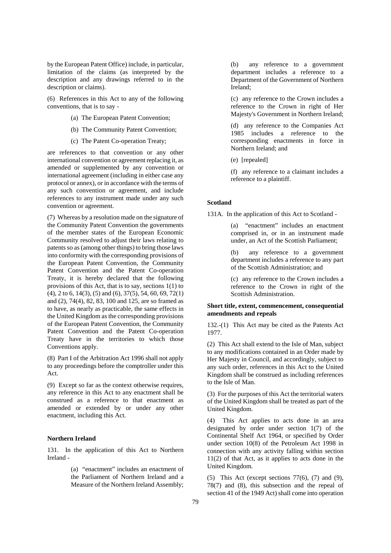by the European Patent Office) include, in particular, limitation of the claims (as interpreted by the description and any drawings referred to in the description or claims).

(6) References in this Act to any of the following conventions, that is to say -

- (a) The European Patent Convention;
- (b) The Community Patent Convention;
- (c) The Patent Co-operation Treaty;

are references to that convention or any other international convention or agreement replacing it, as amended or supplemented by any convention or international agreement (including in either case any protocol or annex), or in accordance with the terms of any such convention or agreement, and include references to any instrument made under any such convention or agreement.

(7) Whereas by a resolution made on the signature of the Community Patent Convention the governments of the member states of the European Economic Community resolved to adjust their laws relating to patents so as (among other things) to bring those laws into conformity with the corresponding provisions of the European Patent Convention, the Community Patent Convention and the Patent Co-operation Treaty, it is hereby declared that the following provisions of this Act, that is to say, sections 1(1) to  $(4)$ , 2 to 6, 14(3), (5) and (6), 37(5), 54, 60, 69, 72(1) and (2), 74(4), 82, 83, 100 and 125, are so framed as to have, as nearly as practicable, the same effects in the United Kingdom as the corresponding provisions of the European Patent Convention, the Community Patent Convention and the Patent Co-operation Treaty have in the territories to which those Conventions apply.

(8) Part I of the Arbitration Act 1996 shall not apply to any proceedings before the comptroller under this Act.

(9) Except so far as the context otherwise requires, any reference in this Act to any enactment shall be construed as a reference to that enactment as amended or extended by or under any other enactment, including this Act.

## **Northern Ireland**

131. In the application of this Act to Northern Ireland -

> (a) "enactment" includes an enactment of the Parliament of Northern Ireland and a Measure of the Northern Ireland Assembly;

(b) any reference to a government department includes a reference to a Department of the Government of Northern Ireland;

(c) any reference to the Crown includes a reference to the Crown in right of Her Majesty's Government in Northern Ireland;

(d) any reference to the Companies Act 1985 includes a reference to the corresponding enactments in force in Northern Ireland; and

(e) [repealed]

(f) any reference to a claimant includes a reference to a plaintiff.

#### **Scotland**

131A. In the application of this Act to Scotland -

(a) "enactment" includes an enactment comprised in, or in an instrument made under, an Act of the Scottish Parliament;

(b) any reference to a government department includes a reference to any part of the Scottish Administration; and

(c) any reference to the Crown includes a reference to the Crown in right of the Scottish Administration.

# **Short title, extent, commencement, consequential amendments and repeals**

132.-(1) This Act may be cited as the Patents Act 1977.

(2) This Act shall extend to the Isle of Man, subject to any modifications contained in an Order made by Her Majesty in Council, and accordingly, subject to any such order, references in this Act to the United Kingdom shall be construed as including references to the Isle of Man.

(3) For the purposes of this Act the territorial waters of the United Kingdom shall be treated as part of the United Kingdom.

(4) This Act applies to acts done in an area designated by order under section 1(7) of the Continental Shelf Act 1964, or specified by Order under section 10(8) of the Petroleum Act 1998 in connection with any activity falling within section 11(2) of that Act, as it applies to acts done in the United Kingdom.

(5) This Act (except sections  $77(6)$ ,  $(7)$  and  $(9)$ , 78(7) and (8), this subsection and the repeal of section 41 of the 1949 Act) shall come into operation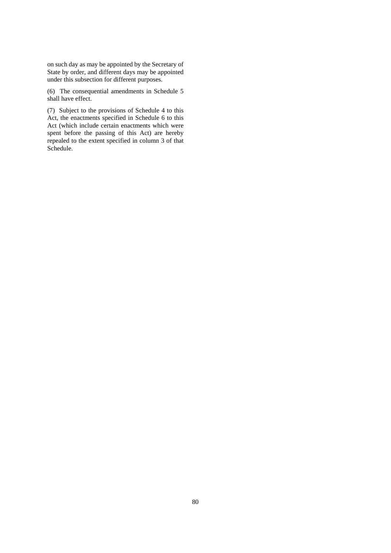on such day as may be appointed by the Secretary of State by order, and different days may be appointed under this subsection for different purposes.

(6) The consequential amendments in Schedule 5 shall have effect.

(7) Subject to the provisions of Schedule 4 to this Act, the enactments specified in Schedule 6 to this Act (which include certain enactments which were spent before the passing of this Act) are hereby repealed to the extent specified in column 3 of that Schedule.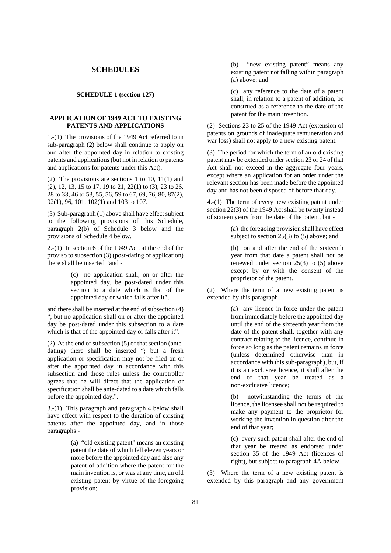# **SCHEDULES**

## **SCHEDULE 1 (section 127)**

# **APPLICATION OF 1949 ACT TO EXISTING PATENTS AND APPLICATIONS**

1.-(1) The provisions of the 1949 Act referred to in sub-paragraph (2) below shall continue to apply on and after the appointed day in relation to existing patents and applications (but not in relation to patents and applications for patents under this Act).

(2) The provisions are sections 1 to 10, 11(1) and (2), 12, 13, 15 to 17, 19 to 21, 22(1) to (3), 23 to 26, 28 to 33, 46 to 53, 55, 56, 59 to 67, 69, 76, 80, 87(2), 92(1), 96, 101, 102(1) and 103 to 107.

(3) Sub-paragraph (1) above shall have effect subject to the following provisions of this Schedule, paragraph 2(b) of Schedule 3 below and the provisions of Schedule 4 below.

2.-(1) In section 6 of the 1949 Act, at the end of the proviso to subsection (3) (post-dating of application) there shall be inserted "and -

> (c) no application shall, on or after the appointed day, be post-dated under this section to a date which is that of the appointed day or which falls after it",

and there shall be inserted at the end of subsection (4) "; but no application shall on or after the appointed day be post-dated under this subsection to a date which is that of the appointed day or falls after it".

(2) At the end of subsection (5) of that section (antedating) there shall be inserted "; but a fresh application or specification may not be filed on or after the appointed day in accordance with this subsection and those rules unless the comptroller agrees that he will direct that the application or specification shall be ante-dated to a date which falls before the appointed day.".

3.-(1) This paragraph and paragraph 4 below shall have effect with respect to the duration of existing patents after the appointed day, and in those paragraphs -

> (a) "old existing patent" means an existing patent the date of which fell eleven years or more before the appointed day and also any patent of addition where the patent for the main invention is, or was at any time, an old existing patent by virtue of the foregoing provision;

(b) "new existing patent" means any existing patent not falling within paragraph (a) above; and

(c) any reference to the date of a patent shall, in relation to a patent of addition, be construed as a reference to the date of the patent for the main invention.

(2) Sections 23 to 25 of the 1949 Act (extension of patents on grounds of inadequate remuneration and war loss) shall not apply to a new existing patent.

(3) The period for which the term of an old existing patent may be extended under section 23 or 24 of that Act shall not exceed in the aggregate four years, except where an application for an order under the relevant section has been made before the appointed day and has not been disposed of before that day.

4.-(1) The term of every new existing patent under section 22(3) of the 1949 Act shall be twenty instead of sixteen years from the date of the patent, but -

> (a) the foregoing provision shall have effect subject to section 25(3) to (5) above; and

> (b) on and after the end of the sixteenth year from that date a patent shall not be renewed under section 25(3) to (5) above except by or with the consent of the proprietor of the patent.

(2) Where the term of a new existing patent is extended by this paragraph, -

> (a) any licence in force under the patent from immediately before the appointed day until the end of the sixteenth year from the date of the patent shall, together with any contract relating to the licence, continue in force so long as the patent remains in force (unless determined otherwise than in accordance with this sub-paragraph), but, if it is an exclusive licence, it shall after the end of that year be treated as a non-exclusive licence;

> (b) notwithstanding the terms of the licence, the licensee shall not be required to make any payment to the proprietor for working the invention in question after the end of that year;

> (c) every such patent shall after the end of that year be treated as endorsed under section 35 of the 1949 Act (licences of right), but subject to paragraph 4A below.

(3) Where the term of a new existing patent is extended by this paragraph and any government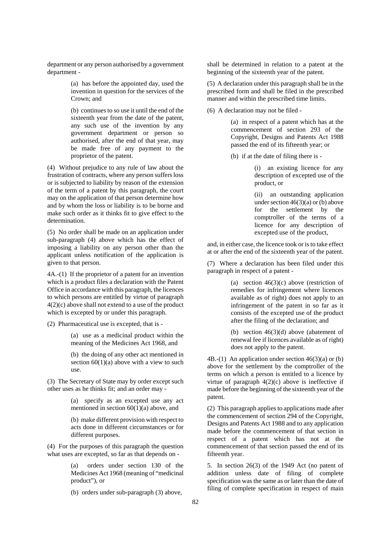department or any person authorised by a government department -

> (a) has before the appointed day, used the invention in question for the services of the Crown; and

> (b) continues to so use it until the end of the sixteenth year from the date of the patent, any such use of the invention by any government department or person so authorised, after the end of that year, may be made free of any payment to the proprietor of the patent.

(4) Without prejudice to any rule of law about the frustration of contracts, where any person suffers loss or is subjected to liability by reason of the extension of the term of a patent by this paragraph, the court may on the application of that person determine how and by whom the loss or liability is to be borne and make such order as it thinks fit to give effect to the determination.

(5) No order shall be made on an application under sub-paragraph (4) above which has the effect of imposing a liability on any person other than the applicant unless notification of the application is given to that person.

4A.-(1) If the proprietor of a patent for an invention which is a product files a declaration with the Patent Office in accordance with this paragraph, the licences to which persons are entitled by virtue of paragraph 4(2)(c) above shall not extend to a use of the product which is excepted by or under this paragraph.

(2) Pharmaceutical use is excepted, that is -

(a) use as a medicinal product within the meaning of the Medicines Act 1968, and

(b) the doing of any other act mentioned in section  $60(1)(a)$  above with a view to such use.

(3) The Secretary of State may by order except such other uses as he thinks fit; and an order may -

> (a) specify as an excepted use any act mentioned in section  $60(1)(a)$  above, and

> (b) make different provision with respect to acts done in different circumstances or for different purposes.

(4) For the purposes of this paragraph the question what uses are excepted, so far as that depends on -

> (a) orders under section 130 of the Medicines Act 1968 (meaning of "medicinal product"), or

(b) orders under sub-paragraph (3) above,

shall be determined in relation to a patent at the beginning of the sixteenth year of the patent.

(5) A declaration under this paragraph shall be in the prescribed form and shall be filed in the prescribed manner and within the prescribed time limits.

(6) A declaration may not be filed -

(a) in respect of a patent which has at the commencement of section 293 of the Copyright, Designs and Patents Act 1988 passed the end of its fifteenth year; or

(b) if at the date of filing there is -

(i) an existing licence for any description of excepted use of the product, or

(ii) an outstanding application under section  $46(3)(a)$  or (b) above for the settlement by the comptroller of the terms of a licence for any description of excepted use of the product,

and, in either case, the licence took or is to take effect at or after the end of the sixteenth year of the patent.

(7) Where a declaration has been filed under this paragraph in respect of a patent -

> (a) section  $46(3)(c)$  above (restriction of remedies for infringement where licences available as of right) does not apply to an infringement of the patent in so far as it consists of the excepted use of the product after the filing of the declaration; and

> (b) section 46(3)(d) above (abatement of renewal fee if licences available as of right) does not apply to the patent.

4B.-(1) An application under section  $46(3)(a)$  or (b) above for the settlement by the comptroller of the terms on which a person is entitled to a licence by virtue of paragraph  $4(2)(c)$  above is ineffective if made before the beginning of the sixteenth year of the patent.

(2) This paragraph applies to applications made after the commencement of section 294 of the Copyright, Designs and Patents Act 1988 and to any application made before the commencement of that section in respect of a patent which has not at the commencement of that section passed the end of its fifteenth year.

5. In section 26(3) of the 1949 Act (no patent of addition unless date of filing of complete specification was the same as or later than the date of filing of complete specification in respect of main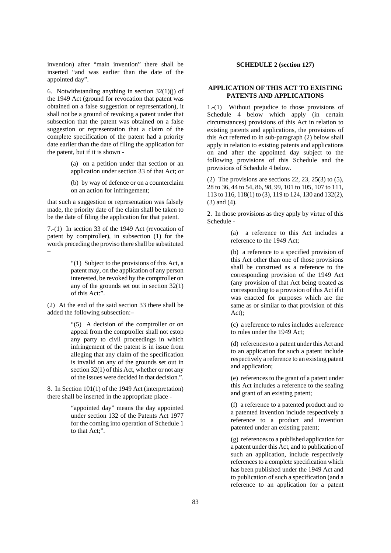invention) after "main invention" there shall be inserted "and was earlier than the date of the appointed day".

6. Notwithstanding anything in section  $32(1)(i)$  of the 1949 Act (ground for revocation that patent was obtained on a false suggestion or representation), it shall not be a ground of revoking a patent under that subsection that the patent was obtained on a false suggestion or representation that a claim of the complete specification of the patent had a priority date earlier than the date of filing the application for the patent, but if it is shown -

> (a) on a petition under that section or an application under section 33 of that Act; or

> (b) by way of defence or on a counterclaim on an action for infringement;

that such a suggestion or representation was falsely made, the priority date of the claim shall be taken to be the date of filing the application for that patent.

7.-(1) In section 33 of the 1949 Act (revocation of patent by comptroller), in subsection (1) for the words preceding the proviso there shall be substituted –

> "(1) Subject to the provisions of this Act, a patent may, on the application of any person interested, be revoked by the comptroller on any of the grounds set out in section 32(1) of this Act:".

(2) At the end of the said section 33 there shall be added the following subsection:–

> "(5) A decision of the comptroller or on appeal from the comptroller shall not estop any party to civil proceedings in which infringement of the patent is in issue from alleging that any claim of the specification is invalid on any of the grounds set out in section 32(1) of this Act, whether or not any of the issues were decided in that decision.".

8. In Section 101(1) of the 1949 Act (interpretation) there shall be inserted in the appropriate place -

> "appointed day" means the day appointed under section 132 of the Patents Act 1977 for the coming into operation of Schedule 1 to that Act;".

#### **SCHEDULE 2 (section 127)**

# **APPLICATION OF THIS ACT TO EXISTING PATENTS AND APPLICATIONS**

1.-(1) Without prejudice to those provisions of Schedule 4 below which apply (in certain circumstances) provisions of this Act in relation to existing patents and applications, the provisions of this Act referred to in sub-paragraph (2) below shall apply in relation to existing patents and applications on and after the appointed day subject to the following provisions of this Schedule and the provisions of Schedule 4 below.

(2) The provisions are sections 22, 23, 25(3) to  $(5)$ , 28 to 36, 44 to 54, 86, 98, 99, 101 to 105, 107 to 111, 113 to 116, 118(1) to (3), 119 to 124, 130 and 132(2), (3) and (4).

2. In those provisions as they apply by virtue of this Schedule -

> (a) a reference to this Act includes a reference to the 1949 Act;

> (b) a reference to a specified provision of this Act other than one of those provisions shall be construed as a reference to the corresponding provision of the 1949 Act (any provision of that Act being treated as corresponding to a provision of this Act if it was enacted for purposes which are the same as or similar to that provision of this Act);

> (c) a reference to rules includes a reference to rules under the 1949 Act;

> (d) references to a patent under this Act and to an application for such a patent include respectively a reference to an existing patent and application;

> (e) references to the grant of a patent under this Act includes a reference to the sealing and grant of an existing patent;

> (f) a reference to a patented product and to a patented invention include respectively a reference to a product and invention patented under an existing patent;

> (g) references to a published application for a patent under this Act, and to publication of such an application, include respectively references to a complete specification which has been published under the 1949 Act and to publication of such a specification (and a reference to an application for a patent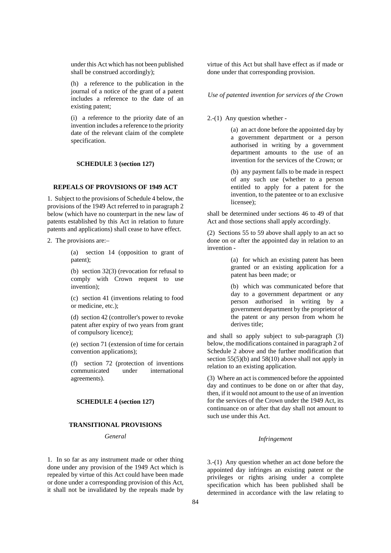under this Act which has not been published shall be construed accordingly);

(h) a reference to the publication in the journal of a notice of the grant of a patent includes a reference to the date of an existing patent;

(i) a reference to the priority date of an invention includes a reference to the priority date of the relevant claim of the complete specification.

#### **SCHEDULE 3 (section 127)**

# **REPEALS OF PROVISIONS OF 1949 ACT**

1. Subject to the provisions of Schedule 4 below, the provisions of the 1949 Act referred to in paragraph 2 below (which have no counterpart in the new law of patents established by this Act in relation to future patents and applications) shall cease to have effect.

2. The provisions are:–

(a) section 14 (opposition to grant of patent);

(b) section 32(3) (revocation for refusal to comply with Crown request to use invention);

(c) section 41 (inventions relating to food or medicine, etc.);

(d) section 42 (controller's power to revoke patent after expiry of two years from grant of compulsory licence);

(e) section 71 (extension of time for certain convention applications);

(f) section 72 (protection of inventions communicated under international agreements).

#### **SCHEDULE 4 (section 127)**

# **TRANSITIONAL PROVISIONS**

*General* 

1. In so far as any instrument made or other thing done under any provision of the 1949 Act which is repealed by virtue of this Act could have been made or done under a corresponding provision of this Act, it shall not be invalidated by the repeals made by

virtue of this Act but shall have effect as if made or done under that corresponding provision.

*Use of patented invention for services of the Crown* 

2.-(1) Any question whether -

(a) an act done before the appointed day by a government department or a person authorised in writing by a government department amounts to the use of an invention for the services of the Crown; or

(b) any payment falls to be made in respect of any such use (whether to a person entitled to apply for a patent for the invention, to the patentee or to an exclusive licensee);

shall be determined under sections 46 to 49 of that Act and those sections shall apply accordingly.

(2) Sections 55 to 59 above shall apply to an act so done on or after the appointed day in relation to an invention -

> (a) for which an existing patent has been granted or an existing application for a patent has been made; or

> (b) which was communicated before that day to a government department or any person authorised in writing by a government department by the proprietor of the patent or any person from whom he derives title;

and shall so apply subject to sub-paragraph (3) below, the modifications contained in paragraph 2 of Schedule 2 above and the further modification that section  $55(5)(b)$  and  $58(10)$  above shall not apply in relation to an existing application.

(3) Where an act is commenced before the appointed day and continues to be done on or after that day, then, if it would not amount to the use of an invention for the services of the Crown under the 1949 Act, its continuance on or after that day shall not amount to such use under this Act.

#### *Infringement*

3.-(1) Any question whether an act done before the appointed day infringes an existing patent or the privileges or rights arising under a complete specification which has been published shall be determined in accordance with the law relating to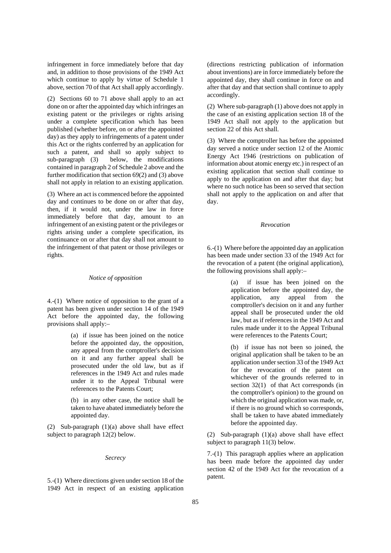infringement in force immediately before that day and, in addition to those provisions of the 1949 Act which continue to apply by virtue of Schedule 1 above, section 70 of that Act shall apply accordingly.

(2) Sections 60 to 71 above shall apply to an act done on or after the appointed day which infringes an existing patent or the privileges or rights arising under a complete specification which has been published (whether before, on or after the appointed day) as they apply to infringements of a patent under this Act or the rights conferred by an application for such a patent, and shall so apply subject to sub-paragraph (3) below, the modifications contained in paragraph 2 of Schedule 2 above and the further modification that section 69(2) and (3) above shall not apply in relation to an existing application.

(3) Where an act is commenced before the appointed day and continues to be done on or after that day, then, if it would not, under the law in force immediately before that day, amount to an infringement of an existing patent or the privileges or rights arising under a complete specification, its continuance on or after that day shall not amount to the infringement of that patent or those privileges or rights.

# *Notice of opposition*

4.-(1) Where notice of opposition to the grant of a patent has been given under section 14 of the 1949 Act before the appointed day, the following provisions shall apply:–

> (a) if issue has been joined on the notice before the appointed day, the opposition, any appeal from the comptroller's decision on it and any further appeal shall be prosecuted under the old law, but as if references in the 1949 Act and rules made under it to the Appeal Tribunal were references to the Patents Court;

> (b) in any other case, the notice shall be taken to have abated immediately before the appointed day.

(2) Sub-paragraph (1)(a) above shall have effect subject to paragraph 12(2) below.

## *Secrecy*

5.-(1) Where directions given under section 18 of the 1949 Act in respect of an existing application (directions restricting publication of information about inventions) are in force immediately before the appointed day, they shall continue in force on and after that day and that section shall continue to apply accordingly.

(2) Where sub-paragraph (1) above does not apply in the case of an existing application section 18 of the 1949 Act shall not apply to the application but section 22 of this Act shall.

(3) Where the comptroller has before the appointed day served a notice under section 12 of the Atomic Energy Act 1946 (restrictions on publication of information about atomic energy etc.) in respect of an existing application that section shall continue to apply to the application on and after that day; but where no such notice has been so served that section shall not apply to the application on and after that day.

#### *Revocation*

6.-(1) Where before the appointed day an application has been made under section 33 of the 1949 Act for the revocation of a patent (the original application), the following provisions shall apply:–

> (a) if issue has been joined on the application before the appointed day, the application, any appeal from the comptroller's decision on it and any further appeal shall be prosecuted under the old law, but as if references in the 1949 Act and rules made under it to the Appeal Tribunal were references to the Patents Court;

> (b) if issue has not been so joined, the original application shall be taken to be an application under section 33 of the 1949 Act for the revocation of the patent on whichever of the grounds referred to in section 32(1) of that Act corresponds (in the comptroller's opinion) to the ground on which the original application was made, or, if there is no ground which so corresponds, shall be taken to have abated immediately before the appointed day.

(2) Sub-paragraph (1)(a) above shall have effect subject to paragraph 11(3) below.

7.-(1) This paragraph applies where an application has been made before the appointed day under section 42 of the 1949 Act for the revocation of a patent.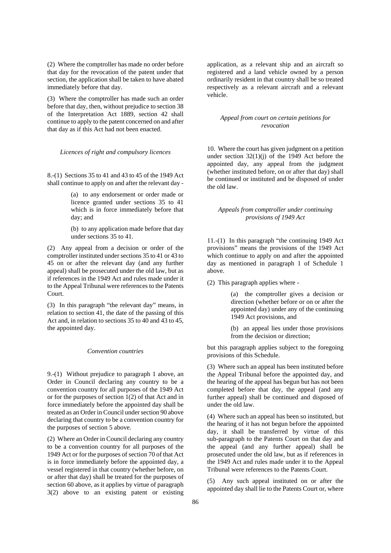(2) Where the comptroller has made no order before that day for the revocation of the patent under that section, the application shall be taken to have abated immediately before that day.

(3) Where the comptroller has made such an order before that day, then, without prejudice to section 38 of the Interpretation Act 1889, section 42 shall continue to apply to the patent concerned on and after that day as if this Act had not been enacted.

#### *Licences of right and compulsory licences*

8.-(1) Sections 35 to 41 and 43 to 45 of the 1949 Act shall continue to apply on and after the relevant day -

> (a) to any endorsement or order made or licence granted under sections 35 to 41 which is in force immediately before that day; and

> (b) to any application made before that day under sections 35 to 41.

(2) Any appeal from a decision or order of the comptroller instituted under sections 35 to 41 or 43 to 45 on or after the relevant day (and any further appeal) shall be prosecuted under the old law, but as if references in the 1949 Act and rules made under it to the Appeal Tribunal were references to the Patents Court.

(3) In this paragraph "the relevant day" means, in relation to section 41, the date of the passing of this Act and, in relation to sections 35 to 40 and 43 to 45, the appointed day.

#### *Convention countries*

9.-(1) Without prejudice to paragraph 1 above, an Order in Council declaring any country to be a convention country for all purposes of the 1949 Act or for the purposes of section 1(2) of that Act and in force immediately before the appointed day shall be treated as an Order in Council under section 90 above declaring that country to be a convention country for the purposes of section 5 above.

(2) Where an Order in Council declaring any country to be a convention country for all purposes of the 1949 Act or for the purposes of section 70 of that Act is in force immediately before the appointed day, a vessel registered in that country (whether before, on or after that day) shall be treated for the purposes of section 60 above, as it applies by virtue of paragraph 3(2) above to an existing patent or existing application, as a relevant ship and an aircraft so registered and a land vehicle owned by a person ordinarily resident in that country shall be so treated respectively as a relevant aircraft and a relevant vehicle.

# *Appeal from court on certain petitions for revocation*

10. Where the court has given judgment on a petition under section 32(1)(j) of the 1949 Act before the appointed day, any appeal from the judgment (whether instituted before, on or after that day) shall be continued or instituted and be disposed of under the old law.

# *Appeals from comptroller under continuing provisions of 1949 Act*

11.-(1) In this paragraph "the continuing 1949 Act provisions" means the provisions of the 1949 Act which continue to apply on and after the appointed day as mentioned in paragraph 1 of Schedule 1 above.

(2) This paragraph applies where -

(a) the comptroller gives a decision or direction (whether before or on or after the appointed day) under any of the continuing 1949 Act provisions, and

(b) an appeal lies under those provisions from the decision or direction;

but this paragraph applies subject to the foregoing provisions of this Schedule.

(3) Where such an appeal has been instituted before the Appeal Tribunal before the appointed day, and the hearing of the appeal has begun but has not been completed before that day, the appeal (and any further appeal) shall be continued and disposed of under the old law.

(4) Where such an appeal has been so instituted, but the hearing of it has not begun before the appointed day, it shall be transferred by virtue of this sub-paragraph to the Patents Court on that day and the appeal (and any further appeal) shall be prosecuted under the old law, but as if references in the 1949 Act and rules made under it to the Appeal Tribunal were references to the Patents Court.

(5) Any such appeal instituted on or after the appointed day shall lie to the Patents Court or, where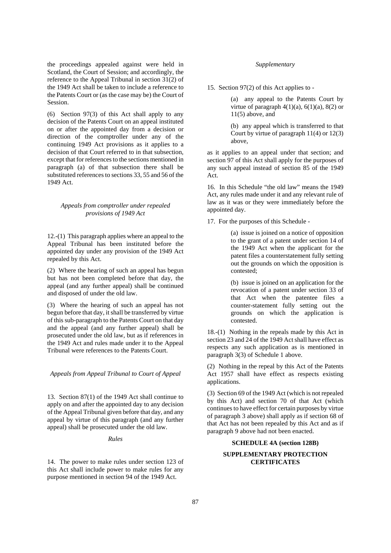the proceedings appealed against were held in Scotland, the Court of Session; and accordingly, the reference to the Appeal Tribunal in section 31(2) of the 1949 Act shall be taken to include a reference to the Patents Court or (as the case may be) the Court of Session.

(6) Section 97(3) of this Act shall apply to any decision of the Patents Court on an appeal instituted on or after the appointed day from a decision or direction of the comptroller under any of the continuing 1949 Act provisions as it applies to a decision of that Court referred to in that subsection, except that for references to the sections mentioned in paragraph (a) of that subsection there shall be substituted references to sections 33, 55 and 56 of the 1949 Act.

# *Appeals from comptroller under repealed provisions of 1949 Act*

12.-(1) This paragraph applies where an appeal to the Appeal Tribunal has been instituted before the appointed day under any provision of the 1949 Act repealed by this Act.

(2) Where the hearing of such an appeal has begun but has not been completed before that day, the appeal (and any further appeal) shall be continued and disposed of under the old law.

(3) Where the hearing of such an appeal has not begun before that day, it shall be transferred by virtue of this sub-paragraph to the Patents Court on that day and the appeal (and any further appeal) shall be prosecuted under the old law, but as if references in the 1949 Act and rules made under it to the Appeal Tribunal were references to the Patents Court.

# *Appeals from Appeal Tribunal to Court of Appeal*

13. Section 87(1) of the 1949 Act shall continue to apply on and after the appointed day to any decision of the Appeal Tribunal given before that day, and any appeal by virtue of this paragraph (and any further appeal) shall be prosecuted under the old law.

*Rules* 

14. The power to make rules under section 123 of this Act shall include power to make rules for any purpose mentioned in section 94 of the 1949 Act.

## *Supplementary*

15. Section 97(2) of this Act applies to -

(a) any appeal to the Patents Court by virtue of paragraph  $4(1)(a)$ ,  $6(1)(a)$ ,  $8(2)$  or 11(5) above, and

(b) any appeal which is transferred to that Court by virtue of paragraph 11(4) or 12(3) above,

as it applies to an appeal under that section; and section 97 of this Act shall apply for the purposes of any such appeal instead of section 85 of the 1949 Act.

16. In this Schedule "the old law" means the 1949 Act, any rules made under it and any relevant rule of law as it was or they were immediately before the appointed day.

17. For the purposes of this Schedule -

(a) issue is joined on a notice of opposition to the grant of a patent under section 14 of the 1949 Act when the applicant for the patent files a counterstatement fully setting out the grounds on which the opposition is contested;

(b) issue is joined on an application for the revocation of a patent under section 33 of that Act when the patentee files a counter-statement fully setting out the grounds on which the application is contested.

18.-(1) Nothing in the repeals made by this Act in section 23 and 24 of the 1949 Act shall have effect as respects any such application as is mentioned in paragraph 3(3) of Schedule 1 above.

(2) Nothing in the repeal by this Act of the Patents Act 1957 shall have effect as respects existing applications.

(3) Section 69 of the 1949 Act (which is not repealed by this Act) and section 70 of that Act (which continues to have effect for certain purposes by virtue of paragraph 3 above) shall apply as if section 68 of that Act has not been repealed by this Act and as if paragraph 9 above had not been enacted.

### **SCHEDULE 4A (section 128B)**

# **SUPPLEMENTARY PROTECTION CERTIFICATES**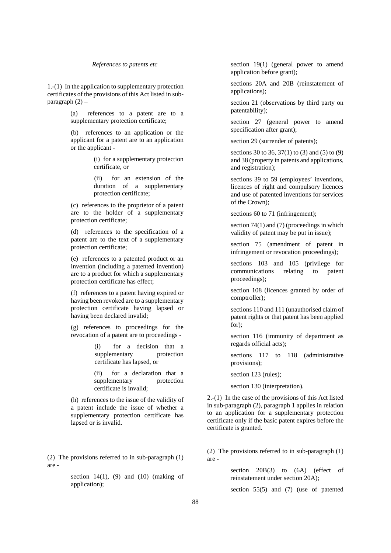## *References to patents etc*

1.-(1) In the application to supplementary protection certificates of the provisions of this Act listed in subparagraph  $(2)$  –

> (a) references to a patent are to a supplementary protection certificate;

> (b) references to an application or the applicant for a patent are to an application or the applicant -

> > (i) for a supplementary protection certificate, or

(ii) for an extension of the duration of a supplementary protection certificate;

(c) references to the proprietor of a patent are to the holder of a supplementary protection certificate;

(d) references to the specification of a patent are to the text of a supplementary protection certificate;

(e) references to a patented product or an invention (including a patented invention) are to a product for which a supplementary protection certificate has effect;

(f) references to a patent having expired or having been revoked are to a supplementary protection certificate having lapsed or having been declared invalid;

(g) references to proceedings for the revocation of a patent are to proceedings -

> (i) for a decision that a supplementary protection certificate has lapsed, or

> (ii) for a declaration that a supplementary protection certificate is invalid;

(h) references to the issue of the validity of a patent include the issue of whether a supplementary protection certificate has lapsed or is invalid.

(2) The provisions referred to in sub-paragraph (1) are -

> section  $14(1)$ , (9) and (10) (making of application);

section 19(1) (general power to amend application before grant);

sections 20A and 20B (reinstatement of applications);

section 21 (observations by third party on patentability);

section 27 (general power to amend specification after grant);

section 29 (surrender of patents);

sections 30 to 36, 37(1) to (3) and (5) to (9) and 38 (property in patents and applications, and registration);

sections 39 to 59 (employees' inventions, licences of right and compulsory licences and use of patented inventions for services of the Crown);

sections 60 to 71 (infringement):

section 74(1) and (7) (proceedings in which validity of patent may be put in issue);

section 75 (amendment of patent in infringement or revocation proceedings);

sections 103 and 105 (privilege for communications relating to patent proceedings);

section 108 (licences granted by order of comptroller);

sections 110 and 111 (unauthorised claim of patent rights or that patent has been applied for);

section 116 (immunity of department as regards official acts);

sections 117 to 118 (administrative provisions);

section 123 (rules);

section 130 (interpretation).

2.-(1) In the case of the provisions of this Act listed in sub-paragraph (2), paragraph 1 applies in relation to an application for a supplementary protection certificate only if the basic patent expires before the certificate is granted.

(2) The provisions referred to in sub-paragraph (1) are -

> section 20B(3) to (6A) (effect of reinstatement under section 20A);

> section 55(5) and (7) (use of patented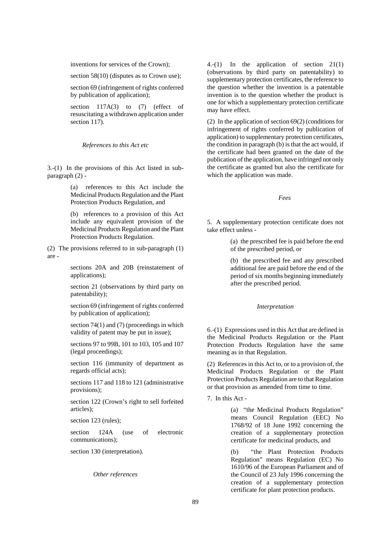inventions for services of the Crown);

section 58(10) (disputes as to Crown use);

section 69 (infringement of rights conferred by publication of application);

section 117A(3) to (7) (effect of resuscitating a withdrawn application under section 117).

*References to this Act etc* 

3.-(1) In the provisions of this Act listed in subparagraph (2) -

> (a) references to this Act include the Medicinal Products Regulation and the Plant Protection Products Regulation, and

> (b) references to a provision of this Act include any equivalent provision of the Medicinal Products Regulation and the Plant Protection Products Regulation.

(2) The provisions referred to in sub-paragraph (1) are -

> sections 20A and 20B (reinstatement of applications);

> section 21 (observations by third party on patentability);

> section 69 (infringement of rights conferred by publication of application);

> section 74(1) and (7) (proceedings in which validity of patent may be put in issue);

> sections 97 to 99B, 101 to 103, 105 and 107 (legal proceedings);

> section 116 (immunity of department as regards official acts);

> sections 117 and 118 to 121 (administrative provisions);

> section 122 (Crown's right to sell forfeited articles);

section 123 (rules);

section 124A (use of electronic communications);

section 130 (interpretation).

*Other references* 

4.-(1) In the application of section 21(1) (observations by third party on patentability) to supplementary protection certificates, the reference to the question whether the invention is a patentable invention is to the question whether the product is one for which a supplementary protection certificate may have effect.

(2) In the application of section 69(2) (conditions for infringement of rights conferred by publication of application) to supplementary protection certificates, the condition in paragraph (b) is that the act would, if the certificate had been granted on the date of the publication of the application, have infringed not only the certificate as granted but also the certificate for which the application was made.

# *Fees*

5. A supplementary protection certificate does not take effect unless -

> (a) the prescribed fee is paid before the end of the prescribed period, or

> (b) the prescribed fee and any prescribed additional fee are paid before the end of the period of six months beginning immediately after the prescribed period.

# *Interpretation*

6.-(1) Expressions used in this Act that are defined in the Medicinal Products Regulation or the Plant Protection Products Regulation have the same meaning as in that Regulation.

(2) References in this Act to, or to a provision of, the Medicinal Products Regulation or the Plant Protection Products Regulation are to that Regulation or that provision as amended from time to time.

7. In this Act -

(a) "the Medicinal Products Regulation" means Council Regulation (EEC) No 1768/92 of 18 June 1992 concerning the creation of a supplementary protection certificate for medicinal products, and

(b) "the Plant Protection Products Regulation" means Regulation (EC) No 1610/96 of the European Parliament and of the Council of 23 July 1996 concerning the creation of a supplementary protection certificate for plant protection products.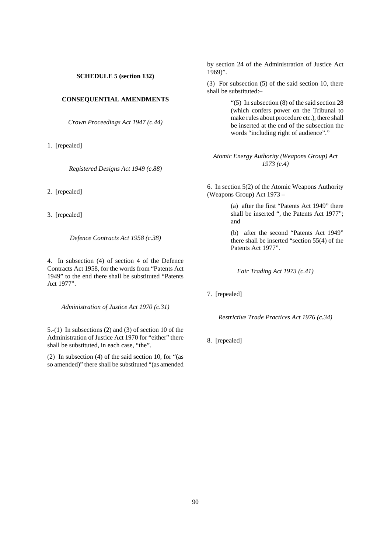#### **SCHEDULE 5 (section 132)**

#### **CONSEQUENTIAL AMENDMENTS**

*Crown Proceedings Act 1947 (c.44)* 

1. [repealed]

*Registered Designs Act 1949 (c.88)* 

2. [repealed]

3. [repealed]

*Defence Contracts Act 1958 (c.38)* 

4. In subsection (4) of section 4 of the Defence Contracts Act 1958, for the words from "Patents Act 1949" to the end there shall be substituted "Patents Act 1977".

*Administration of Justice Act 1970 (c.31)* 

5.-(1) In subsections (2) and (3) of section 10 of the Administration of Justice Act 1970 for "either" there shall be substituted, in each case, "the".

(2) In subsection (4) of the said section 10, for "(as so amended)" there shall be substituted "(as amended by section 24 of the Administration of Justice Act 1969)".

(3) For subsection (5) of the said section 10, there shall be substituted:–

> "(5) In subsection (8) of the said section 28 (which confers power on the Tribunal to make rules about procedure etc.), there shall be inserted at the end of the subsection the words "including right of audience"."

*Atomic Energy Authority (Weapons Group) Act 1973 (c.4)* 

6. In section 5(2) of the Atomic Weapons Authority (Weapons Group) Act 1973 –

> (a) after the first "Patents Act 1949" there shall be inserted ", the Patents Act 1977"; and

> (b) after the second "Patents Act 1949" there shall be inserted "section 55(4) of the Patents Act 1977".

*Fair Trading Act 1973 (c.41)* 

7. [repealed]

*Restrictive Trade Practices Act 1976 (c.34)* 

8. [repealed]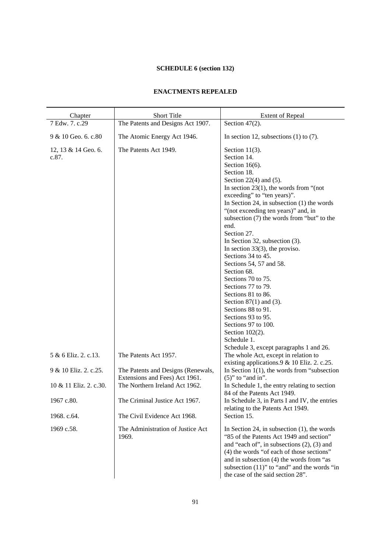# **SCHEDULE 6 (section 132)**

| Chapter                | Short Title                        | <b>Extent of Repeal</b>                         |
|------------------------|------------------------------------|-------------------------------------------------|
| 7 Edw. 7. c.29         | The Patents and Designs Act 1907.  | Section $47(2)$ .                               |
| 9 & 10 Geo. 6. c.80    | The Atomic Energy Act 1946.        | In section 12, subsections $(1)$ to $(7)$ .     |
| 12, 13 & 14 Geo. 6.    | The Patents Act 1949.              | Section $11(3)$ .                               |
| c.87.                  |                                    | Section 14.                                     |
|                        |                                    | Section $16(6)$ .                               |
|                        |                                    | Section 18.                                     |
|                        |                                    | Section $22(4)$ and $(5)$ .                     |
|                        |                                    | In section 23(1), the words from "(not          |
|                        |                                    | exceeding" to "ten years)".                     |
|                        |                                    | In Section 24, in subsection $(1)$ the words    |
|                        |                                    | "(not exceeding ten years)" and, in             |
|                        |                                    | subsection (7) the words from "but" to the      |
|                        |                                    | end.                                            |
|                        |                                    | Section 27.                                     |
|                        |                                    |                                                 |
|                        |                                    | In Section 32, subsection (3).                  |
|                        |                                    | In section $33(3)$ , the proviso.               |
|                        |                                    | Sections 34 to 45.                              |
|                        |                                    | Sections 54, 57 and 58.                         |
|                        |                                    | Section 68.                                     |
|                        |                                    | Sections 70 to 75.                              |
|                        |                                    | Sections 77 to 79.                              |
|                        |                                    | Sections 81 to 86.                              |
|                        |                                    | Section $87(1)$ and $(3)$ .                     |
|                        |                                    | Sections 88 to 91.                              |
|                        |                                    | Sections 93 to 95.                              |
|                        |                                    | Sections 97 to 100.                             |
|                        |                                    | Section 102(2).                                 |
|                        |                                    | Schedule 1.                                     |
|                        |                                    | Schedule 3, except paragraphs 1 and 26.         |
| 5 & 6 Eliz. 2. c.13.   | The Patents Act 1957.              | The whole Act, except in relation to            |
| 9 & 10 Eliz. 2. c.25.  |                                    | existing applications.9 $& 10$ Eliz. 2. c.25.   |
|                        | The Patents and Designs (Renewals, | In Section $1(1)$ , the words from "subsection" |
|                        | Extensions and Fees) Act 1961.     | $(5)$ " to "and in".                            |
| 10 & 11 Eliz. 2. c.30. | The Northern Ireland Act 1962.     | In Schedule 1, the entry relating to section    |
|                        |                                    | 84 of the Patents Act 1949.                     |
| 1967 c.80.             | The Criminal Justice Act 1967.     | In Schedule 3, in Parts I and IV, the entries   |
|                        |                                    | relating to the Patents Act 1949.               |
| 1968. c.64.            | The Civil Evidence Act 1968.       | Section 15.                                     |
| 1969 c.58.             | The Administration of Justice Act  | In Section 24, in subsection $(1)$ , the words  |
|                        | 1969.                              | "85 of the Patents Act 1949 and section"        |
|                        |                                    | and "each of", in subsections $(2)$ , $(3)$ and |
|                        |                                    | (4) the words "of each of those sections"       |
|                        |                                    | and in subsection (4) the words from "as        |
|                        |                                    | subsection $(11)$ " to "and" and the words "in  |
|                        |                                    | the case of the said section 28".               |

# **ENACTMENTS REPEALED**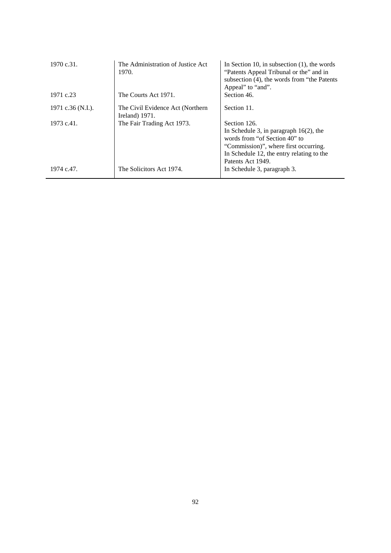| 1970 c.31.        | The Administration of Justice Act<br>1970.         | In Section 10, in subsection $(1)$ , the words<br>"Patents Appeal Tribunal or the" and in<br>subsection (4), the words from "the Patents"<br>Appeal" to "and".                                        |
|-------------------|----------------------------------------------------|-------------------------------------------------------------------------------------------------------------------------------------------------------------------------------------------------------|
| 1971 c.23         | The Courts Act 1971.                               | Section 46.                                                                                                                                                                                           |
| 1971 c.36 (N.I.). | The Civil Evidence Act (Northern<br>Ireland) 1971. | Section 11.                                                                                                                                                                                           |
| 1973 c.41.        | The Fair Trading Act 1973.                         | Section 126.<br>In Schedule 3, in paragraph $16(2)$ , the<br>words from "of Section 40" to<br>"Commission)", where first occurring.<br>In Schedule 12, the entry relating to the<br>Patents Act 1949. |
| 1974 c.47.        | The Solicitors Act 1974.                           | In Schedule 3, paragraph 3.                                                                                                                                                                           |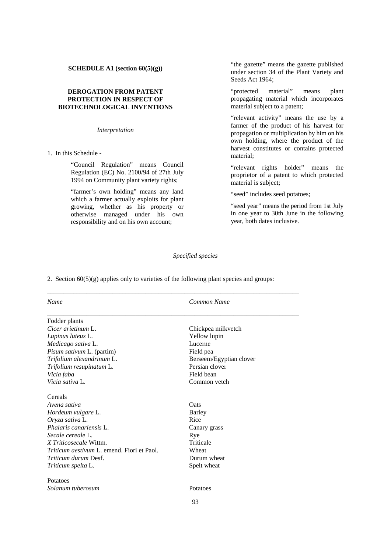| <b>SCHEDULE A1</b> (section $60(5)(g)$ )                                                               | "the gazette" means the gazette published<br>under section 34 of the Plant Variety and<br>Seeds Act 1964:<br>"protected material"<br>plant<br>means<br>propagating material which incorporates<br>material subject to a patent; |  |
|--------------------------------------------------------------------------------------------------------|---------------------------------------------------------------------------------------------------------------------------------------------------------------------------------------------------------------------------------|--|
| <b>DEROGATION FROM PATENT</b><br><b>PROTECTION IN RESPECT OF</b><br><b>BIOTECHNOLOGICAL INVENTIONS</b> |                                                                                                                                                                                                                                 |  |
| Interpretation                                                                                         | "relevant activity" means the use by a<br>farmer of the product of his harvest for<br>propagation or multiplication by him on his<br>own holding, where the product of the                                                      |  |
| In this Schedule -                                                                                     | harvest constitutes or contains protected<br>material;                                                                                                                                                                          |  |
| "Council Regulation"<br>Council<br>means                                                               | "relevant rights holder" means<br>th≙                                                                                                                                                                                           |  |

"relevant rights holder" means the proprietor of a patent to which protected material is subject;

"seed" includes seed potatoes;

"seed year" means the period from 1st July in one year to 30th June in the following year, both dates inclusive.

# *Specified species*

2. Section  $60(5)(g)$  applies only to varieties of the following plant species and groups:

Regulation (EC) No. 2100/94 of 27th July 1994 on Community plant variety rights; "farmer's own holding" means any land which a farmer actually exploits for plant growing, whether as his property or otherwise managed under his own responsibility and on his own account;

1. In this Schedule -

| <b>Name</b>                                       | Common Name             |
|---------------------------------------------------|-------------------------|
| Fodder plants                                     |                         |
| Cicer arietinum L.                                | Chickpea milkvetch      |
| Lupinus luteus L.                                 | Yellow lupin            |
| Medicago sativa L.                                | Lucerne                 |
| Pisum sativum L. (partim)                         | Field pea               |
| Trifolium alexandrinum L.                         | Berseem/Egyptian clover |
| Trifolium resupinatum L.                          | Persian clover          |
| Vicia faba                                        | Field bean              |
| Vicia sativa L.                                   | Common vetch            |
| Cereals                                           |                         |
| Avena sativa                                      | Oats                    |
| Hordeum vulgare L.                                | Barley                  |
| Oryza sativa L.                                   | Rice                    |
| <i>Phalaris canariensis</i> L.                    | Canary grass            |
| Secale cereale L.                                 | Rye                     |
| <i>X Triticosecale</i> Wittm.                     | Triticale               |
| <i>Triticum aestivum</i> L. emend. Fiori et Paol. | Wheat                   |
| <i>Triticum durum</i> Desf.                       | Durum wheat             |
| Triticum spelta L.                                | Spelt wheat             |
| Potatoes                                          |                         |
| Solanum tuberosum                                 | Potatoes                |
|                                                   | 93                      |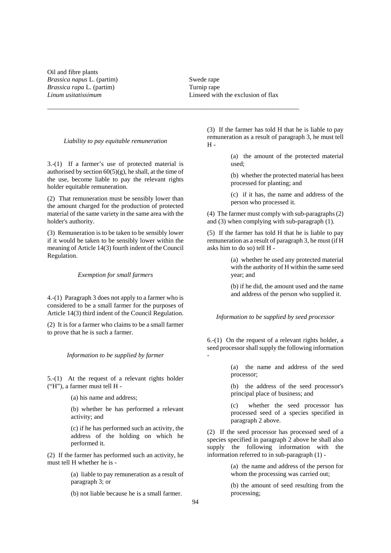Oil and fibre plants *Brassica napus* L. (partim) Swede rape *Brassica rapa* L. (partim) Turnip rape

*Linum usitatissimum* Linseed with the exclusion of flax

\_\_\_\_\_\_\_\_\_\_\_\_\_\_\_\_\_\_\_\_\_\_\_\_\_\_\_\_\_\_\_\_\_\_\_\_\_\_\_\_\_\_\_\_\_\_\_\_\_\_\_\_\_\_\_\_\_\_\_\_\_\_\_\_\_\_\_\_\_\_\_\_\_\_\_\_\_

*Liability to pay equitable remuneration* 

3.-(1) If a farmer's use of protected material is authorised by section  $60(5)(g)$ , he shall, at the time of the use, become liable to pay the relevant rights holder equitable remuneration.

(2) That remuneration must be sensibly lower than the amount charged for the production of protected material of the same variety in the same area with the holder's authority.

(3) Remuneration is to be taken to be sensibly lower if it would be taken to be sensibly lower within the meaning of Article 14(3) fourth indent of the Council Regulation.

#### *Exemption for small farmers*

4.-(1) Paragraph 3 does not apply to a farmer who is considered to be a small farmer for the purposes of Article 14(3) third indent of the Council Regulation.

(2) It is for a farmer who claims to be a small farmer to prove that he is such a farmer.

*Information to be supplied by farmer* 

5.-(1) At the request of a relevant rights holder ("H"), a farmer must tell H -

(a) his name and address;

(b) whether he has performed a relevant activity; and

(c) if he has performed such an activity, the address of the holding on which he performed it.

(2) If the farmer has performed such an activity, he must tell H whether he is -

> (a) liable to pay remuneration as a result of paragraph 3; or

(b) not liable because he is a small farmer.

(3) If the farmer has told H that he is liable to pay remuneration as a result of paragraph 3, he must tell  $H<sub>-</sub>$ 

> (a) the amount of the protected material used;

(b) whether the protected material has been processed for planting; and

(c) if it has, the name and address of the person who processed it.

(4) The farmer must comply with sub-paragraphs (2) and (3) when complying with sub-paragraph (1).

(5) If the farmer has told H that he is liable to pay remuneration as a result of paragraph 3, he must (if H asks him to do so) tell H -

> (a) whether he used any protected material with the authority of H within the same seed year; and

> (b) if he did, the amount used and the name and address of the person who supplied it.

*Information to be supplied by seed processor* 

6.-(1) On the request of a relevant rights holder, a seed processor shall supply the following information -

> (a) the name and address of the seed processor;

> (b) the address of the seed processor's principal place of business; and

> (c) whether the seed processor has processed seed of a species specified in paragraph 2 above.

(2) If the seed processor has processed seed of a species specified in paragraph 2 above he shall also supply the following information with the information referred to in sub-paragraph (1) -

> (a) the name and address of the person for whom the processing was carried out;

> (b) the amount of seed resulting from the processing;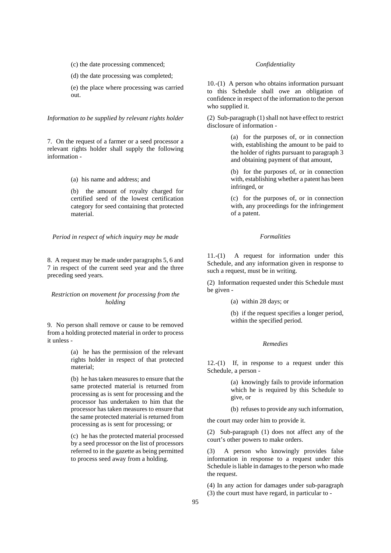(c) the date processing commenced;

(d) the date processing was completed;

(e) the place where processing was carried out.

*Information to be supplied by relevant rights holder* 

7. On the request of a farmer or a seed processor a relevant rights holder shall supply the following information -

(a) his name and address; and

(b) the amount of royalty charged for certified seed of the lowest certification category for seed containing that protected material.

*Period in respect of which inquiry may be made* 

8. A request may be made under paragraphs 5, 6 and 7 in respect of the current seed year and the three preceding seed years.

# *Restriction on movement for processing from the holding*

9. No person shall remove or cause to be removed from a holding protected material in order to process it unless -

> (a) he has the permission of the relevant rights holder in respect of that protected material;

> (b) he has taken measures to ensure that the same protected material is returned from processing as is sent for processing and the processor has undertaken to him that the processor has taken measures to ensure that the same protected material is returned from processing as is sent for processing; or

> (c) he has the protected material processed by a seed processor on the list of processors referred to in the gazette as being permitted to process seed away from a holding.

## *Confidentiality*

10.-(1) A person who obtains information pursuant to this Schedule shall owe an obligation of confidence in respect of the information to the person who supplied it.

(2) Sub-paragraph (1) shall not have effect to restrict disclosure of information -

> (a) for the purposes of, or in connection with, establishing the amount to be paid to the holder of rights pursuant to paragraph 3 and obtaining payment of that amount,

> (b) for the purposes of, or in connection with, establishing whether a patent has been infringed, or

> (c) for the purposes of, or in connection with, any proceedings for the infringement of a patent.

# *Formalities*

11.-(1) A request for information under this Schedule, and any information given in response to such a request, must be in writing.

(2) Information requested under this Schedule must be given -

(a) within 28 days; or

(b) if the request specifies a longer period, within the specified period.

#### *Remedies*

12.-(1) If, in response to a request under this Schedule, a person -

> (a) knowingly fails to provide information which he is required by this Schedule to give, or

> (b) refuses to provide any such information,

the court may order him to provide it.

(2) Sub-paragraph (1) does not affect any of the court's other powers to make orders.

(3) A person who knowingly provides false information in response to a request under this Schedule is liable in damages to the person who made the request.

(4) In any action for damages under sub-paragraph (3) the court must have regard, in particular to -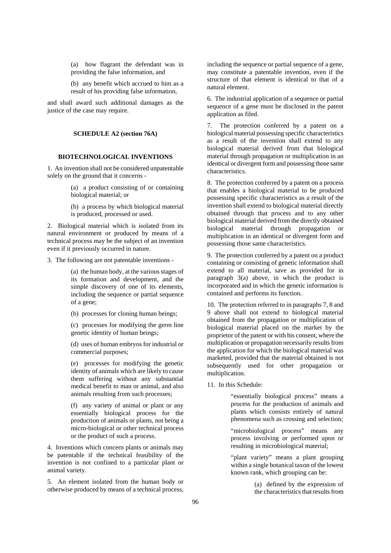(a) how flagrant the defendant was in providing the false information, and

(b) any benefit which accrued to him as a result of his providing false information,

and shall award such additional damages as the justice of the case may require.

# **SCHEDULE A2 (section 76A)**

# **BIOTECHNOLOGICAL INVENTIONS**

1. An invention shall not be considered unpatentable solely on the ground that it concerns -

> (a) a product consisting of or containing biological material; or

> (b) a process by which biological material is produced, processed or used.

2. Biological material which is isolated from its natural environment or produced by means of a technical process may be the subject of an invention even if it previously occurred in nature.

3. The following are not patentable inventions -

(a) the human body, at the various stages of its formation and development, and the simple discovery of one of its elements, including the sequence or partial sequence of a gene;

(b) processes for cloning human beings;

(c) processes for modifying the germ line genetic identity of human beings;

(d) uses of human embryos for industrial or commercial purposes;

(e) processes for modifying the genetic identity of animals which are likely to cause them suffering without any substantial medical benefit to man or animal, and also animals resulting from such processes;

(f) any variety of animal or plant or any essentially biological process for the production of animals or plants, not being a micro-biological or other technical process or the product of such a process.

4. Inventions which concern plants or animals may be patentable if the technical feasibility of the invention is not confined to a particular plant or animal variety.

5. An element isolated from the human body or otherwise produced by means of a technical process, including the sequence or partial sequence of a gene. may constitute a patentable invention, even if the structure of that element is identical to that of a natural element.

6. The industrial application of a sequence or partial sequence of a gene must be disclosed in the patent application as filed.

7. The protection conferred by a patent on a biological material possessing specific characteristics as a result of the invention shall extend to any biological material derived from that biological material through propagation or multiplication in an identical or divergent form and possessing those same characteristics.

8. The protection conferred by a patent on a process that enables a biological material to be produced possessing specific characteristics as a result of the invention shall extend to biological material directly obtained through that process and to any other biological material derived from the directly obtained biological material through propagation or multiplication in an identical or divergent form and possessing those same characteristics.

9. The protection conferred by a patent on a product containing or consisting of genetic information shall extend to all material, save as provided for in paragraph 3(a) above, in which the product is incorporated and in which the genetic information is contained and performs its function.

10. The protection referred to in paragraphs 7, 8 and 9 above shall not extend to biological material obtained from the propagation or multiplication of biological material placed on the market by the proprietor of the patent or with his consent, where the multiplication or propagation necessarily results from the application for which the biological material was marketed, provided that the material obtained is not subsequently used for other propagation or multiplication.

11. In this Schedule:

"essentially biological process" means a process for the production of animals and plants which consists entirely of natural phenomena such as crossing and selection;

"microbiological process" means any process involving or performed upon or resulting in microbiological material;

"plant variety" means a plant grouping within a single botanical taxon of the lowest known rank, which grouping can be:

> (a) defined by the expression of the characteristics that results from